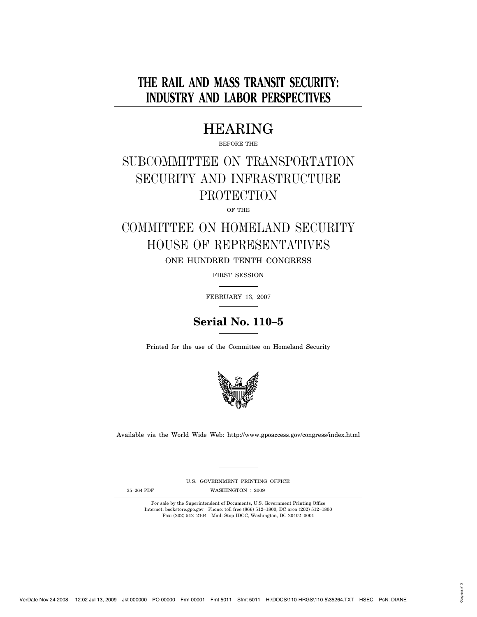# **THE RAIL AND MASS TRANSIT SECURITY: INDUSTRY AND LABOR PERSPECTIVES**

# HEARING

BEFORE THE

# SUBCOMMITTEE ON TRANSPORTATION SECURITY AND INFRASTRUCTURE PROTECTION

OF THE

# COMMITTEE ON HOMELAND SECURITY HOUSE OF REPRESENTATIVES ONE HUNDRED TENTH CONGRESS

FIRST SESSION

FEBRUARY 13, 2007

# **Serial No. 110–5**

Printed for the use of the Committee on Homeland Security



Available via the World Wide Web: http://www.gpoaccess.gov/congress/index.html

U.S. GOVERNMENT PRINTING OFFICE

35-264 PDF WASHINGTON : 2009

For sale by the Superintendent of Documents, U.S. Government Printing Office Internet: bookstore.gpo.gov Phone: toll free (866) 512–1800; DC area (202) 512–1800 Fax: (202) 512–2104 Mail: Stop IDCC, Washington, DC 20402–0001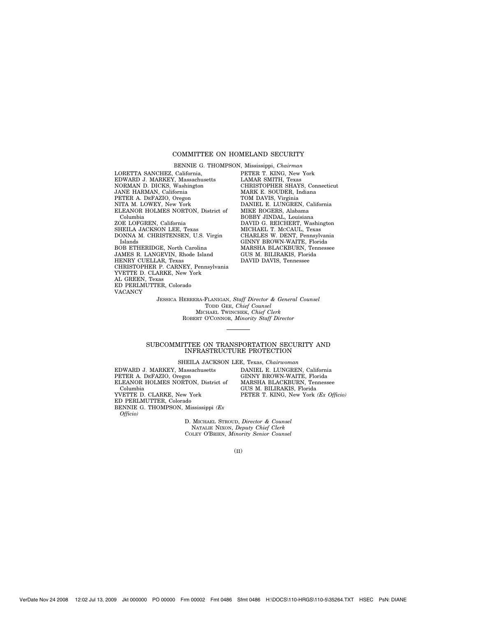### COMMITTEE ON HOMELAND SECURITY

BENNIE G. THOMPSON, Mississippi, *Chairman* 

LORETTA SANCHEZ, California, EDWARD J. MARKEY, Massachusetts NORMAN D. DICKS, Washington JANE HARMAN, California PETER A. DEFAZIO, Oregon NITA M. LOWEY, New York ELEANOR HOLMES NORTON, District of Columbia ZOE LOFGREN, California SHEILA JACKSON LEE, Texas DONNA M. CHRISTENSEN, U.S. Virgin Islands BOB ETHERIDGE, North Carolina JAMES R. LANGEVIN, Rhode Island HENRY CUELLAR, Texas CHRISTOPHER P. CARNEY, Pennsylvania YVETTE D. CLARKE, New York AL GREEN, Texas ED PERLMUTTER, Colorado VACANCY

PETER T. KING, New York LAMAR SMITH, Texas CHRISTOPHER SHAYS, Connecticut MARK E. SOUDER, Indiana TOM DAVIS, Virginia DANIEL E. LUNGREN, California MIKE ROGERS, Alabama BOBBY JINDAL, Louisiana DAVID G. REICHERT, Washington MICHAEL T. MCCAUL, Texas CHARLES W. DENT, Pennsylvania GINNY BROWN-WAITE, Florida MARSHA BLACKBURN, Tennessee GUS M. BILIRAKIS, Florida DAVID DAVIS, Tennessee

JESSICA HERRERA-FLANIGAN, *Staff Director & General Counsel*  TODD GEE, *Chief Counsel*  MICHAEL TWINCHEK, *Chief Clerk*  ROBERT O'CONNOR, *Minority Staff Director* 

#### SUBCOMMITTEE ON TRANSPORTATION SECURITY AND INFRASTRUCTURE PROTECTION

SHEILA JACKSON LEE, Texas, *Chairwoman* 

EDWARD J. MARKEY, Massachusetts PETER A. DEFAZIO, Oregon ELEANOR HOLMES NORTON, District of Columbia YVETTE D. CLARKE, New York ED PERLMUTTER, Colorado BENNIE G. THOMPSON, Mississippi *(Ex Officio)* 

DANIEL E. LUNGREN, California GINNY BROWN-WAITE, Florida MARSHA BLACKBURN, Tennessee GUS M. BILIRAKIS, Florida PETER T. KING, New York *(Ex Officio)* 

D. MICHAEL STROUD, *Director & Counsel*  NATALIE NIXON, *Deputy Chief Clerk*  COLEY O'BRIEN, *Minority Senior Counsel* 

#### (II)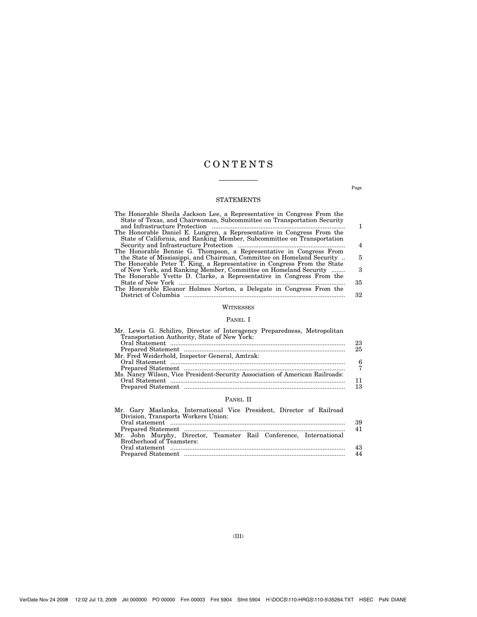# C O N T E N T S

# STATEMENTS

| The Honorable Sheila Jackson Lee, a Representative in Congress From the  |    |
|--------------------------------------------------------------------------|----|
| State of Texas, and Chairwoman, Subcommittee on Transportation Security  |    |
|                                                                          |    |
| The Honorable Daniel E. Lungren, a Representative in Congress From the   |    |
| State of California, and Ranking Member, Subcommittee on Transportation  |    |
|                                                                          | 4  |
| The Honorable Bennie G. Thompson, a Representative in Congress From      |    |
| the State of Mississippi, and Chairman, Committee on Homeland Security   | 5  |
| The Honorable Peter T. King, a Representative in Congress From the State |    |
| of New York, and Ranking Member, Committee on Homeland Security          | 3  |
| The Honorable Yvette D. Clarke, a Representative in Congress From the    |    |
|                                                                          | 35 |
| The Honorable Eleanor Holmes Norton, a Delegate in Congress From the     |    |
| District of Columbia                                                     | 32 |
|                                                                          |    |

## WITNESSES

# PANEL I

| Mr. Lewis G. Schiliro, Director of Interagency Preparedness, Metropolitan                                    |    |
|--------------------------------------------------------------------------------------------------------------|----|
| Transportation Authority, State of New York:                                                                 |    |
|                                                                                                              | 23 |
|                                                                                                              | 25 |
| Mr. Fred Weiderhold, Inspector General, Amtrak:                                                              |    |
|                                                                                                              | 6  |
|                                                                                                              | 7  |
| Ms. Nancy Wilson, Vice President-Security Association of American Railroads:                                 |    |
|                                                                                                              | 11 |
|                                                                                                              | 13 |
|                                                                                                              |    |
| PANEL II                                                                                                     |    |
| Mr. Gary Maslanka, International Vice President, Director of Railroad<br>Division, Transports Workers Union: |    |

| Division, Transports Workers Union:                                |    |
|--------------------------------------------------------------------|----|
|                                                                    | 39 |
|                                                                    | 41 |
| Mr. John Murphy, Director, Teamster Rail Conference, International |    |
| <b>Brotherhood of Teamsters:</b>                                   |    |
|                                                                    | 43 |
|                                                                    | 44 |
|                                                                    |    |

Page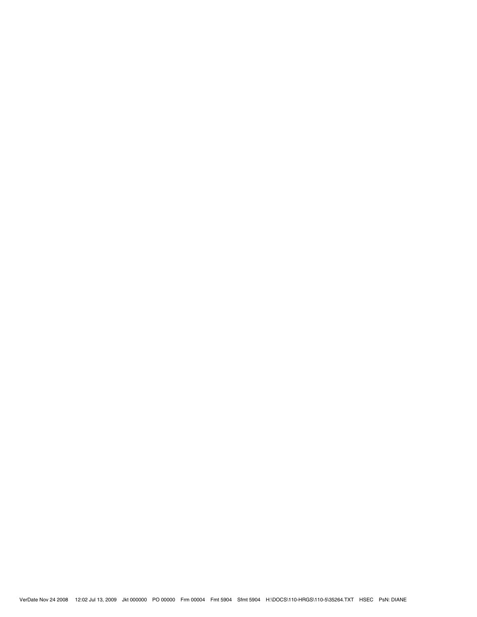VerDate Nov 24 2008 12:02 Jul 13, 2009 Jkt 000000 PO 00000 Frm 00004 Fmt 5904 Sfmt 5904 H:\DOCS\110-HRGS\110-5\35264.TXT HSEC PsN: DIANE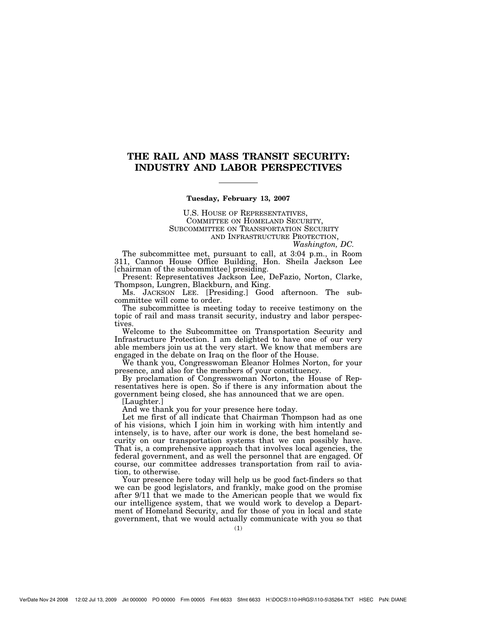# **THE RAIL AND MASS TRANSIT SECURITY: INDUSTRY AND LABOR PERSPECTIVES**

#### **Tuesday, February 13, 2007**

U.S. HOUSE OF REPRESENTATIVES, COMMITTEE ON HOMELAND SECURITY, SUBCOMMITTEE ON TRANSPORTATION SECURITY AND INFRASTRUCTURE PROTECTION,

*Washington, DC.* 

The subcommittee met, pursuant to call, at 3:04 p.m., in Room 311, Cannon House Office Building, Hon. Sheila Jackson Lee [chairman of the subcommittee] presiding.

Present: Representatives Jackson Lee, DeFazio, Norton, Clarke, Thompson, Lungren, Blackburn, and King.

Ms. JACKSON LEE. [Presiding.] Good afternoon. The subcommittee will come to order.

The subcommittee is meeting today to receive testimony on the topic of rail and mass transit security, industry and labor perspectives.

Welcome to the Subcommittee on Transportation Security and Infrastructure Protection. I am delighted to have one of our very able members join us at the very start. We know that members are engaged in the debate on Iraq on the floor of the House.

We thank you, Congresswoman Eleanor Holmes Norton, for your presence, and also for the members of your constituency.

By proclamation of Congresswoman Norton, the House of Representatives here is open. So if there is any information about the government being closed, she has announced that we are open.

[Laughter.]

And we thank you for your presence here today.

Let me first of all indicate that Chairman Thompson had as one of his visions, which I join him in working with him intently and intensely, is to have, after our work is done, the best homeland security on our transportation systems that we can possibly have. That is, a comprehensive approach that involves local agencies, the federal government, and as well the personnel that are engaged. Of course, our committee addresses transportation from rail to aviation, to otherwise.

Your presence here today will help us be good fact-finders so that we can be good legislators, and frankly, make good on the promise after 9/11 that we made to the American people that we would fix our intelligence system, that we would work to develop a Department of Homeland Security, and for those of you in local and state government, that we would actually communicate with you so that

(1)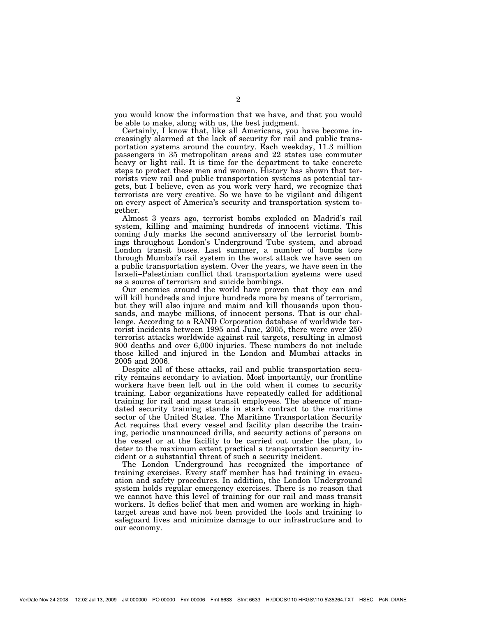you would know the information that we have, and that you would be able to make, along with us, the best judgment.

Certainly, I know that, like all Americans, you have become increasingly alarmed at the lack of security for rail and public transportation systems around the country. Each weekday, 11.3 million passengers in 35 metropolitan areas and 22 states use commuter heavy or light rail. It is time for the department to take concrete steps to protect these men and women. History has shown that terrorists view rail and public transportation systems as potential targets, but I believe, even as you work very hard, we recognize that terrorists are very creative. So we have to be vigilant and diligent on every aspect of America's security and transportation system together.

Almost 3 years ago, terrorist bombs exploded on Madrid's rail system, killing and maiming hundreds of innocent victims. This coming July marks the second anniversary of the terrorist bombings throughout London's Underground Tube system, and abroad London transit buses. Last summer, a number of bombs tore through Mumbai's rail system in the worst attack we have seen on a public transportation system. Over the years, we have seen in the Israeli–Palestinian conflict that transportation systems were used as a source of terrorism and suicide bombings.

Our enemies around the world have proven that they can and will kill hundreds and injure hundreds more by means of terrorism, but they will also injure and maim and kill thousands upon thousands, and maybe millions, of innocent persons. That is our challenge. According to a RAND Corporation database of worldwide terrorist incidents between 1995 and June, 2005, there were over 250 terrorist attacks worldwide against rail targets, resulting in almost 900 deaths and over 6,000 injuries. These numbers do not include those killed and injured in the London and Mumbai attacks in 2005 and 2006.

Despite all of these attacks, rail and public transportation security remains secondary to aviation. Most importantly, our frontline workers have been left out in the cold when it comes to security training. Labor organizations have repeatedly called for additional training for rail and mass transit employees. The absence of mandated security training stands in stark contract to the maritime sector of the United States. The Maritime Transportation Security Act requires that every vessel and facility plan describe the training, periodic unannounced drills, and security actions of persons on the vessel or at the facility to be carried out under the plan, to deter to the maximum extent practical a transportation security incident or a substantial threat of such a security incident.

The London Underground has recognized the importance of training exercises. Every staff member has had training in evacuation and safety procedures. In addition, the London Underground system holds regular emergency exercises. There is no reason that we cannot have this level of training for our rail and mass transit workers. It defies belief that men and women are working in hightarget areas and have not been provided the tools and training to safeguard lives and minimize damage to our infrastructure and to our economy.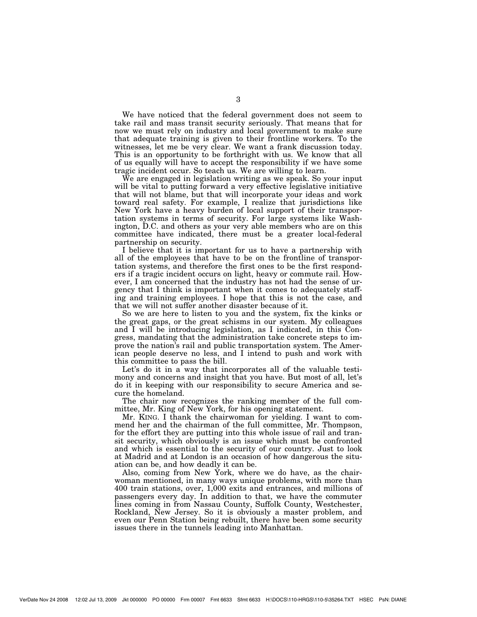We have noticed that the federal government does not seem to take rail and mass transit security seriously. That means that for now we must rely on industry and local government to make sure that adequate training is given to their frontline workers. To the witnesses, let me be very clear. We want a frank discussion today. This is an opportunity to be forthright with us. We know that all of us equally will have to accept the responsibility if we have some tragic incident occur. So teach us. We are willing to learn.

We are engaged in legislation writing as we speak. So your input will be vital to putting forward a very effective legislative initiative that will not blame, but that will incorporate your ideas and work toward real safety. For example, I realize that jurisdictions like New York have a heavy burden of local support of their transportation systems in terms of security. For large systems like Washington, D.C. and others as your very able members who are on this committee have indicated, there must be a greater local-federal partnership on security.

I believe that it is important for us to have a partnership with all of the employees that have to be on the frontline of transportation systems, and therefore the first ones to be the first responders if a tragic incident occurs on light, heavy or commute rail. However, I am concerned that the industry has not had the sense of urgency that I think is important when it comes to adequately staffing and training employees. I hope that this is not the case, and that we will not suffer another disaster because of it.

So we are here to listen to you and the system, fix the kinks or the great gaps, or the great schisms in our system. My colleagues and I will be introducing legislation, as I indicated, in this Congress, mandating that the administration take concrete steps to improve the nation's rail and public transportation system. The American people deserve no less, and I intend to push and work with this committee to pass the bill.

Let's do it in a way that incorporates all of the valuable testimony and concerns and insight that you have. But most of all, let's do it in keeping with our responsibility to secure America and secure the homeland.

The chair now recognizes the ranking member of the full committee, Mr. King of New York, for his opening statement.

Mr. KING. I thank the chairwoman for yielding. I want to commend her and the chairman of the full committee, Mr. Thompson, for the effort they are putting into this whole issue of rail and transit security, which obviously is an issue which must be confronted and which is essential to the security of our country. Just to look at Madrid and at London is an occasion of how dangerous the situation can be, and how deadly it can be.

Also, coming from New York, where we do have, as the chairwoman mentioned, in many ways unique problems, with more than 400 train stations, over, 1,000 exits and entrances, and millions of passengers every day. In addition to that, we have the commuter lines coming in from Nassau County, Suffolk County, Westchester, Rockland, New Jersey. So it is obviously a master problem, and even our Penn Station being rebuilt, there have been some security issues there in the tunnels leading into Manhattan.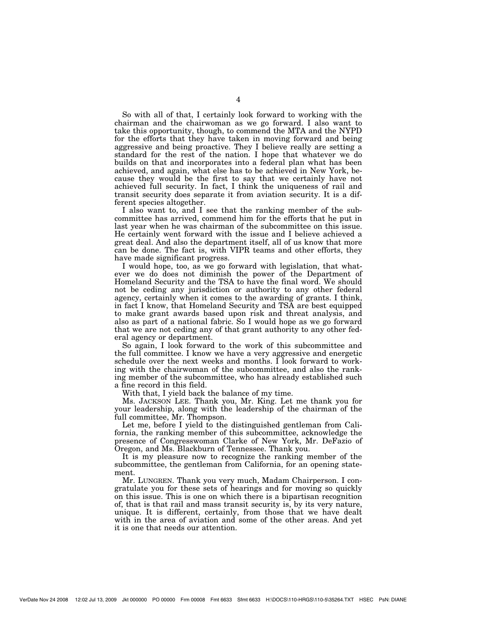So with all of that, I certainly look forward to working with the chairman and the chairwoman as we go forward. I also want to take this opportunity, though, to commend the MTA and the NYPD for the efforts that they have taken in moving forward and being aggressive and being proactive. They I believe really are setting a standard for the rest of the nation. I hope that whatever we do builds on that and incorporates into a federal plan what has been achieved, and again, what else has to be achieved in New York, because they would be the first to say that we certainly have not achieved full security. In fact, I think the uniqueness of rail and transit security does separate it from aviation security. It is a different species altogether.

I also want to, and I see that the ranking member of the subcommittee has arrived, commend him for the efforts that he put in last year when he was chairman of the subcommittee on this issue. He certainly went forward with the issue and I believe achieved a great deal. And also the department itself, all of us know that more can be done. The fact is, with VIPR teams and other efforts, they have made significant progress.

I would hope, too, as we go forward with legislation, that whatever we do does not diminish the power of the Department of Homeland Security and the TSA to have the final word. We should not be ceding any jurisdiction or authority to any other federal agency, certainly when it comes to the awarding of grants. I think, in fact I know, that Homeland Security and TSA are best equipped to make grant awards based upon risk and threat analysis, and also as part of a national fabric. So I would hope as we go forward that we are not ceding any of that grant authority to any other federal agency or department.

So again, I look forward to the work of this subcommittee and the full committee. I know we have a very aggressive and energetic schedule over the next weeks and months. I look forward to working with the chairwoman of the subcommittee, and also the ranking member of the subcommittee, who has already established such a fine record in this field.

With that, I yield back the balance of my time.

Ms. JACKSON LEE. Thank you, Mr. King. Let me thank you for your leadership, along with the leadership of the chairman of the full committee, Mr. Thompson.

Let me, before I yield to the distinguished gentleman from California, the ranking member of this subcommittee, acknowledge the presence of Congresswoman Clarke of New York, Mr. DeFazio of Oregon, and Ms. Blackburn of Tennessee. Thank you.

It is my pleasure now to recognize the ranking member of the subcommittee, the gentleman from California, for an opening statement.

Mr. LUNGREN. Thank you very much, Madam Chairperson. I congratulate you for these sets of hearings and for moving so quickly on this issue. This is one on which there is a bipartisan recognition of, that is that rail and mass transit security is, by its very nature, unique. It is different, certainly, from those that we have dealt with in the area of aviation and some of the other areas. And yet it is one that needs our attention.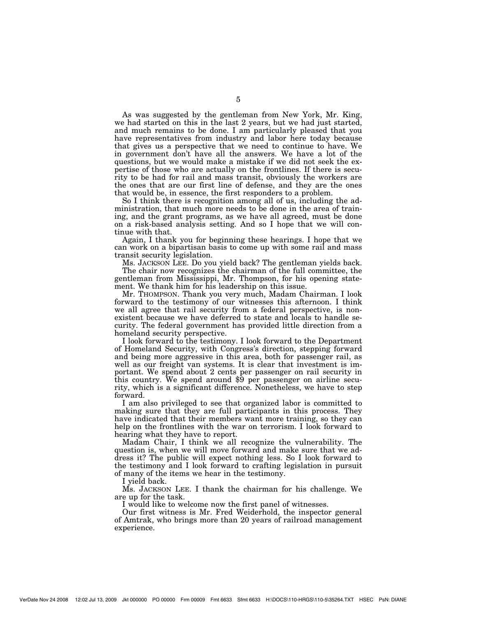As was suggested by the gentleman from New York, Mr. King, we had started on this in the last 2 years, but we had just started, and much remains to be done. I am particularly pleased that you have representatives from industry and labor here today because that gives us a perspective that we need to continue to have. We in government don't have all the answers. We have a lot of the questions, but we would make a mistake if we did not seek the expertise of those who are actually on the frontlines. If there is security to be had for rail and mass transit, obviously the workers are the ones that are our first line of defense, and they are the ones that would be, in essence, the first responders to a problem.

So I think there is recognition among all of us, including the administration, that much more needs to be done in the area of training, and the grant programs, as we have all agreed, must be done on a risk-based analysis setting. And so I hope that we will continue with that.

Again, I thank you for beginning these hearings. I hope that we can work on a bipartisan basis to come up with some rail and mass transit security legislation.

Ms. JACKSON LEE. Do you yield back? The gentleman yields back.

The chair now recognizes the chairman of the full committee, the gentleman from Mississippi, Mr. Thompson, for his opening statement. We thank him for his leadership on this issue.

Mr. THOMPSON. Thank you very much, Madam Chairman. I look forward to the testimony of our witnesses this afternoon. I think we all agree that rail security from a federal perspective, is nonexistent because we have deferred to state and locals to handle security. The federal government has provided little direction from a homeland security perspective.

I look forward to the testimony. I look forward to the Department of Homeland Security, with Congress's direction, stepping forward and being more aggressive in this area, both for passenger rail, as well as our freight van systems. It is clear that investment is important. We spend about 2 cents per passenger on rail security in this country. We spend around \$9 per passenger on airline security, which is a significant difference. Nonetheless, we have to step forward.

I am also privileged to see that organized labor is committed to making sure that they are full participants in this process. They have indicated that their members want more training, so they can help on the frontlines with the war on terrorism. I look forward to hearing what they have to report.

Madam Chair, I think we all recognize the vulnerability. The question is, when we will move forward and make sure that we address it? The public will expect nothing less. So I look forward to the testimony and I look forward to crafting legislation in pursuit of many of the items we hear in the testimony.

I yield back.

Ms. JACKSON LEE. I thank the chairman for his challenge. We are up for the task.

I would like to welcome now the first panel of witnesses.

Our first witness is Mr. Fred Weiderhold, the inspector general of Amtrak, who brings more than 20 years of railroad management experience.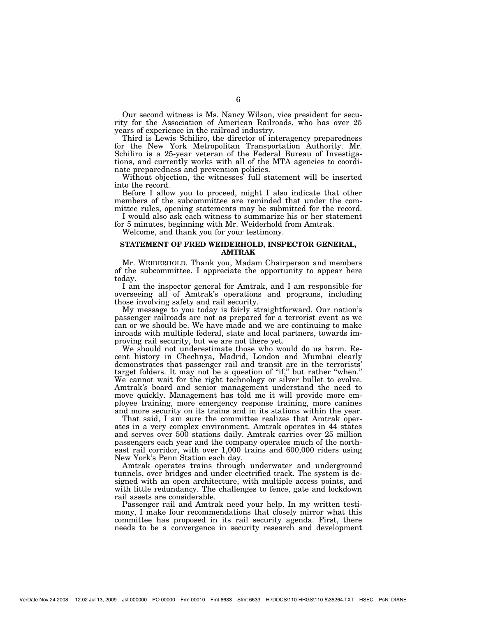Our second witness is Ms. Nancy Wilson, vice president for security for the Association of American Railroads, who has over 25 years of experience in the railroad industry.

Third is Lewis Schiliro, the director of interagency preparedness for the New York Metropolitan Transportation Authority. Mr. Schiliro is a 25-year veteran of the Federal Bureau of Investigations, and currently works with all of the MTA agencies to coordinate preparedness and prevention policies.

Without objection, the witnesses' full statement will be inserted into the record.

Before I allow you to proceed, might I also indicate that other members of the subcommittee are reminded that under the committee rules, opening statements may be submitted for the record.

I would also ask each witness to summarize his or her statement for 5 minutes, beginning with Mr. Weiderhold from Amtrak.

Welcome, and thank you for your testimony.

### **STATEMENT OF FRED WEIDERHOLD, INSPECTOR GENERAL, AMTRAK**

Mr. WEIDERHOLD. Thank you, Madam Chairperson and members of the subcommittee. I appreciate the opportunity to appear here today.

I am the inspector general for Amtrak, and I am responsible for overseeing all of Amtrak's operations and programs, including those involving safety and rail security.

My message to you today is fairly straightforward. Our nation's passenger railroads are not as prepared for a terrorist event as we can or we should be. We have made and we are continuing to make inroads with multiple federal, state and local partners, towards improving rail security, but we are not there yet.

We should not underestimate those who would do us harm. Recent history in Chechnya, Madrid, London and Mumbai clearly demonstrates that passenger rail and transit are in the terrorists' target folders. It may not be a question of "if," but rather "when." We cannot wait for the right technology or silver bullet to evolve. Amtrak's board and senior management understand the need to move quickly. Management has told me it will provide more employee training, more emergency response training, more canines and more security on its trains and in its stations within the year.

That said, I am sure the committee realizes that Amtrak operates in a very complex environment. Amtrak operates in 44 states and serves over 500 stations daily. Amtrak carries over 25 million passengers each year and the company operates much of the northeast rail corridor, with over 1,000 trains and 600,000 riders using New York's Penn Station each day.

Amtrak operates trains through underwater and underground tunnels, over bridges and under electrified track. The system is designed with an open architecture, with multiple access points, and with little redundancy. The challenges to fence, gate and lockdown rail assets are considerable.

Passenger rail and Amtrak need your help. In my written testimony, I make four recommendations that closely mirror what this committee has proposed in its rail security agenda. First, there needs to be a convergence in security research and development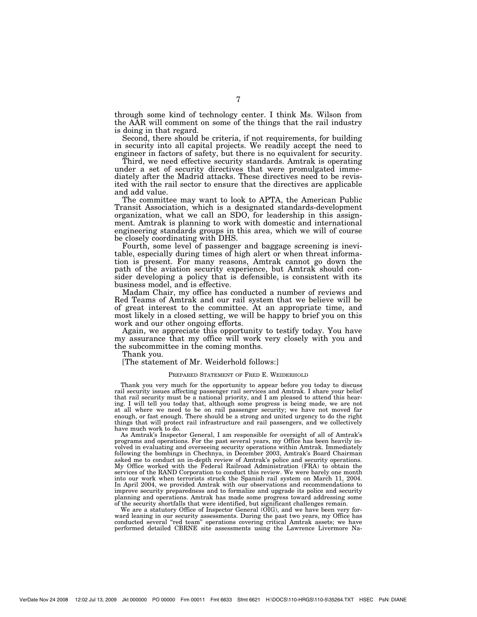through some kind of technology center. I think Ms. Wilson from the AAR will comment on some of the things that the rail industry is doing in that regard.

Second, there should be criteria, if not requirements, for building in security into all capital projects. We readily accept the need to engineer in factors of safety, but there is no equivalent for security.

Third, we need effective security standards. Amtrak is operating under a set of security directives that were promulgated immediately after the Madrid attacks. These directives need to be revisited with the rail sector to ensure that the directives are applicable and add value.

The committee may want to look to APTA, the American Public Transit Association, which is a designated standards-development organization, what we call an SDO, for leadership in this assignment. Amtrak is planning to work with domestic and international engineering standards groups in this area, which we will of course be closely coordinating with DHS.

Fourth, some level of passenger and baggage screening is inevitable, especially during times of high alert or when threat information is present. For many reasons, Amtrak cannot go down the path of the aviation security experience, but Amtrak should consider developing a policy that is defensible, is consistent with its business model, and is effective.

Madam Chair, my office has conducted a number of reviews and Red Teams of Amtrak and our rail system that we believe will be of great interest to the committee. At an appropriate time, and most likely in a closed setting, we will be happy to brief you on this work and our other ongoing efforts.

Again, we appreciate this opportunity to testify today. You have my assurance that my office will work very closely with you and the subcommittee in the coming months.

Thank you.

[The statement of Mr. Weiderhold follows:]

#### PREPARED STATEMENT OF FRED E. WEIDERHOLD

Thank you very much for the opportunity to appear before you today to discuss rail security issues affecting passenger rail services and Amtrak. I share your belief that rail security must be a national priority, and I am pleased to attend this hearing. I will tell you today that, although some progress is being made, we are not at all where we need to be on rail passenger security; we have not moved far enough, or fast enough. There should be a strong and united urgency to do the right things that will protect rail infrastructure and rail passengers, and we collectively have much work to do.

As Amtrak's Inspector General, I am responsible for oversight of all of Amtrak's programs and operations. For the past several years, my Office has been heavily involved in evaluating and overseeing security operations within Amtrak. Immediately following the bombings in Chechnya, in December 2003, Amtrak's Board Chairman asked me to conduct an in-depth review of Amtrak's police and security operations. My Office worked with the Federal Railroad Administration (FRA) to obtain the services of the RAND Corporation to conduct this review. We were barely one month into our work when terrorists struck the Spanish rail system on March 11, 2004. In April 2004, we provided Amtrak with our observations and recommendations to improve security preparedness and to formalize and upgrade its police and security planning and operations. Amtrak has made some progress toward addressing some of the security shortfalls that were identified, but significant challenges remain.

We are a statutory Office of Inspector General (OIG), and we have been very forward leaning in our security assessments. During the past two years, my Office has conducted several ''red team'' operations covering critical Amtrak assets; we have performed detailed CBRNE site assessments using the Lawrence Livermore Na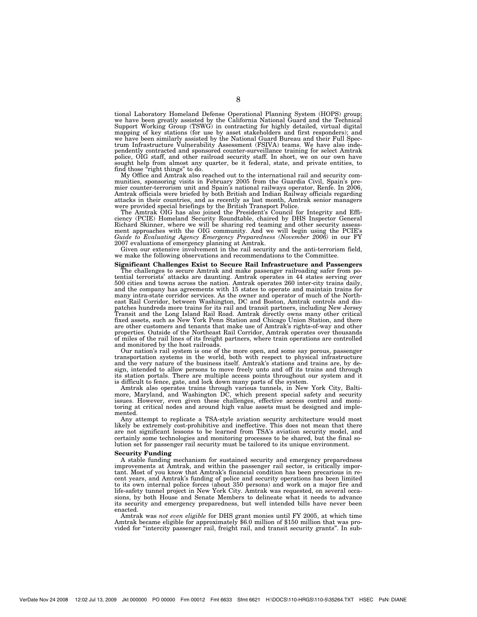tional Laboratory Homeland Defense Operational Planning System (HOPS) group;<br>we have been greatly assisted by the California National Guard and the Technical<br>Support Working Group (TSWG) in contracting for highly detailed, mapping of key stations (for use by asset stakeholders and first responders); and we have been similarly assisted by the National Guard Bureau and their Full Spectrum Infrastructure Vulnerability Assessment (FSIVA) teams. We have also inde-pendently contracted and sponsored counter-surveillance training for select Amtrak police, OIG staff, and other railroad security staff. In short, we on our own have sought help from almost any quarter, be it federal, state, and private entities, to

find those "right things" to do.<br>My Office and Amtrak also reached out to the international rail and security communities, sponsoring visits in February 2005 from the Guardia Civil, Spain's pre-mier counter-terrorism unit and Spain's national railways operator, Renfe. In 2006, Amtrak officials were briefed by both British and Indian Railway officials regarding attacks in their countries, and as recently as last month, Amtrak senior managers

were provided special briefings by the British Transport Police. The Amtrak OIG has also joined the President's Council for Integrity and Efficiency (PCIE) Homeland Security Roundtable, chaired by DHS Inspector General<br>Richard Skinner, where we will be sharing red teaming and other security assess-<br>ment approaches with the OIG community. And we will begin using

2007 evaluations of emergency planning at Amtrak. Given our extensive involvement in the rail security and the anti-terrorism field, we make the following observations and recommendations to the Committee.

#### **Significant Challenges Exist to Secure Rail Infrastructure and Passengers**

The challenges to secure Amtrak and make passenger railroading safer from potential terrorists' attacks are daunting. Amtrak operates in 44 states serving over 500 cities and towns across the nation. Amtrak operates 260 inter-city trains daily, and the company has agreements with 15 states to operate and maintain trains for many intra-state corridor services. As the owner and operator of much of the Northeast Rail Corridor, between Washington, DC and Boston, Amtrak controls and dispatches hundreds more trains for its rail and transit partners, including New Jersey Transit and the Long Island Rail Road. Amtrak directly owns many other critical fixed assets, such as New York Penn Station and Chicago Union Station, and there are other customers and tenants that make use of Amtrak's rights-of-way and other properties. Outside of the Northeast Rail Corridor, Amtrak operates over thousands of miles of the rail lines of its freight partners, where train operations are controlled and monitored by the host railroads.

Our nation's rail system is one of the more open, and some say porous, passenger transportation systems in the world, both with respect to physical infrastructure and the very nature of the business itself. Amtrak's stations and trains are, by design, intended to allow persons to move freely unto and off its trains and through its station portals. There are multiple access points throughout our system and it is difficult to fence, gate, and lock down many parts of the system.

Amtrak also operates trains through various tunnels, in New York City, Baltimore, Maryland, and Washington DC, which present special safety and security issues. However, even given these challenges, effective access control and monitoring at critical nodes and around high value assets must be designed and implemented.

Any attempt to replicate a TSA-style aviation security architecture would most likely be extremely cost-prohibitive and ineffective. This does not mean that there are not significant lessons to be learned from TSA's aviation security model, and certainly some technologies and monitoring processes to be shared, but the final solution set for passenger rail security must be tailored to its unique environment.

#### **Security Funding**

A stable funding mechanism for sustained security and emergency preparedness improvements at Amtrak, and within the passenger rail sector, is critically important. Most of you know that Amtrak's financial condition has been precarious in recent years, and Amtrak's funding of police and security operations has been limited to its own internal police forces (about 350 persons) and work on a major fire and life-safety tunnel project in New York City. Amtrak was requested, on several occasions, by both House and Senate Members to delineate what it needs to advance its security and emergency preparedness, but well intended bills have never been enacted.

Amtrak was *not even eligible* for DHS grant monies until FY 2005, at which time Amtrak became eligible for approximately \$6.0 million of \$150 million that was provided for ''intercity passenger rail, freight rail, and transit security grants''. In sub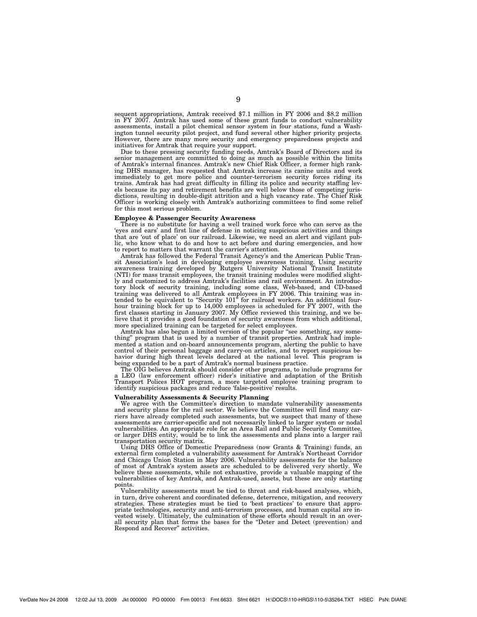sequent appropriations, Amtrak received \$7.1 million in FY 2006 and \$8.2 million in FY 2007. Amtrak has used some of these grant funds to conduct vulnerability assessments, install a pilot chemical sensor system in four stations, fund a Washington tunnel security pilot project, and fund several other higher priority projects. However, there are many more security and emergency preparedness projects and initiatives for Amtrak that require your support.

Due to these pressing security funding needs, Amtrak's Board of Directors and its senior management are committed to doing as much as possible within the limits of Amtrak's internal finances. Amtrak's new Chief Risk Officer, a former high ranking DHS manager, has requested that Amtrak increase its canine units and work immediately to get more police and counter-terrorism security forces riding its trains. Amtrak has had great difficulty in filling its police and security staffing levels because its pay and retirement benefits are well below those of competing jurisdictions, resulting in double-digit attrition and a high vacancy rate. The Chief Risk Officer is working closely with Amtrak's authorizing committees to find some relief for this most serious problem.

#### **Employee & Passenger Security Awareness**

There is no substitute for having a well trained work force who can serve as the 'eyes and ears' and first line of defense in noticing suspicious activities and things that are 'out of place' on our railroad. Likewise, we need an alert and vigilant public, who know what to do and how to act before and during emergencies, and how to report to matters that warrant the carrier's attention.

Amtrak has followed the Federal Transit Agency's and the American Public Transit Association's lead in developing employee awareness training. Using security awareness training developed by Rutgers University National Transit Institute (NTI) for mass transit employees, the transit training modules were modified slightly and customized to address Amtrak's facilities and rail environment. An introductory block of security training, including some class, Web-based, and CD-based training was delivered to all Amtrak employees in FY 2006. This training was intended to be equivalent to ''Security 101'' for railroad workers. An additional fourhour training block for up to 14,000 employees is scheduled for FY 2007, with the first classes starting in January 2007. My Office reviewed this training, and we believe that it provides a good foundation of security awareness from which additional, more specialized training can be targeted for select employees.

Amtrak has also begun a limited version of the popular "see something, say something'' program that is used by a number of transit properties. Amtrak had implemented a station and on-board announcements program, alerting the public to have control of their personal baggage and carry-on articles, and to report suspicious behavior during high threat levels declared at the national level. This program is being expanded to be a part of Amtrak's normal business practice.

The OIG believes Amtrak should consider other programs, to include programs for a LEO (law enforcement officer) rider's initiative and adaptation of the British Transport Polices HOT program, a more targeted employee training program to identify suspicious packages and reduce 'false-positive' results.

#### **Vulnerability Assessments & Security Planning**

We agree with the Committee's direction to mandate vulnerability assessments and security plans for the rail sector. We believe the Committee will find many carriers have already completed such assessments, but we suspect that many of these assessments are carrier-specific and not necessarily linked to larger system or nodal vulnerabilities. An appropriate role for an Area Rail and Public Security Committee, or larger DHS entity, would be to link the assessments and plans into a larger rail transportation security matrix.

Using DHS Office of Domestic Preparedness (now Grants & Training) funds, an external firm completed a vulnerability assessment for Amtrak's Northeast Corridor and Chicago Union Station in May 2006. Vulnerability assessments for the balance of most of Amtrak's system assets are scheduled to be delivered very shortly. We believe these assessments, while not exhaustive, provide a valuable mapping of the vulnerabilities of key Amtrak, and Amtrak-used, assets, but these are only starting points.

Vulnerability assessments must be tied to threat and risk-based analyses, which, in turn, drive coherent and coordinated defense, deterrence, mitigation, and recovery strategies. These strategies must be tied to 'best practices' to ensure that appropriate technologies, security and anti-terrorism processes, and human capital are invested wisely. Ultimately, the culmination of these efforts should result in an overall security plan that forms the bases for the ''Deter and Detect (prevention) and Respond and Recover'' activities.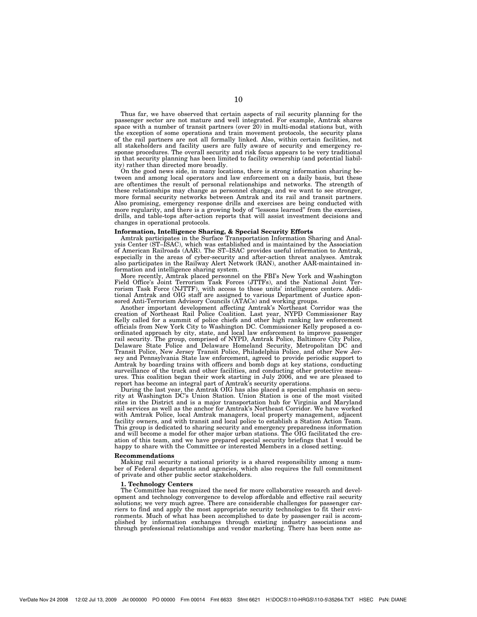Thus far, we have observed that certain aspects of rail security planning for the passenger sector are not mature and well integrated. For example, Amtrak shares space with a number of transit partners (over 20) in multi-modal stations but, with the exception of some operations and train movement protocols, the security plans of the rail partners are not all formally linked. Also, within certain facilities, not all stakeholders and facility users are fully aware of security and emergency response procedures. The overall security and risk focus appears to be very traditional in that security planning has been limited to facility ownership (and potential liability) rather than directed more broadly.

On the good news side, in many locations, there is strong information sharing between and among local operators and law enforcement on a daily basis, but these are oftentimes the result of personal relationships and networks. The strength of these relationships may change as personnel change, and we want to see stronger, more formal security networks between Amtrak and its rail and transit partners. Also promising, emergency response drills and exercises are being conducted with more regularity, and there is a growing body of ''lessons learned'' from the exercises, drills, and table-tops after-action reports that will assist investment decisions and changes in operational protocols.

#### **Information, Intelligence Sharing, & Special Security Efforts**

Amtrak participates in the Surface Transportation Information Sharing and Analysis Center (ST–ISAC), which was established and is maintained by the Association of American Railroads (AAR). The ST–ISAC provides useful information to Amtrak, especially in the areas of cyber-security and after-action threat analyses. Amtrak also participates in the Railway Alert Network (RAN), another AAR-maintained information and intelligence sharing system.

More recently, Amtrak placed personnel on the FBI's New York and Washington Field Office's Joint Terrorism Task Forces (JTTFs), and the National Joint Terrorism Task Force (NJTTF), with access to those units' intelligence centers. Additional Amtrak and OIG staff are assigned to various Department of Justice sponsored Anti-Terrorism Advisory Councils (ATACs) and working groups.

Another important development affecting Amtrak's Northeast Corridor was the creation of Northeast Rail Police Coalition. Last year, NYPD Commissioner Ray Kelly called for a summit of police chiefs and other high ranking law enforcement officials from New York City to Washington DC. Commissioner Kelly proposed a coordinated approach by city, state, and local law enforcement to improve passenger rail security. The group, comprised of NYPD, Amtrak Police, Baltimore City Police, Delaware State Police and Delaware Homeland Security, Metropolitan DC and Transit Police, New Jersey Transit Police, Philadelphia Police, and other New Jersey and Pennsylvania State law enforcement, agreed to provide periodic support to Amtrak by boarding trains with officers and bomb dogs at key stations, conducting surveillance of the track and other facilities, and conducting other protective measures. This coalition began their work starting in July 2006, and we are pleased to report has become an integral part of Amtrak's security operations.

During the last year, the Amtrak OIG has also placed a special emphasis on security at Washington DC's Union Station. Union Station is one of the most visited sites in the District and is a major transportation hub for Virginia and Maryland rail services as well as the anchor for Amtrak's Northeast Corridor. We have worked with Amtrak Police, local Amtrak managers, local property management, adjacent facility owners, and with transit and local police to establish a Station Action Team. This group is dedicated to sharing security and emergency preparedness information and will become a model for other major urban stations. The OIG facilitated the creation of this team, and we have prepared special security briefings that I would be happy to share with the Committee or interested Members in a closed setting.

#### **Recommendations**

Making rail security a national priority is a shared responsibility among a number of Federal departments and agencies, which also requires the full commitment of private and other public sector stakeholders.

#### **1. Technology Centers**

The Committee has recognized the need for more collaborative research and development and technology convergence to develop affordable and effective rail security solutions; we very much agree. There are considerable challenges for passenger carriers to find and apply the most appropriate security technologies to fit their environments. Much of what has been accomplished to date by passenger rail is accomplished by information exchanges through existing industry associations and through professional relationships and vendor marketing. There has been some as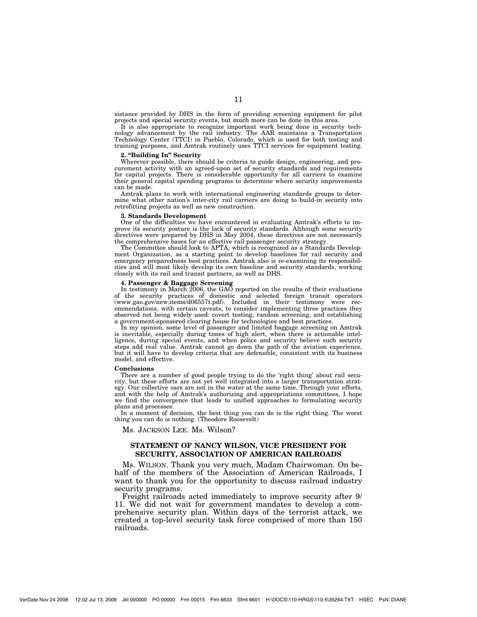sistance provided by DHS in the form of providing screening equipment for pilot projects and special security events, but much more can be done in this area.

It is also appropriate to recognize important work being done in security technology advancement by the rail industry. The AAR maintains a Transportation Technology Center (TTCI) in Pueblo, Colorado, which is used for both testing and training purposes, and Amtrak routinely uses TTCI services for equipment testing.

#### **2. ''Building In'' Security**

Wherever possible, there should be criteria to guide design, engineering, and procurement activity with an agreed-upon set of security standards and requirements for capital projects. There is considerable opportunity for all carriers to examine their general capital spending programs to determine where security improvements can be made.

Amtrak plans to work with international engineering standards groups to determine what other nation's inter-city rail carriers are doing to build-in security into retrofitting projects as well as new construction.

#### **3. Standards Development**

One of the difficulties we have encountered in evaluating Amtrak's efforts to improve its security posture is the lack of security standards. Although some security directives were prepared by DHS in May 2004, these directives are not necessarily the comprehensive bases for an effective rail passenger security strategy.

The Committee should look to APTA, which is recognized as a Standards Development Organization, as a starting point to develop baselines for rail security and emergency preparedness best practices. Amtrak also is re-examining its responsibilities and will most likely develop its own baseline and security standards, working closely with its rail and transit partners, as well as DHS.

#### **4. Passenger & Baggage Screening**

In testimony in March 2006, the GAO reported on the results of their evaluations of the security practices of domestic and selected foreign transit operators (www.gao.gov/new.items/d06557t.pdf). Included in their testimony were recommendations, with certain caveats, to consider implementing three practices they observed not being widely used: covert testing, random screening, and establishing a government-sponsored clearing house for technologies and best practices.

In my opinion, some level of passenger and limited baggage screening on Amtrak is inevitable, especially during times of high alert, when there is actionable intelligence, during special events, and when police and security believe such security steps add real value. Amtrak cannot go down the path of the aviation experience, but it will have to develop criteria that are defensible, consistent with its business model, and effective.

#### **Conclusions**

There are a number of good people trying to do the 'right thing' about rail security, but these efforts are not yet well integrated into a larger transportation strategy. Our collective oars are not in the water at the same time. Through your efforts, and with the help of Amtrak's authorizing and appropriations committees, I hope we find the convergence that leads to unified approaches to formulating security plans and processes.

In a moment of decision, the best thing you can do is the right thing. The worst thing you can do is nothing. (Theodore Roosevelt)

Ms. JACKSON LEE. Ms. Wilson?

### **STATEMENT OF NANCY WILSON, VICE PRESIDENT FOR SECURITY, ASSOCIATION OF AMERICAN RAILROADS**

Ms. WILSON. Thank you very much, Madam Chairwoman. On behalf of the members of the Association of American Railroads, I want to thank you for the opportunity to discuss railroad industry security programs.

Freight railroads acted immediately to improve security after 9/ 11. We did not wait for government mandates to develop a comprehensive security plan. Within days of the terrorist attack, we created a top-level security task force comprised of more than 150 railroads.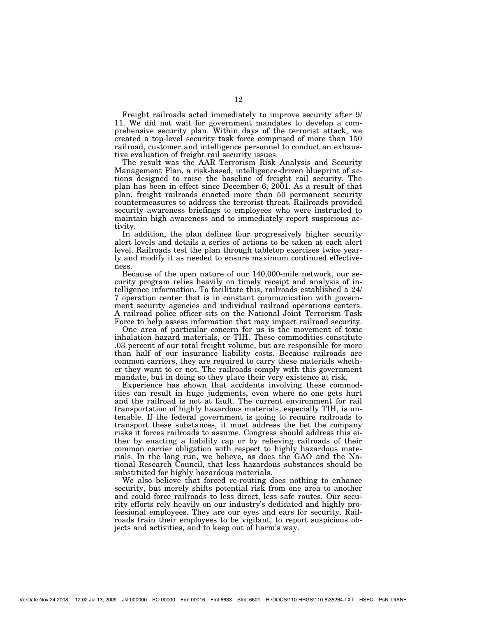Freight railroads acted immediately to improve security after 9/ 11. We did not wait for government mandates to develop a comprehensive security plan. Within days of the terrorist attack, we created a top-level security task force comprised of more than 150 railroad, customer and intelligence personnel to conduct an exhaustive evaluation of freight rail security issues.

The result was the AAR Terrorism Risk Analysis and Security Management Plan, a risk-based, intelligence-driven blueprint of actions designed to raise the baseline of freight rail security. The plan has been in effect since December 6, 2001. As a result of that plan, freight railroads enacted more than 50 permanent security countermeasures to address the terrorist threat. Railroads provided security awareness briefings to employees who were instructed to maintain high awareness and to immediately report suspicious activity.

In addition, the plan defines four progressively higher security alert levels and details a series of actions to be taken at each alert level. Railroads test the plan through tabletop exercises twice yearly and modify it as needed to ensure maximum continued effectiveness.

Because of the open nature of our 140,000-mile network, our security program relies heavily on timely receipt and analysis of intelligence information. To facilitate this, railroads established a 24/ 7 operation center that is in constant communication with government security agencies and individual railroad operations centers. A railroad police officer sits on the National Joint Terrorism Task Force to help assess information that may impact railroad security.

One area of particular concern for us is the movement of toxic inhalation hazard materials, or TIH. These commodities constitute .03 percent of our total freight volume, but are responsible for more than half of our insurance liability costs. Because railroads are common carriers, they are required to carry these materials whether they want to or not. The railroads comply with this government mandate, but in doing so they place their very existence at risk.

Experience has shown that accidents involving these commodities can result in huge judgments, even where no one gets hurt and the railroad is not at fault. The current environment for rail transportation of highly hazardous materials, especially TIH, is untenable. If the federal government is going to require railroads to transport these substances, it must address the bet the company risks it forces railroads to assume. Congress should address this either by enacting a liability cap or by relieving railroads of their common carrier obligation with respect to highly hazardous materials. In the long run, we believe, as does the GAO and the National Research Council, that less hazardous substances should be substituted for highly hazardous materials.

We also believe that forced re-routing does nothing to enhance security, but merely shifts potential risk from one area to another and could force railroads to less direct, less safe routes. Our security efforts rely heavily on our industry's dedicated and highly professional employees. They are our eyes and ears for security. Railroads train their employees to be vigilant, to report suspicious objects and activities, and to keep out of harm's way.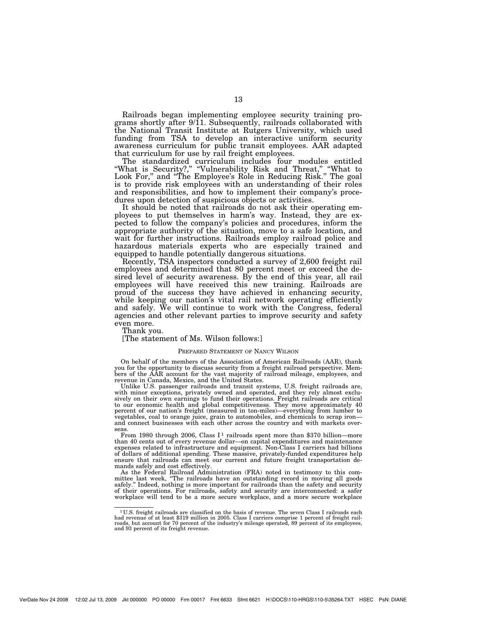Railroads began implementing employee security training programs shortly after 9/11. Subsequently, railroads collaborated with the National Transit Institute at Rutgers University, which used funding from TSA to develop an interactive uniform security awareness curriculum for public transit employees. AAR adapted that curriculum for use by rail freight employees.

The standardized curriculum includes four modules entitled ''What is Security?,'' ''Vulnerability Risk and Threat,'' ''What to Look For,'' and ''The Employee's Role in Reducing Risk.'' The goal is to provide risk employees with an understanding of their roles and responsibilities, and how to implement their company's procedures upon detection of suspicious objects or activities.

It should be noted that railroads do not ask their operating employees to put themselves in harm's way. Instead, they are expected to follow the company's policies and procedures, inform the appropriate authority of the situation, move to a safe location, and wait for further instructions. Railroads employ railroad police and hazardous materials experts who are especially trained and equipped to handle potentially dangerous situations.

Recently, TSA inspectors conducted a survey of 2,600 freight rail employees and determined that 80 percent meet or exceed the desired level of security awareness. By the end of this year, all rail employees will have received this new training. Railroads are proud of the success they have achieved in enhancing security, while keeping our nation's vital rail network operating efficiently and safely. We will continue to work with the Congress, federal agencies and other relevant parties to improve security and safety even more.

Thank you.

[The statement of Ms. Wilson follows:]

#### PREPARED STATEMENT OF NANCY WILSON

On behalf of the members of the Association of American Railroads (AAR), thank you for the opportunity to discuss security from a freight railroad perspective. Members of the AAR account for the vast majority of railroad mileage, employees, and revenue in Canada, Mexico, and the United States.

Unlike U.S. passenger railroads and transit systems, U.S. freight railroads are, with minor exceptions, privately owned and operated, and they rely almost exclusively on their own earnings to fund their operations. Freight railroads are critical to our economic health and global competitiveness. They move approximately 40 percent of our nation's freight (measured in ton-miles)—everything from lumber to vegetables, coal to orange juice, grain to automobiles, and chemicals to scrap iron and connect businesses with each other across the country and with markets over-

From 1980 through 2006, Class I<sup>1</sup> railroads spent more than \$370 billion—more than 40 cents out of every revenue dollar—on capital expenditures and maintenance expenses related to infrastructure and equipment. Non-Class I carriers had billions of dollars of additional spending. These massive, privately-funded expenditures help ensure that railroads can meet our current and future freight transportation demands safely and cost effectively.

As the Federal Railroad Administration (FRA) noted in testimony to this committee last week, ''The railroads have an outstanding record in moving all goods safely.'' Indeed, nothing is more important for railroads than the safety and security of their operations. For railroads, safety and security are interconnected: a safer workplace will tend to be a more secure workplace, and a more secure workplace

<sup>1</sup> U.S. freight railroads are classified on the basis of revenue. The seven Class I railroads each had revenue of at least \$319 million in 2005. Class I carriers comprise 1 percent of freight railroads, but account for 70 percent of the industry's mileage operated, 89 percent of its employees, and 93 percent of its freight revenue.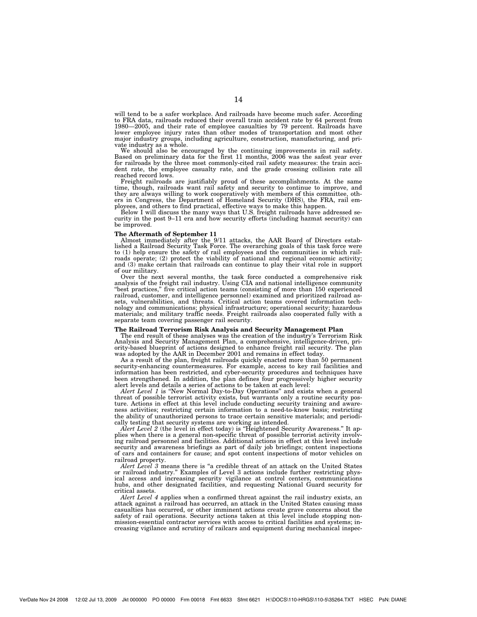will tend to be a safer workplace. And railroads have become much safer. According to FRA data, railroads reduced their overall train accident rate by 64 percent from 1980—2005, and their rate of employee casualties by 79 percent. Railroads have lower employee injury rates than other modes of transportation and most other major industry groups, including agriculture, construction, manufacturing, and pri-

vate industry as a whole.<br>We should also be encouraged by the continuing improvements in rail safety.<br>Based on preliminary data for the first 11 months, 2006 was the safest year ever<br>for railroads by the three most commonl dent rate, the employee casualty rate, and the grade crossing collision rate all reached record lows.

Freight railroads are justifiably proud of these accomplishments. At the same time, though, railroads want rail safety and security to continue to improve, and they are always willing to work cooperatively with members of this committee, oth-ers in Congress, the Department of Homeland Security (DHS), the FRA, rail em-

ployees, and others to find practical, effective ways to make this happen. Below I will discuss the many ways that U.S. freight railroads have addressed security in the post 9–11 era and how security efforts (including hazmat security) can be improved.

#### **The Aftermath of September 11**

Almost immediately after the 9/11 attacks, the AAR Board of Directors established a Railroad Security Task Force. The overarching goals of this task force were to (1) help ensure the safety of rail employees and the communities in which railroads operate; (2) protect the viability of national and regional economic activity; and (3) make certain that railroads can continue to play their vital role in support of our military.

Over the next several months, the task force conducted a comprehensive risk analysis of the freight rail industry. Using CIA and national intelligence community "best practices," five critical action teams (consisting of more than 150 experienced railroad, customer, and intelligence personnel) examined and prioritized railroad assets, vulnerabilities, and threats. Critical action teams covered information technology and communications; physical infrastructure; operational security; hazardous materials; and military traffic needs. Freight railroads also cooperated fully with a separate team covering passenger rail security.

#### **The Railroad Terrorism Risk Analysis and Security Management Plan**

The end result of these analyses was the creation of the industry's Terrorism Risk Analysis and Security Management Plan, a comprehensive, intelligence-driven, pri-ority-based blueprint of actions designed to enhance freight rail security. The plan

was adopted by the AAR in December 2001 and remains in effect today. As a result of the plan, freight railroads quickly enacted more than 50 permanent security-enhancing countermeasures. For example, access to key rail facilities and information has been restricted, and cyber-security procedures and techniques have been strengthened. In addition, the plan defines four progressively higher security alert levels and details a series of actions to be taken at each level:

*Alert Level 1* is ''New Normal Day-to-Day Operations'' and exists when a general threat of possible terrorist activity exists, but warrants only a routine security posture. Actions in effect at this level include conducting security training and awareness activities; restricting certain information to a need-to-know basis; restricting the ability of unauthorized persons to trace certain sensitive materials; and periodically testing that security systems are working as intended.

*Alert Level 2* (the level in effect today) is ''Heightened Security Awareness.'' It applies when there is a general non-specific threat of possible terrorist activity involving railroad personnel and facilities. Additional actions in effect at this level include security and awareness briefings as part of daily job briefings; content inspections of cars and containers for cause; and spot content inspections of motor vehicles on railroad property.

*Alert Level 3* means there is ''a credible threat of an attack on the United States or railroad industry.'' Examples of Level 3 actions include further restricting physical access and increasing security vigilance at control centers, communications hubs, and other designated facilities, and requesting National Guard security for critical assets.

*Alert Level 4* applies when a confirmed threat against the rail industry exists, an attack against a railroad has occurred, an attack in the United States causing mass casualties has occurred, or other imminent actions create grave concerns about the safety of rail operations. Security actions taken at this level include stopping nonmission-essential contractor services with access to critical facilities and systems; increasing vigilance and scrutiny of railcars and equipment during mechanical inspec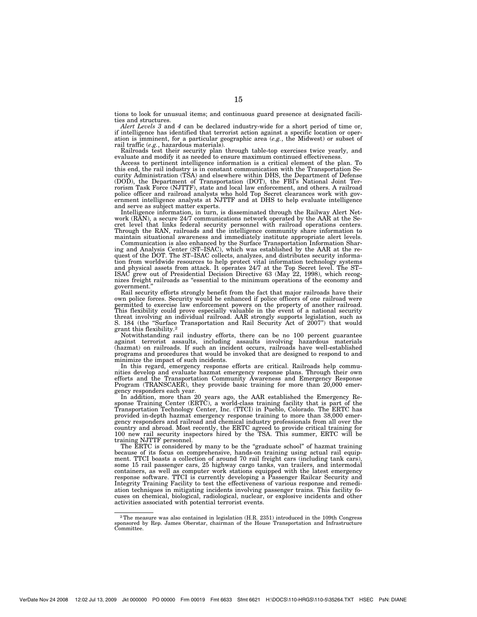tions to look for unusual items; and continuous guard presence at designated facilities and structures.

*Alert Levels 3* and *4* can be declared industry-wide for a short period of time or, if intelligence has identified that terrorist action against a specific location or operation is imminent, for a particular geographic area (*e.g.*, the Midwest) or subset of rail traffic (*e.g.*, hazardous materials).

Railroads test their security plan through table-top exercises twice yearly, and evaluate and modify it as needed to ensure maximum continued effectiveness.

Access to pertinent intelligence information is a critical element of the plan. To this end, the rail industry is in constant communication with the Transportation Se-curity Administration (TSA) and elsewhere within DHS, the Department of Defense (DOD), the Department of Transportation (DOT), the FBI's National Joint Ter-rorism Task Force (NJTTF), state and local law enforcement, and others. A railroad police officer and railroad analysts who hold Top Secret clearances work with gov-ernment intelligence analysts at NJTTF and at DHS to help evaluate intelligence

and serve as subject matter experts. Intelligence information, in turn, is disseminated through the Railway Alert Network (RAN), a secure 24/7 communications network operated by the AAR at the Se-cret level that links federal security personnel with railroad operations centers. Through the RAN, railroads and the intelligence community share information to maintain situational awareness and immediately institute appropriate alert levels.

Communication is also enhanced by the Surface Transportation Information Shar-ing and Analysis Center (ST–ISAC), which was established by the AAR at the request of the DOT. The ST–ISAC collects, analyzes, and distributes security informa-<br>tion from worldwide resources to help protect vital information technology systems tion from worldwide resources to help protect vital information technology systems<br>and physical assets from attack. It operates  $24/7$  at the Top Secret level. The ST-<br>ISAC grew out of Presidential Decision Directive 63 (M

Rail security efforts strongly benefit from the fact that major railroads have their own police forces. Security would be enhanced if police officers of one railroad were permitted to exercise law enforcement powers on the property of another railroad.<br>This flexibility could prove especially valuable in the event of a national security<br>threat involving an individual railroad. AAR strongly s S. 184 (the "Surface Transportation and Rail Security Act of 2007") that would grant this flexibility.

Notwithstanding rail industry efforts, there can be no 100 percent guarantee against terrorist assaults, including assaults involving hazardous materials (hazmat) on railroads. If such an incident occurs, railroads have we programs and procedures that would be invoked that are designed to respond to and minimize the impact of such incidents.

In this regard, emergency response efforts are critical. Railroads help commu-nities develop and evaluate hazmat emergency response plans. Through their own efforts and the Transportation Community Awareness and Emergency Response Program (TRANSCAER), they provide basic training for more than 20,000 emergency responders each year.

In addition, more than 20 years ago, the AAR established the Emergency Response Training Center (ERTC), a world-class training facility that is part of the Transportation Technology Center, Inc. (TTCI) in Pueblo, Colorado. provided in-depth hazmat emergency response training to more than 38,000 emer-gency responders and railroad and chemical industry professionals from all over the country and abroad. Most recently, the ERTC agreed to provide critical training for 100 new rail security inspectors hired by the TSA. This summer, ERTC will be training NJTTF personnel.

The ERTC is considered by many to be the "graduate school" of hazmat training because of its focus on comprehensive, hands-on training using actual rail equipment. TTCI boasts a collection of around 70 rail freight cars (including tank cars), some 15 rail passenger cars, 25 highway cargo tanks, van trailers, and intermodal containers, as well as computer work stations equipped with the latest emergency response software. TTCI is currently developing a Passenger Railcar Security and Integrity Training Facility to test the effectiveness of various response and remediation techniques in mitigating incidents involving passenger trains. This facility focuses on chemical, biological, radiological, nuclear, or explosive incidents and other activities associated with potential terrorist events.

<sup>2</sup>The measure was also contained in legislation (H.R. 2351) introduced in the 109th Congress sponsored by Rep. James Oberstar, chairman of the House Transportation and Infrastructure Committee.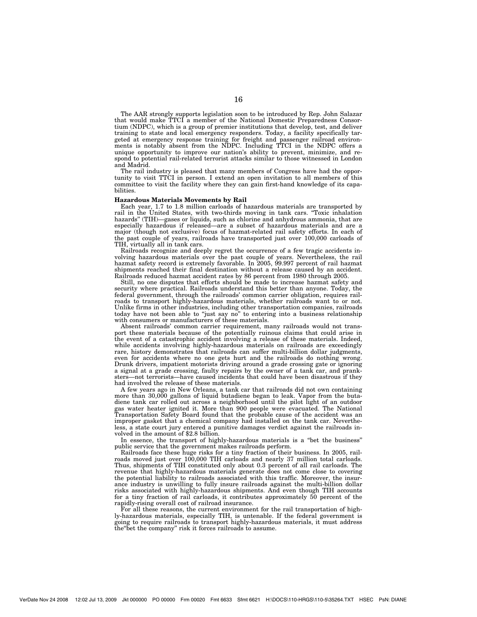The AAR strongly supports legislation soon to be introduced by Rep. John Salazar that would make TTCI a member of the National Domestic Preparedness Consortium (NDPC), which is a group of premier institutions that develop, test, and deliver training to state and local emergency responders. Today, a facility specifically targeted at emergency response training for freight and passenger railroad environments is notably absent from the NDPC. Including TTCI in the NDPC offers a unique opportunity to improve our nation's ability to prevent, minimize, and respond to potential rail-related terrorist attacks similar to those witnessed in London and Madrid.

The rail industry is pleased that many members of Congress have had the opportunity to visit TTCI in person. I extend an open invitation to all members of this committee to visit the facility where they can gain first-hand knowledge of its capabilities.

#### **Hazardous Materials Movements by Rail**

Each year, 1.7 to 1.8 million carloads of hazardous materials are transported by rail in the United States, with two-thirds moving in tank cars. ''Toxic inhalation hazards'' (TIH)—gases or liquids, such as chlorine and anhydrous ammonia, that are especially hazardous if released—are a subset of hazardous materials and are a major (though not exclusive) focus of hazmat-related rail safety efforts. In each of the past couple of years, railroads have transported just over 100,000 carloads of TIH, virtually all in tank cars.

Railroads recognize and deeply regret the occurrence of a few tragic accidents involving hazardous materials over the past couple of years. Nevertheless, the rail hazmat safety record is extremely favorable. In 2005, 99.997 percent of rail hazmat shipments reached their final destination without a release caused by an accident. Railroads reduced hazmat accident rates by 86 percent from 1980 through 2005.

Still, no one disputes that efforts should be made to increase hazmat safety and security where practical. Railroads understand this better than anyone. Today, the federal government, through the railroads' common carrier obligation, requires railroads to transport highly-hazardous materials, whether railroads want to or not. Unlike firms in other industries, including other transportation companies, railroads today have not been able to ''just say no'' to entering into a business relationship with consumers or manufacturers of these materials.

Absent railroads' common carrier requirement, many railroads would not transport these materials because of the potentially ruinous claims that could arise in the event of a catastrophic accident involving a release of these materials. Indeed, while accidents involving highly-hazardous materials on railroads are exceedingly rare, history demonstrates that railroads can suffer multi-billion dollar judgments, even for accidents where no one gets hurt and the railroads do nothing wrong. Drunk drivers, impatient motorists driving around a grade crossing gate or ignoring a signal at a grade crossing, faulty repairs by the owner of a tank car, and pranksters—not terrorists—have caused incidents that could have been disastrous if they had involved the release of these materials.

A few years ago in New Orleans, a tank car that railroads did not own containing more than 30,000 gallons of liquid butadiene began to leak. Vapor from the butadiene tank car rolled out across a neighborhood until the pilot light of an outdoor gas water heater ignited it. More than 900 people were evacuated. The National Transportation Safety Board found that the probable cause of the accident was an improper gasket that a chemical company had installed on the tank car. Nevertheless, a state court jury entered a punitive damages verdict against the railroads involved in the amount of \$2.8 billion.

In essence, the transport of highly-hazardous materials is a ''bet the business'' public service that the government makes railroads perform.

Railroads face these huge risks for a tiny fraction of their business. In 2005, railroads moved just over 100,000 TIH carloads and nearly 37 million total carloads. Thus, shipments of TIH constituted only about 0.3 percent of all rail carloads. The revenue that highly-hazardous materials generate does not come close to covering the potential liability to railroads associated with this traffic. Moreover, the insurance industry is unwilling to fully insure railroads against the multi-billion dollar risks associated with highly-hazardous shipments. And even though TIH accounts for a tiny fraction of rail carloads, it contributes approximately 50 percent of the rapidly-rising overall cost of railroad insurance.

For all these reasons, the current environment for the rail transportation of highly-hazardous materials, especially TIH, is untenable. If the federal government is going to require railroads to transport highly-hazardous materials, it must address the''bet the company'' risk it forces railroads to assume.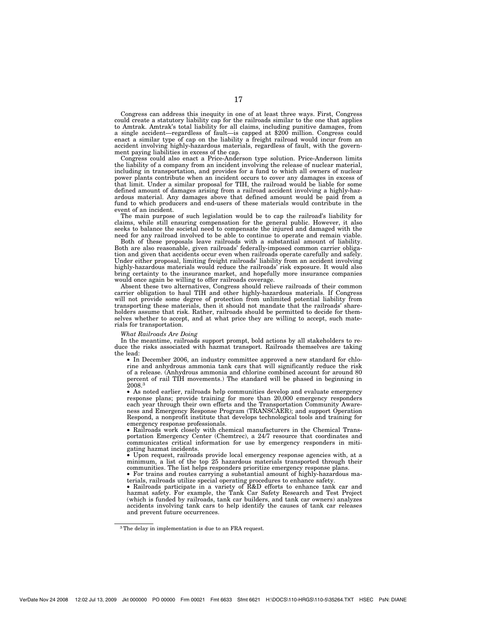Congress can address this inequity in one of at least three ways. First, Congress could create a statutory liability cap for the railroads similar to the one that applies to Amtrak. Amtrak's total liability for all claims, including punitive damages, from a single accident—regardless of fault—is capped at \$200 million. Congress could enact a similar type of cap on the liability a freight railroad would incur from an accident involving highly-hazardous materials, regardless of fault, with the government paying liabilities in excess of the cap.

Congress could also enact a Price-Anderson type solution. Price-Anderson limits the liability of a company from an incident involving the release of nuclear material, including in transportation, and provides for a fund to which all owners of nuclear power plants contribute when an incident occurs to cover any damages in excess of that limit. Under a similar proposal for TIH, the railroad would be liable for some defined amount of damages arising from a railroad accident involving a highly-hazardous material. Any damages above that defined amount would be paid from a fund to which producers and end-users of these materials would contribute in the event of an incident.

The main purpose of such legislation would be to cap the railroad's liability for claims, while still ensuring compensation for the general public. However, it also seeks to balance the societal need to compensate the injured and damaged with the need for any railroad involved to be able to continue to operate and remain viable.

Both of these proposals leave railroads with a substantial amount of liability. Both are also reasonable, given railroads' federally-imposed common carrier obligation and given that accidents occur even when railroads operate carefully and safely. Under either proposal, limiting freight railroads' liability from an accident involving highly-hazardous materials would reduce the railroads' risk exposure. It would also bring certainty to the insurance market, and hopefully more insurance companies would once again be willing to offer railroads coverage.

Absent these two alternatives, Congress should relieve railroads of their common carrier obligation to haul TIH and other highly-hazardous materials. If Congress will not provide some degree of protection from unlimited potential liability from transporting these materials, then it should not mandate that the railroads' shareholders assume that risk. Rather, railroads should be permitted to decide for themselves whether to accept, and at what price they are willing to accept, such materials for transportation.

*What Railroads Are Doing* 

In the meantime, railroads support prompt, bold actions by all stakeholders to reduce the risks associated with hazmat transport. Railroads themselves are taking the lead:

• In December 2006, an industry committee approved a new standard for chlorine and anhydrous ammonia tank cars that will significantly reduce the risk of a release. (Anhydrous ammonia and chlorine combined account for around 80 percent of rail TIH movements.) The standard will be phased in beginning in 2008.3

• As noted earlier, railroads help communities develop and evaluate emergency response plans; provide training for more than 20,000 emergency responders each year through their own efforts and the Transportation Community Awareness and Emergency Response Program (TRANSCAER); and support Operation Respond, a nonprofit institute that develops technological tools and training for emergency response professionals.

• Railroads work closely with chemical manufacturers in the Chemical Transportation Emergency Center (Chemtrec), a 24/7 resource that coordinates and communicates critical information for use by emergency responders in mitigating hazmat incidents.

• Upon request, railroads provide local emergency response agencies with, at a minimum, a list of the top 25 hazardous materials transported through their communities. The list helps responders prioritize emergency response plans.

• For trains and routes carrying a substantial amount of highly-hazardous materials, railroads utilize special operating procedures to enhance safety.

• Railroads participate in a variety of R&D efforts to enhance tank car and hazmat safety. For example, the Tank Car Safety Research and Test Project (which is funded by railroads, tank car builders, and tank car owners) analyzes accidents involving tank cars to help identify the causes of tank car releases and prevent future occurrences.

<sup>3</sup>The delay in implementation is due to an FRA request.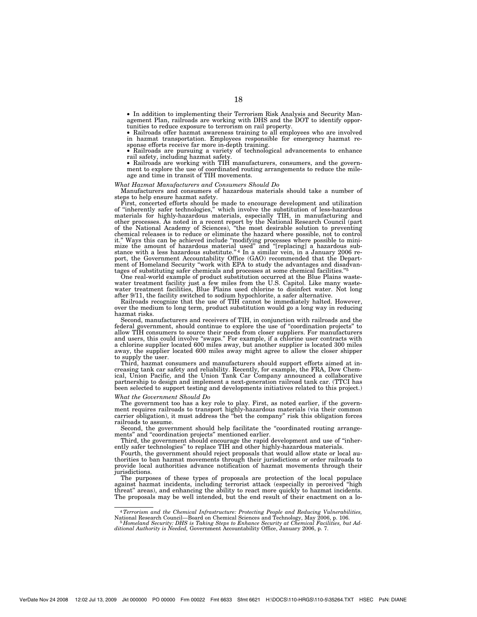• In addition to implementing their Terrorism Risk Analysis and Security Management Plan, railroads are working with DHS and the DOT to identify opportunities to reduce exposure to terrorism on rail property.

• Railroads offer hazmat awareness training to all employees who are involved in hazmat transportation. Employees responsible for emergency hazmat re-sponse efforts receive far more in-depth training.

• Railroads are pursuing a variety of technological advancements to enhance rail safety, including hazmat safety.

• Railroads are working with TIH manufacturers, consumers, and the government to explore the use of coordinated routing arrangements to reduce the mileage and time in transit of TIH movements.

#### *What Hazmat Manufacturers and Consumers Should Do*

Manufacturers and consumers of hazardous materials should take a number of steps to help ensure hazmat safety.

First, concerted efforts should be made to encourage development and utilization of ''inherently safer technologies,'' which involve the substitution of less-hazardous materials for highly-hazardous materials, especially TIH, in manufacturing and other processes. As noted in a recent report by the National Research Council (part of the National Academy of Sciences), ''the most desirable solution to preventing chemical releases is to reduce or eliminate the hazard where possible, not to control it." Ways this can be achieved include "modifying processes where possible to mini-<br>mize the amount of hazardous material used" and "[replacing] a hazardous sub-<br>stance with a less hazardous substitute."4 In a similar vein port, the Government Accountability Office (GAO) recommended that the Department of Homeland Security "work with EPA to study the advantages and disadvantages of substituting safer chemicals and processes at some chemical facilities.

One real-world example of product substitution occurred at the Blue Plains wastewater treatment facility just a few miles from the U.S. Capitol. Like many wastewater treatment facilities, Blue Plains used chlorine to disinfect water. Not long after 9/11, the facility switched to sodium hypochlorite, a safer alternative.

Railroads recognize that the use of TIH cannot be immediately halted. However, over the medium to long term, product substitution would go a long way in reducing hazmat risks.

Second, manufacturers and receivers of TIH, in conjunction with railroads and the federal government, should continue to explore the use of ''coordination projects'' to allow TIH consumers to source their needs from closer suppliers. For manufacturers and users, this could involve "swaps." For example, if a chlorine user contracts with a chlorine supplier located 600 miles away, but another supplier is located 300 miles away, the supplier located 600 miles away might agree to allow the closer shipper to supply the user.

Third, hazmat consumers and manufacturers should support efforts aimed at increasing tank car safety and reliability. Recently, for example, the FRA, Dow Chemical, Union Pacific, and the Union Tank Car Company announced a collaborative partnership to design and implement a next-generation railroad tank car. (TTCI has been selected to support testing and developments initiatives related to this project.)

*What the Government Should Do* 

The government too has a key role to play. First, as noted earlier, if the government requires railroads to transport highly-hazardous materials (via their common carrier obligation), it must address the ''bet the company'' risk this obligation forces railroads to assume.

Second, the government should help facilitate the ''coordinated routing arrangements'' and ''coordination projects'' mentioned earlier.

Third, the government should encourage the rapid development and use of ''inherently safer technologies" to replace TIH and other highly-hazardous materials.

Fourth, the government should reject proposals that would allow state or local authorities to ban hazmat movements through their jurisdictions or order railroads to provide local authorities advance notification of hazmat movements through their jurisdictions.

The purposes of these types of proposals are protection of the local populace against hazmat incidents, including terrorist attack (especially in perceived ''high threat'' areas), and enhancing the ability to react more quickly to hazmat incidents. The proposals may be well intended, but the end result of their enactment on a lo-

 $^4$  Terrorism and the Chemical Infrastructure: Protecting People and Reducing Vulnerabilities, National Research Council—Board on Chemical Sciences and Technology, May 2006, p. 106.<br>5 Homeland Security: DHS is Taking Ste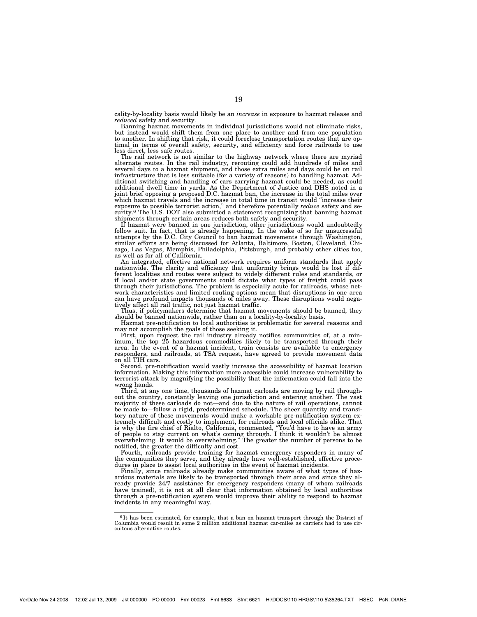cality-by-locality basis would likely be an *increase* in exposure to hazmat release and *reduced* safety and security.

Banning hazmat movements in individual jurisdictions would not eliminate risks, but instead would shift them from one place to another and from one population to another. In shifting that risk, it could foreclose transportation routes that are optimal in terms of overall safety, security, and efficiency and force railroads to use less direct, less safe routes.

The rail network is not similar to the highway network where there are myriad alternate routes. In the rail industry, rerouting could add hundreds of miles and<br>several days to a hazmat shipment, and those extra miles and days could be on rail<br>infrastructure that is less suitable (for a variety of re ditional switching and handling of cars carrying hazmat could be needed, as could additional dwell time in yards. As the Department of Justice and DHS noted in a joint brief opposing a proposed D.C. hazmat ban, the increase in the total miles over which hazmat travels and the increase in total time in transit would ''increase their exposure to possible terrorist action,'' and therefore potentially *reduce* safety and se-curity.6 The U.S. DOT also submitted a statement recognizing that banning hazmat

shipments through certain areas reduces both safety and security. If hazmat were banned in one jurisdiction, other jurisdictions would undoubtedly follow suit. In fact, that is already happening. In the wake of so far unsuccessful attempts by the D.C. City Council to ban hazmat movements through Washington, similar efforts are being discussed for Atlanta, Baltimore, Boston, Cleveland, Chi-cago, Las Vegas, Memphis, Philadelphia, Pittsburgh, and probably other cities too, as well as for all of California.

An integrated, effective national network requires uniform standards that apply nationwide. The clarity and efficiency that uniformity brings would be lost if different localities and routes were subject to widely different rules and standards, or if local and/or state governments could dictate what t tively affect all rail traffic, not just hazmat traffic.

Thus, if policymakers determine that hazmat movements should be banned, they should be banned nationwide, rather than on a locality-by-locality basis. Hazmat pre-notification to local authorities is problematic for several reasons and

may not accomplish the goals of those seeking it.

First, upon request the rail industry already notifies communities of, at a minimum, the top 25 hazardous commodities likely to be transported through their area. In the event of a hazmat incident, train consists are avail responders, and railroads, at TSA request, have agreed to provide movement data on all TIH cars.

Second, pre-notification would vastly increase the accessibility of hazmat location information. Making this information more accessible could increase vulnerability to terrorist attack by magnifying the possibility that the information could fall into the wrong hands.

Third, at any one time, thousands of hazmat carloads are moving by rail through-out the country, constantly leaving one jurisdiction and entering another. The vast majority of these carloads do not—and due to the nature of rail operations, cannot be made to—follow a rigid, predetermined schedule. The sheer quantity and transitory nature of these movements would make a workable pre-notification system extremely difficult and costly to implement, for railroads and local officials alike. That<br>is why the fire chief of Rialto, California, commented, "You'd have to have an army<br>of people to stay current on what's coming throug

Fourth, railroads provide training for hazmat emergency responders in many of the communities they serve, and they already have well-established, effective procedures in place to assist local authorities in the event of hazmat incidents.

Finally, since railroads already make communities aware of what types of hazardous materials are likely to be transported through their area and since they already provide 24/7 assistance for emergency responders (many of whom railroads have trained), it is not at all clear that information obtained by local authorities through a pre-notification system would improve their ability to respond to hazmat incidents in any meaningful way.

<sup>6</sup> It has been estimated, for example, that a ban on hazmat transport through the District of Columbia would result in some 2 million additional hazmat car-miles as carriers had to use circuitous alternative routes.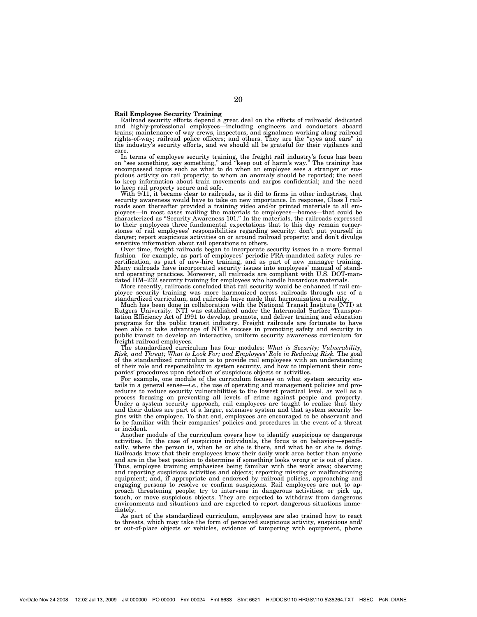#### **Rail Employee Security Training**

Railroad security efforts depend a great deal on the efforts of railroads' dedicated and highly-professional employees—including engineers and conductors aboard<br>trains; maintenance of way crews, inspectors, and signalmen working along railroad<br>rights-of-way; railroad police officers; and others. They are t the industry's security efforts, and we should all be grateful for their vigilance and care.

care.<br>In terms of employee security training, the freight rail industry's focus has been<br>om "see something, say something," and "keep out of harm's way." The training has<br>encompassed topics such as what to do when an emplo picious activity on rail property; to whom an anomaly should be reported; the need to keep information about train movements and cargos confidential; and the need to keep rail property secure and safe.

With 9/11, it became clear to railroads, as it did to firms in other industries, that security awareness would have to take on new importance. In response, Class I railroads soon thereafter provided a training video and/or printed materials to all employees—in most cases mailing the materials to employees—homes—that could be characterized as ''Security Awareness 101.'' In the materials, the railroads expressed to their employees three fundamental expectations that to this day remain cornerstones of rail employees' responsibilities regarding security: don't put yourself in danger; report suspicious activities on or around railroad property; and don't divulge

sensitive information about rail operations to others. Over time, freight railroads began to incorporate security issues in a more formal fashion—for example, as part of employees' periodic FRA-mandated safety rules re-certification, as part of new-hire training, and as part of new manager training. Many railroads have incorporated security issues into employees' manual of standard operating practices. Moreover, all railroads are compliant with U.S. DOT-man-dated HM–232 security training for employees who handle hazardous materials.

More recently, railroads concluded that rail security would be enhanced if rail employee security training was more harmonized across railroads through use of a standardized curriculum, and railroads have made that harmonization a reality.

Much has been done in collaboration with the National Transit Institute (NTI) at Rutgers University. NTI was established under the Intermodal Surface Transportation Efficiency Act of 1991 to develop, promote, and deliver training and education programs for the public transit industry. Freight railroads are fortunate to have been able to take advantage of NTI's success in promoting safety and security in public transit to develop an interactive, uniform security awareness curriculum for freight railroad employees.

The standardized curriculum has four modules: *What is Security; Vulnerability, Risk, and Threat; What to Look For; and Employees' Role in Reducing Risk.* The goal of the standardized curriculum is to provide rail employees with an understanding of their role and responsibility in system security, and how to implement their companies' procedures upon detection of suspicious objects or activities.

For example, one module of the curriculum focuses on what system security entails in a general sense—*i.e.*, the use of operating and management policies and procedures to reduce security vulnerabilities to the lowest practical level, as well as a process focusing on preventing all levels of crime against people and property. Under a system security approach, rail employees are taught to realize that they and their duties are part of a larger, extensive system and that system security begins with the employee. To that end, employees are encouraged to be observant and to be familiar with their companies' policies and procedures in the event of a threat or incident.

Another module of the curriculum covers how to identify suspicious or dangerous activities. In the case of suspicious individuals, the focus is on behavior—specifically, where the person is, when he or she is there, and what he or she is doing. Railroads know that their employees know their daily work area better than anyone and are in the best position to determine if something looks wrong or is out of place. Thus, employee training emphasizes being familiar with the work area; observing and reporting suspicious activities and objects; reporting missing or malfunctioning equipment; and, if appropriate and endorsed by railroad policies, approaching and engaging persons to resolve or confirm suspicions. Rail employees are not to approach threatening people; try to intervene in dangerous activities; or pick up, touch, or move suspicious objects. They are expected to withdraw from dangerous environments and situations and are expected to report dangerous situations immediately.

As part of the standardized curriculum, employees are also trained how to react to threats, which may take the form of perceived suspicious activity, suspicious and/ or out-of-place objects or vehicles, evidence of tampering with equipment, phone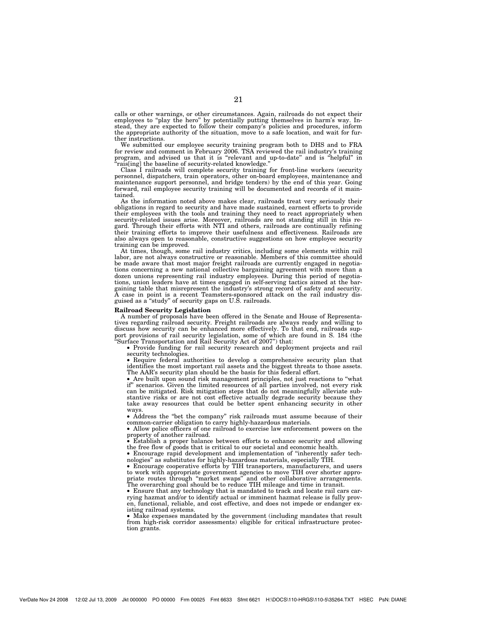calls or other warnings, or other circumstances. Again, railroads do not expect their employees to ''play the hero'' by potentially putting themselves in harm's way. Instead, they are expected to follow their company's policies and procedures, inform the appropriate authority of the situation, move to a safe location, and wait for further instructions.

We submitted our employee security training program both to DHS and to FRA for review and comment in February 2006. TSA reviewed the rail industry's training program, and advised us that it is ''relevant and up-to-date'' and is ''helpful'' in 'rais[ing] the baseline of security-related knowledge.'

Class I railroads will complete security training for front-line workers (security personnel, dispatchers, train operators, other on-board employees, maintenance and maintenance support personnel, and bridge tenders) by the end of this year. Going forward, rail employee security training will be documented and records of it maintained.

As the information noted above makes clear, railroads treat very seriously their obligations in regard to security and have made sustained, earnest efforts to provide their employees with the tools and training they need to react appropriately when security-related issues arise. Moreover, railroads are not standing still in this regard. Through their efforts with NTI and others, railroads are continually refining their training efforts to improve their usefulness and effectiveness. Railroads are also always open to reasonable, constructive suggestions on how employee security training can be improved.

At times, though, some rail industry critics, including some elements within rail labor, are not always constructive or reasonable. Members of this committee should be made aware that most major freight railroads are currently engaged in negotiations concerning a new national collective bargaining agreement with more than a dozen unions representing rail industry employees. During this period of negotiations, union leaders have at times engaged in self-serving tactics aimed at the bargaining table that misrepresent the industry's strong record of safety and security. A case in point is a recent Teamsters-sponsored attack on the rail industry disguised as a ''study'' of security gaps on U.S. railroads.

#### **Railroad Security Legislation**

A number of proposals have been offered in the Senate and House of Representatives regarding railroad security. Freight railroads are always ready and willing to discuss how security can be enhanced more effectively. To that end, railroads support provisions of rail security legislation, some of which are found in S. 184 (the Surface Transportation and Rail Security Act of 2007") that:

• Provide funding for rail security research and deployment projects and rail security technologies.

• Require federal authorities to develop a comprehensive security plan that identifies the most important rail assets and the biggest threats to those assets. The AAR's security plan should be the basis for this federal effort.

• Are built upon sound risk management principles, not just reactions to ''what if'' scenarios. Given the limited resources of all parties involved, not every risk can be mitigated. Risk mitigation steps that do not meaningfully alleviate substantive risks or are not cost effective actually degrade security because they take away resources that could be better spent enhancing security in other ways.

• Address the "bet the company" risk railroads must assume because of their common-carrier obligation to carry highly-hazardous materials.

• Allow police officers of one railroad to exercise law enforcement powers on the property of another railroad.

• Establish a proper balance between efforts to enhance security and allowing the free flow of goods that is critical to our societal and economic health.

• Encourage rapid development and implementation of ''inherently safer technologies'' as substitutes for highly-hazardous materials, especially TIH.

• Encourage cooperative efforts by TIH transporters, manufacturers, and users to work with appropriate government agencies to move TIH over shorter appropriate routes through ''market swaps'' and other collaborative arrangements. The overarching goal should be to reduce TIH mileage and time in transit.

• Ensure that any technology that is mandated to track and locate rail cars carrying hazmat and/or to identify actual or imminent hazmat release is fully proven, functional, reliable, and cost effective, and does not impede or endanger existing railroad systems.

• Make expenses mandated by the government (including mandates that result from high-risk corridor assessments) eligible for critical infrastructure protection grants.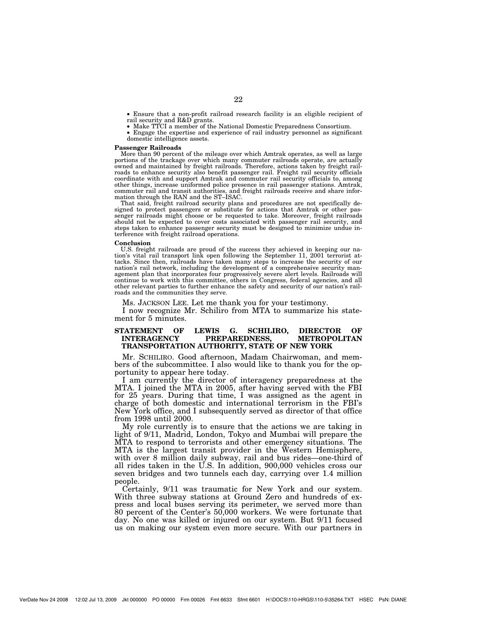• Ensure that a non-profit railroad research facility is an eligible recipient of rail security and R&D grants.<br>• Make TTCI a member of the National Domestic Preparedness Consortium.

- 
- Engage the expertise and experience of rail industry personnel as significant domestic intelligence assets.

#### **Passenger Railroads**

More than 90 percent of the mileage over which Amtrak operates, as well as large portions of the trackage over which many commuter railroads operate, are actually owned and maintained by freight railroads. Therefore, actions taken by freight railroads to enhance security also benefit passenger rail. Freight rail security officials coordinate with and support Amtrak and commuter rail security officials to, among other things, increase uniformed police presence in rail passenger stations. Amtrak, commuter rail and transit authorities, and freight railroads receive and share infor-mation through the RAN and the ST–ISAC.

That said, freight railroad security plans and procedures are not specifically designed to protect passengers or substitute for actions that Amtrak or other passenger railroads might choose or be requested to take. Moreover, freight railroads should not be expected to cover costs associated with passenger rail security, and steps taken to enhance passenger security must be designed to minimize undue interference with freight railroad operations.

**Conclusion**<br>U.S. freight railroads are proud of the success they achieved in keeping our na-<br>tion's vital rail transport link open following the September 11, 2001 terrorist at-<br>tacks. Since then, railroads have taken man other relevant parties to further enhance the safety and security of our nation's railroads and the communities they serve.

Ms. JACKSON LEE. Let me thank you for your testimony.

I now recognize Mr. Schiliro from MTA to summarize his statement for 5 minutes.

### **STATEMENT OF LEWIS G. SCHILIRO, DIRECTOR OF**  PREPAREDNESS, METROPOLITAN **TRANSPORTATION AUTHORITY, STATE OF NEW YORK**

Mr. SCHILIRO. Good afternoon, Madam Chairwoman, and members of the subcommittee. I also would like to thank you for the opportunity to appear here today.

I am currently the director of interagency preparedness at the MTA. I joined the MTA in 2005, after having served with the FBI for 25 years. During that time, I was assigned as the agent in charge of both domestic and international terrorism in the FBI's New York office, and I subsequently served as director of that office from 1998 until 2000.

My role currently is to ensure that the actions we are taking in light of 9/11, Madrid, London, Tokyo and Mumbai will prepare the MTA to respond to terrorists and other emergency situations. The MTA is the largest transit provider in the Western Hemisphere, with over 8 million daily subway, rail and bus rides—one-third of all rides taken in the U.S. In addition, 900,000 vehicles cross our seven bridges and two tunnels each day, carrying over 1.4 million people.

Certainly, 9/11 was traumatic for New York and our system. With three subway stations at Ground Zero and hundreds of express and local buses serving its perimeter, we served more than 80 percent of the Center's 50,000 workers. We were fortunate that day. No one was killed or injured on our system. But 9/11 focused us on making our system even more secure. With our partners in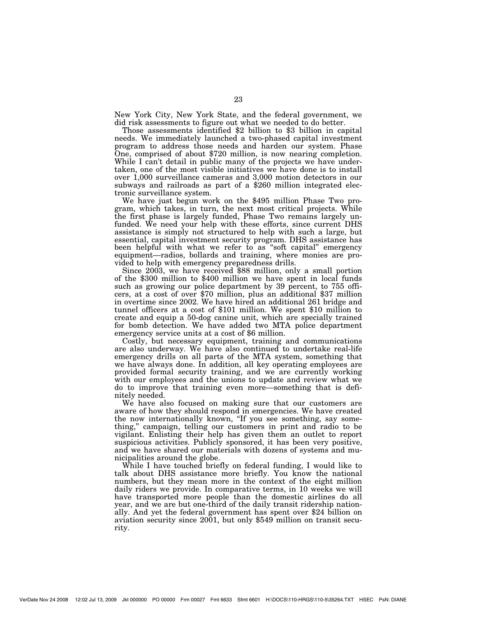New York City, New York State, and the federal government, we

Those assessments identified  $$2$  billion to  $$3$  billion in capital needs. We immediately launched a two-phased capital investment program to address those needs and harden our system. Phase One, comprised of about \$720 million, is now nearing completion. While I can't detail in public many of the projects we have undertaken, one of the most visible initiatives we have done is to install over 1,000 surveillance cameras and 3,000 motion detectors in our subways and railroads as part of a \$260 million integrated electronic surveillance system.

We have just begun work on the \$495 million Phase Two program, which takes, in turn, the next most critical projects. While the first phase is largely funded, Phase Two remains largely unfunded. We need your help with these efforts, since current DHS assistance is simply not structured to help with such a large, but essential, capital investment security program. DHS assistance has been helpful with what we refer to as ''soft capital'' emergency equipment—radios, bollards and training, where monies are pro-

vided to help with emergency preparedness drills.<br>Since 2003, we have received \$88 million, only a small portion<br>of the \$300 million to \$400 million we have spent in local funds such as growing our police department by 39 percent, to 755 officers, at a cost of over \$70 million, plus an additional \$37 million in overtime since 2002. We have hired an additional 261 bridge and tunnel officers at a cost of \$101 million. We spent \$10 million to create and equip a 50-dog canine unit, which are specially trained for bomb detection. We have added two MTA police department emergency service units at a cost of \$6 million.

Costly, but necessary equipment, training and communications are also underway. We have also continued to undertake real-life emergency drills on all parts of the MTA system, something that we have always done. In addition, all key operating employees are provided formal security training, and we are currently working with our employees and the unions to update and review what we do to improve that training even more—something that is definitely needed.

We have also focused on making sure that our customers are aware of how they should respond in emergencies. We have created the now internationally known, ''If you see something, say something,'' campaign, telling our customers in print and radio to be vigilant. Enlisting their help has given them an outlet to report suspicious activities. Publicly sponsored, it has been very positive, and we have shared our materials with dozens of systems and municipalities around the globe.

While I have touched briefly on federal funding, I would like to talk about DHS assistance more briefly. You know the national numbers, but they mean more in the context of the eight million daily riders we provide. In comparative terms, in 10 weeks we will have transported more people than the domestic airlines do all year, and we are but one-third of the daily transit ridership nationally. And yet the federal government has spent over \$24 billion on aviation security since 2001, but only \$549 million on transit security.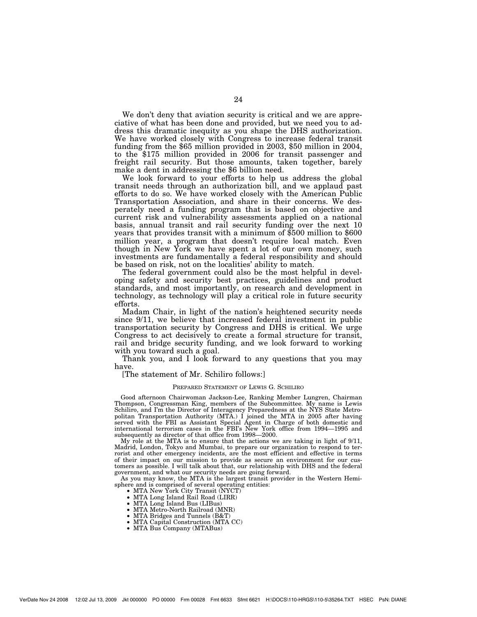We don't deny that aviation security is critical and we are appreciative of what has been done and provided, but we need you to address this dramatic inequity as you shape the DHS authorization. We have worked closely with Congress to increase federal transit funding from the \$65 million provided in 2003, \$50 million in 2004, to the \$175 million provided in 2006 for transit passenger and freight rail security. But those amounts, taken together, barely make a dent in addressing the \$6 billion need.

We look forward to your efforts to help us address the global transit needs through an authorization bill, and we applaud past efforts to do so. We have worked closely with the American Public Transportation Association, and share in their concerns. We desperately need a funding program that is based on objective and current risk and vulnerability assessments applied on a national basis, annual transit and rail security funding over the next 10 years that provides transit with a minimum of \$500 million to \$600 million year, a program that doesn't require local match. Even though in New York we have spent a lot of our own money, such investments are fundamentally a federal responsibility and should be based on risk, not on the localities' ability to match.

The federal government could also be the most helpful in developing safety and security best practices, guidelines and product standards, and most importantly, on research and development in technology, as technology will play a critical role in future security efforts.

Madam Chair, in light of the nation's heightened security needs since 9/11, we believe that increased federal investment in public transportation security by Congress and DHS is critical. We urge Congress to act decisively to create a formal structure for transit, rail and bridge security funding, and we look forward to working with you toward such a goal.

Thank you, and I look forward to any questions that you may have.

[The statement of Mr. Schiliro follows:]

#### PREPARED STATEMENT OF LEWIS G. SCHILIRO

Good afternoon Chairwoman Jackson-Lee, Ranking Member Lungren, Chairman Thompson, Congressman King, members of the Subcommittee. My name is Lewis Schiliro, and I'm the Director of Interagency Preparedness at the NYS State Metropolitan Transportation Authority (MTA.) I joined the MTA in 2005 after having served with the FBI as Assistant Special Agent in Charge of both domestic and international terrorism cases in the FBI's New York office from 1994—1995 and subsequently as director of that office from 1998—2000.

My role at the MTA is to ensure that the actions we are taking in light of 9/11, Madrid, London, Tokyo and Mumbai, to prepare our organization to respond to terrorist and other emergency incidents, are the most efficient and effective in terms of their impact on our mission to provide as secure an environment for our customers as possible. I will talk about that, our relationship with DHS and the federal government, and what our security needs are going forward.

As you may know, the MTA is the largest transit provider in the Western Hemisphere and is comprised of several operating entities:

- MTA New York City Transit (NYCT)
- MTA Long Island Rail Road (LIRR)
- MTA Long Island Bus (LIBus)
- MTA Metro-North Railroad (MNR)
- MTA Bridges and Tunnels (B&T)
- MTA Capital Construction (MTA CC)
- MTA Bus Company (MTABus)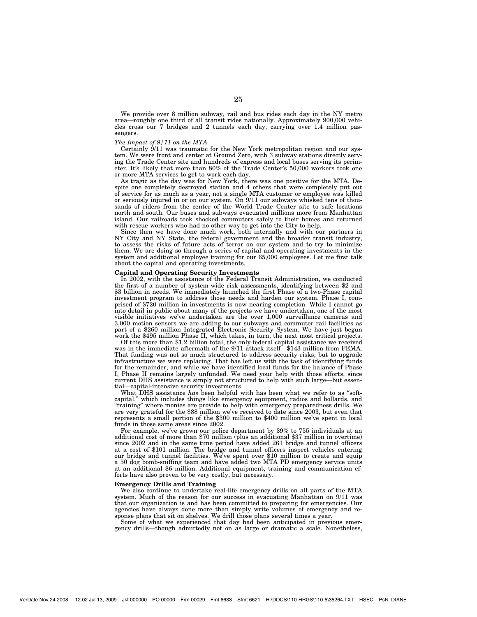We provide over 8 million subway, rail and bus rides each day in the NY metro area—roughly one third of all transit rides nationally. Approximately 900,000 vehicles cross our 7 bridges and 2 tunnels each day, carrying over 1.4 million passengers.

#### *The Impact of 9/11 on the MTA*

Certainly 9/11 was traumatic for the New York metropolitan region and our system. We were front and center at Ground Zero, with 3 subway stations directly serving the Trade Center site and hundreds of express and local buses serving its perimeter. It's likely that more than 80% of the Trade Center's 50,000 workers took one or more MTA services to get to work each day.

As tragic as the day was for New York, there was one positive for the MTA. Despite one completely destroyed station and 4 others that were completely put out of service for as much as a year, not a single MTA customer or employee was killed or seriously injured in or on our system. On 9/11 our subways whisked tens of thousands of riders from the center of the World Trade Center site to safe locations north and south. Our buses and subways evacuated millions more from Manhattan island. Our railroads took shocked commuters safely to their homes and returned with rescue workers who had no other way to get into the City to help.

Since then we have done much work, both internally and with our partners in NY City and NY State, the federal government and the broader transit industry, to assess the risks of future acts of terror on our system and to try to minimize them. We are doing so through a series of capital and operating investments in the system and additional employee training for our 65,000 employees. Let me first talk about the capital and operating investments.

#### **Capital and Operating Security Investments**

In 2002, with the assistance of the Federal Transit Administration, we conducted the first of a number of system-wide risk assessments, identifying between \$2 and \$3 billion in needs. We immediately launched the first Phase of a two-Phase capital investment program to address those needs and harden our system. Phase I, comprised of \$720 million in investments is now nearing completion. While I cannot go into detail in public about many of the projects we have undertaken, one of the most visible initiatives we've undertaken are the over 1,000 surveillance cameras and 3,000 motion sensors we are adding to our subways and commuter rail facilities as part of a \$260 million Integrated Electronic Security System. We have just begun work the \$495 million Phase II, which takes, in turn, the next most critical projects.

Of this more than \$1.2 billion total, the only federal capital assistance we received was in the immediate aftermath of the 9/11 attack itself—\$143 million from FEMA. That funding was not so much structured to address security risks, but to upgrade infrastructure we were replacing. That has left us with the task of identifying funds for the remainder, and while we have identified local funds for the balance of Phase I, Phase II remains largely unfunded. We need your help with those efforts, since current DHS assistance is simply not structured to help with such large—but essential—capital-intensive security investments.

What DHS assistance *has* been helpful with has been what we refer to as "softcapital,'' which includes things like emergency equipment, radios and bollards, and ''training'' where monies are provide to help with emergency preparedness drills. We are very grateful for the \$88 million we've received to date since 2003, but even that represents a small portion of the \$300 million to \$400 million we've spent in local funds in those same areas since 2002.

For example, we've grown our police department by 39% to 755 individuals at an additional cost of more than \$70 million (plus an additional \$37 million in overtime) since 2002 and in the same time period have added 261 bridge and tunnel officers at a cost of \$101 million. The bridge and tunnel officers inspect vehicles entering our bridge and tunnel facilities. We've spent over \$10 million to create and equip a 50 dog bomb-sniffing team and have added two MTA PD emergency service units at an additional \$6 million. Additional equipment, training and communication efforts have also proven to be very costly, but necessary.

#### **Emergency Drills and Training**

We also continue to undertake real-life emergency drills on all parts of the MTA system. Much of the reason for our success in evacuating Manhattan on 9/11 was that our organization is and has been committed to preparing for emergencies. Our agencies have always done more than simply write volumes of emergency and response plans that sit on shelves. We drill those plans several times a year.

Some of what we experienced that day had been anticipated in previous emergency drills—though admittedly not on as large or dramatic a scale. Nonetheless,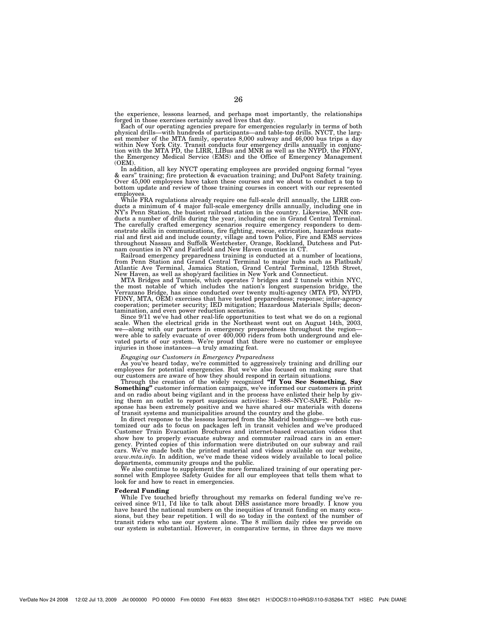the experience, lessons learned, and perhaps most importantly, the relationships forged in those exercises certainly saved lives that day.

Each of our operating agencies prepare for emergencies regularly in terms of both physical drills—with hundreds of participants—and table-top drills. NYCT, the largest member of the MTA family, operates 8,000 subway and 46,000 bus trips a day within New York City. Transit conducts four emergency drills the Emergency Medical Service (EMS) and the Office of Emergency Management (OEM).

In addition, all key NYCT operating employees are provided ongoing formal ''eyes & ears'' training; fire protection & evacuation training; and DuPont Safety training. Over 45,000 employees have taken these courses and we about to conduct a top to bottom update and review of those training courses in concert with our represented

employees. While FRA regulations already require one full-scale drill annually, the LIRR conducts a minimum of 4 major full-scale emergency drills annually, including one in NY's Penn Station, the busiest railroad station in the country. Likewise, MNR conducts a number of drills during the year, including one in Grand Central Terminal. The carefully crafted emergency scenarios require emergency responders to demonstrate skills in communications, fire fighting, rescue, extrication, hazardous mate-rial and first aid and include county, village and town Police, Fire and EMS services throughout Nassau and Suffolk Westchester, Orange, Rockland, Dutchess and Put-nam counties in NY and Fairfield and New Haven counties in CT.

Railroad emergency preparedness training is conducted at a number of locations, from Penn Station and Grand Central Terminal to major hubs such as Flatbush/

Atlantic Ave Terminal, Jamaica Station, Grand Central Terminal, 125th Street,<br>New Haven, as well as shop/yard facilities in New York and Connecticut.<br>MTA Bridges and Tunnels, which operates 7 bridges and 2 tunnels within N FDNY, MTA, OEM) exercises that have tested preparedness; response; inter-agency cooperation; perimeter security; IED mitigation; Hazardous Materials Spills; decontamination, and even power reduction scenarios.<br>Since 9/11 we've had other real-life opportunities to test what we do on a regional scale. W

we—along with our partners in emergency preparedness throughout the region— were able to safely evacuate of over 400,000 riders from both underground and elevated parts of our system. We're proud that there were no customer or employee injuries in those instances—a truly amazing feat.

#### *Engaging our Customers in Emergency Preparedness*

As you've heard today, we're committed to aggressively training and drilling our employees for potential emergencies. But we've also focused on making sure that our customers are aware of how they should respond in certain situations.

Through the creation of the widely recognized **''If You See Something, Say Something''** customer information campaign, we've informed our customers in print and on radio about being vigilant and in the process have enlisted their help by giving them an outlet to report suspicious activities: 1–888–NYC-SAFE. Public response has been extremely positive and we have shared our materials with dozens of transit systems and municipalities around the country and the globe.

In direct response to the lessons learned from the Madrid bombings—we both customized our ads to focus on packages left in transit vehicles and we've produced Customer Train Evacuation Brochures and internet-based evacuation videos that show how to properly evacuate subway and commuter railroad cars in an emergency. Printed copies of this information were distributed on our subway and rail cars. We've made both the printed material and videos available on our website, *www.mta.info.* In addition, we've made these videos widely available to local police departments, community groups and the public.

We also continue to supplement the more formalized training of our operating personnel with Employee Safety Guides for all our employees that tells them what to look for and how to react in emergencies.

#### **Federal Funding**

While I've touched briefly throughout my remarks on federal funding we've received since 9/11, I'd like to talk about DHS assistance more broadly. I know you have heard the national numbers on the inequities of transit funding on many occasions, but they bear repetition. I will do so today in the context of the number of transit riders who use our system alone. The 8 million daily rides we provide on our system is substantial. However, in comparative terms, in three days we move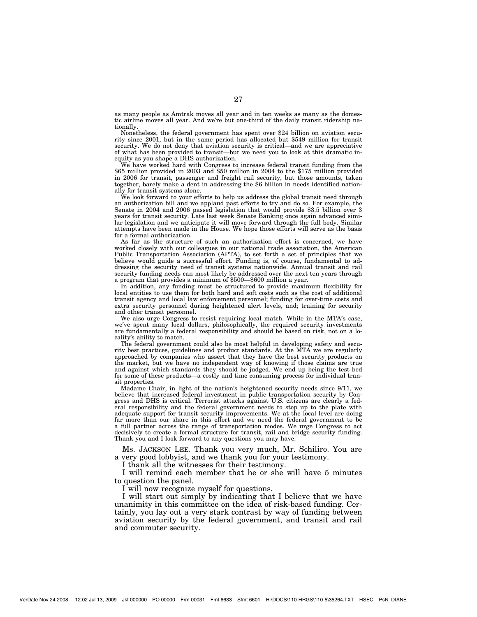as many people as Amtrak moves all year and in ten weeks as many as the domestic airline moves all year. And we're but one-third of the daily transit ridership nationally.

Nonetheless, the federal government has spent over \$24 billion on aviation security since 2001, but in the same period has allocated but \$549 million for transit security. We do not deny that aviation security is critical—and we are appreciative of what has been provided to transit—but we need you to look at this dramatic inequity as you shape a DHS authorization.

We have worked hard with Congress to increase federal transit funding from the \$65 million provided in 2003 and \$50 million in 2004 to the \$175 million provided in 2006 for transit, passenger and freight rail security, but those amounts, taken together, barely make a dent in addressing the \$6 billion in needs identified nationally for transit systems alone.

We look forward to your efforts to help us address the global transit need through an authorization bill and we applaud past efforts to try and do so. For example, the Senate in 2004 and 2006 passed legislation that would provide \$3.5 billion over 3 years for transit security. Late last week Senate Banking once again advanced similar legislation and we anticipate it will move forward through the full body. Similar attempts have been made in the House. We hope those efforts will serve as the basis for a formal authorization.

As far as the structure of such an authorization effort is concerned, we have worked closely with our colleagues in our national trade association, the American Public Transportation Association (APTA), to set forth a set of principles that we believe would guide a successful effort. Funding is, of course, fundamental to addressing the security need of transit systems nationwide. Annual transit and rail security funding needs can most likely be addressed over the next ten years through a program that provides a minimum of \$500—\$600 million a year.

In addition, any funding must be structured to provide maximum flexibility for local entities to use them for both hard and soft costs such as the cost of additional transit agency and local law enforcement personnel; funding for over-time costs and extra security personnel during heightened alert levels, and; training for security and other transit personnel.

We also urge Congress to resist requiring local match. While in the MTA's case, we've spent many local dollars, philosophically, the required security investments are fundamentally a federal responsibility and should be based on risk, not on a locality's ability to match.

The federal government could also be most helpful in developing safety and security best practices, guidelines and product standards. At the MTA we are regularly approached by companies who assert that they have the best security products on the market, but we have no independent way of knowing if those claims are true and against which standards they should be judged. We end up being the test bed for some of these products—a costly and time consuming process for individual transit properties

Madame Chair, in light of the nation's heightened security needs since 9/11, we believe that increased federal investment in public transportation security by Congress and DHS is critical. Terrorist attacks against U.S. citizens are clearly a federal responsibility and the federal government needs to step up to the plate with adequate support for transit security improvements. We at the local level are doing far more than our share in this effort and we need the federal government to be a full partner across the range of transportation modes. We urge Congress to act decisively to create a formal structure for transit, rail and bridge security funding. Thank you and I look forward to any questions you may have.

Ms. JACKSON LEE. Thank you very much, Mr. Schiliro. You are a very good lobbyist, and we thank you for your testimony.

I thank all the witnesses for their testimony.

I will remind each member that he or she will have 5 minutes to question the panel.

I will now recognize myself for questions.

I will start out simply by indicating that I believe that we have unanimity in this committee on the idea of risk-based funding. Certainly, you lay out a very stark contrast by way of funding between aviation security by the federal government, and transit and rail and commuter security.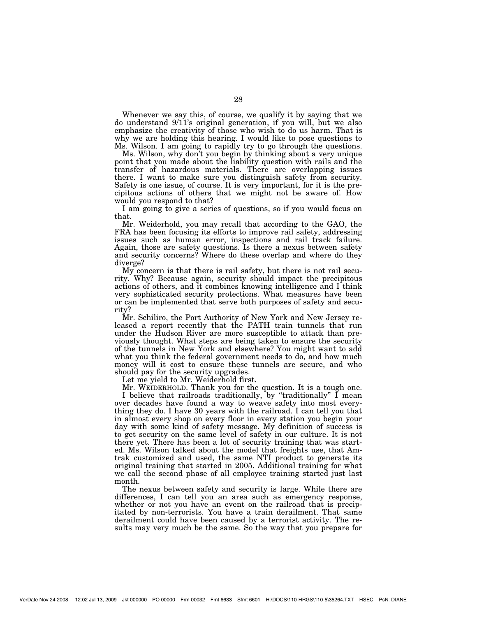Whenever we say this, of course, we qualify it by saying that we do understand 9/11's original generation, if you will, but we also emphasize the creativity of those who wish to do us harm. That is why we are holding this hearing. I would like to pose questions to Ms. Wilson. I am going to rapidly try to go through the questions.

Ms. Wilson, why don't you begin by thinking about a very unique point that you made about the liability question with rails and the transfer of hazardous materials. There are overlapping issues there. I want to make sure you distinguish safety from security. Safety is one issue, of course. It is very important, for it is the precipitous actions of others that we might not be aware of. How would you respond to that?

I am going to give a series of questions, so if you would focus on that.

Mr. Weiderhold, you may recall that according to the GAO, the FRA has been focusing its efforts to improve rail safety, addressing issues such as human error, inspections and rail track failure. Again, those are safety questions. Is there a nexus between safety and security concerns? Where do these overlap and where do they diverge?

My concern is that there is rail safety, but there is not rail security. Why? Because again, security should impact the precipitous actions of others, and it combines knowing intelligence and I think very sophisticated security protections. What measures have been or can be implemented that serve both purposes of safety and security?

Mr. Schiliro, the Port Authority of New York and New Jersey released a report recently that the PATH train tunnels that run under the Hudson River are more susceptible to attack than previously thought. What steps are being taken to ensure the security of the tunnels in New York and elsewhere? You might want to add what you think the federal government needs to do, and how much money will it cost to ensure these tunnels are secure, and who should pay for the security upgrades.

Let me yield to Mr. Weiderhold first.

Mr. WEIDERHOLD. Thank you for the question. It is a tough one. I believe that railroads traditionally, by "traditionally"  $\breve{\mathrm{I}}$  mean over decades have found a way to weave safety into most everything they do. I have 30 years with the railroad. I can tell you that in almost every shop on every floor in every station you begin your day with some kind of safety message. My definition of success is to get security on the same level of safety in our culture. It is not there yet. There has been a lot of security training that was started. Ms. Wilson talked about the model that freights use, that Amtrak customized and used, the same NTI product to generate its original training that started in 2005. Additional training for what we call the second phase of all employee training started just last month.

The nexus between safety and security is large. While there are differences, I can tell you an area such as emergency response, whether or not you have an event on the railroad that is precipitated by non-terrorists. You have a train derailment. That same derailment could have been caused by a terrorist activity. The results may very much be the same. So the way that you prepare for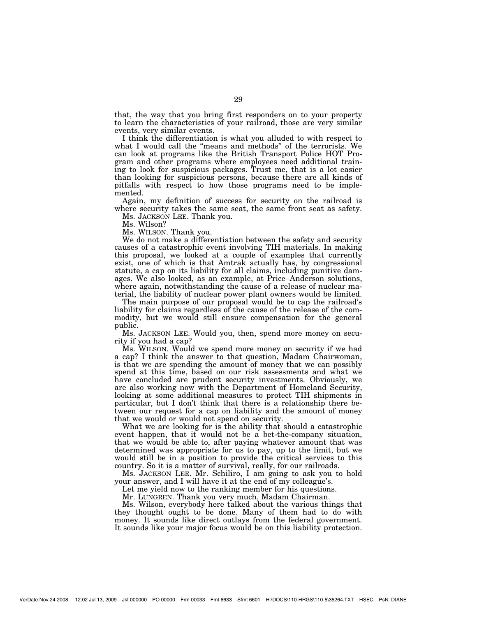that, the way that you bring first responders on to your property to learn the characteristics of your railroad, those are very similar events, very similar events.

I think the differentiation is what you alluded to with respect to what I would call the "means and methods" of the terrorists. We can look at programs like the British Transport Police HOT Program and other programs where employees need additional training to look for suspicious packages. Trust me, that is a lot easier than looking for suspicious persons, because there are all kinds of pitfalls with respect to how those programs need to be implemented.

Again, my definition of success for security on the railroad is where security takes the same seat, the same front seat as safety.

Ms. JACKSON LEE. Thank you.

Ms. Wilson?

Ms. WILSON. Thank you.

We do not make a differentiation between the safety and security causes of a catastrophic event involving TIH materials. In making this proposal, we looked at a couple of examples that currently exist, one of which is that Amtrak actually has, by congressional statute, a cap on its liability for all claims, including punitive damages. We also looked, as an example, at Price–Anderson solutions, where again, notwithstanding the cause of a release of nuclear material, the liability of nuclear power plant owners would be limited.

The main purpose of our proposal would be to cap the railroad's liability for claims regardless of the cause of the release of the commodity, but we would still ensure compensation for the general public.

Ms. JACKSON LEE. Would you, then, spend more money on security if you had a cap?

Ms. WILSON. Would we spend more money on security if we had a cap? I think the answer to that question, Madam Chairwoman, is that we are spending the amount of money that we can possibly spend at this time, based on our risk assessments and what we have concluded are prudent security investments. Obviously, we are also working now with the Department of Homeland Security, looking at some additional measures to protect TIH shipments in particular, but I don't think that there is a relationship there between our request for a cap on liability and the amount of money that we would or would not spend on security.

What we are looking for is the ability that should a catastrophic event happen, that it would not be a bet-the-company situation, that we would be able to, after paying whatever amount that was determined was appropriate for us to pay, up to the limit, but we would still be in a position to provide the critical services to this country. So it is a matter of survival, really, for our railroads.

Ms. JACKSON LEE. Mr. Schiliro, I am going to ask you to hold your answer, and I will have it at the end of my colleague's.

Let me yield now to the ranking member for his questions.

Mr. LUNGREN. Thank you very much, Madam Chairman.

Ms. Wilson, everybody here talked about the various things that they thought ought to be done. Many of them had to do with money. It sounds like direct outlays from the federal government. It sounds like your major focus would be on this liability protection.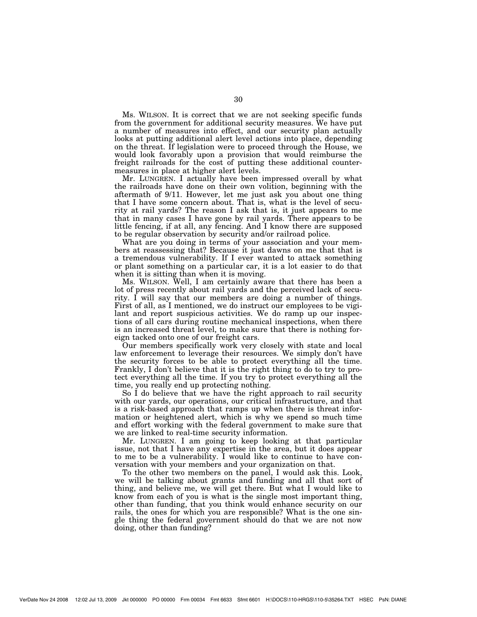Ms. WILSON. It is correct that we are not seeking specific funds from the government for additional security measures. We have put a number of measures into effect, and our security plan actually looks at putting additional alert level actions into place, depending on the threat. If legislation were to proceed through the House, we would look favorably upon a provision that would reimburse the freight railroads for the cost of putting these additional countermeasures in place at higher alert levels.

Mr. LUNGREN. I actually have been impressed overall by what the railroads have done on their own volition, beginning with the aftermath of 9/11. However, let me just ask you about one thing that I have some concern about. That is, what is the level of security at rail yards? The reason I ask that is, it just appears to me that in many cases I have gone by rail yards. There appears to be little fencing, if at all, any fencing. And I know there are supposed to be regular observation by security and/or railroad police.

What are you doing in terms of your association and your members at reassessing that? Because it just dawns on me that that is a tremendous vulnerability. If I ever wanted to attack something or plant something on a particular car, it is a lot easier to do that when it is sitting than when it is moving.

Ms. WILSON. Well, I am certainly aware that there has been a lot of press recently about rail yards and the perceived lack of security. I will say that our members are doing a number of things. First of all, as I mentioned, we do instruct our employees to be vigilant and report suspicious activities. We do ramp up our inspections of all cars during routine mechanical inspections, when there is an increased threat level, to make sure that there is nothing foreign tacked onto one of our freight cars.

Our members specifically work very closely with state and local law enforcement to leverage their resources. We simply don't have the security forces to be able to protect everything all the time. Frankly, I don't believe that it is the right thing to do to try to protect everything all the time. If you try to protect everything all the time, you really end up protecting nothing.

So I do believe that we have the right approach to rail security with our yards, our operations, our critical infrastructure, and that is a risk-based approach that ramps up when there is threat information or heightened alert, which is why we spend so much time and effort working with the federal government to make sure that we are linked to real-time security information.

Mr. LUNGREN. I am going to keep looking at that particular issue, not that I have any expertise in the area, but it does appear to me to be a vulnerability. I would like to continue to have conversation with your members and your organization on that.

To the other two members on the panel, I would ask this. Look, we will be talking about grants and funding and all that sort of thing, and believe me, we will get there. But what I would like to know from each of you is what is the single most important thing, other than funding, that you think would enhance security on our rails, the ones for which you are responsible? What is the one single thing the federal government should do that we are not now doing, other than funding?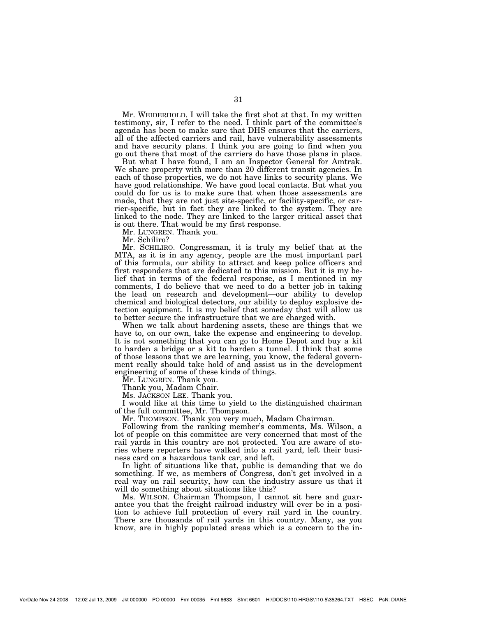Mr. WEIDERHOLD. I will take the first shot at that. In my written testimony, sir, I refer to the need. I think part of the committee's agenda has been to make sure that DHS ensures that the carriers, all of the affected carriers and rail, have vulnerability assessments and have security plans. I think you are going to find when you go out there that most of the carriers do have those plans in place.

But what I have found, I am an Inspector General for Amtrak. We share property with more than 20 different transit agencies. In each of those properties, we do not have links to security plans. We have good relationships. We have good local contacts. But what you could do for us is to make sure that when those assessments are made, that they are not just site-specific, or facility-specific, or carrier-specific, but in fact they are linked to the system. They are linked to the node. They are linked to the larger critical asset that is out there. That would be my first response.

Mr. LUNGREN. Thank you.

Mr. Schiliro?

Mr. SCHILIRO. Congressman, it is truly my belief that at the MTA, as it is in any agency, people are the most important part of this formula, our ability to attract and keep police officers and first responders that are dedicated to this mission. But it is my belief that in terms of the federal response, as I mentioned in my comments, I do believe that we need to do a better job in taking the lead on research and development—our ability to develop chemical and biological detectors, our ability to deploy explosive detection equipment. It is my belief that someday that will allow us to better secure the infrastructure that we are charged with.

When we talk about hardening assets, these are things that we have to, on our own, take the expense and engineering to develop. It is not something that you can go to Home Depot and buy a kit to harden a bridge or a kit to harden a tunnel. I think that some of those lessons that we are learning, you know, the federal government really should take hold of and assist us in the development engineering of some of these kinds of things.

Mr. LUNGREN. Thank you.

Thank you, Madam Chair.

Ms. JACKSON LEE. Thank you.

I would like at this time to yield to the distinguished chairman of the full committee, Mr. Thompson.

Mr. THOMPSON. Thank you very much, Madam Chairman.

Following from the ranking member's comments, Ms. Wilson, a lot of people on this committee are very concerned that most of the rail yards in this country are not protected. You are aware of stories where reporters have walked into a rail yard, left their business card on a hazardous tank car, and left.

In light of situations like that, public is demanding that we do something. If we, as members of Congress, don't get involved in a real way on rail security, how can the industry assure us that it will do something about situations like this?

Ms. WILSON. Chairman Thompson, I cannot sit here and guarantee you that the freight railroad industry will ever be in a position to achieve full protection of every rail yard in the country. There are thousands of rail yards in this country. Many, as you know, are in highly populated areas which is a concern to the in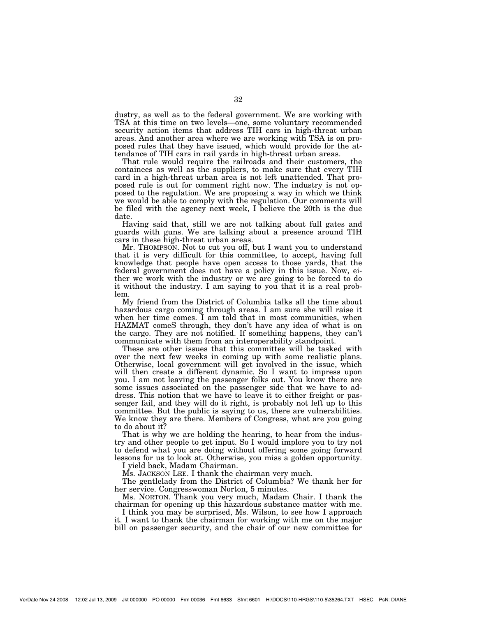dustry, as well as to the federal government. We are working with TSA at this time on two levels—one, some voluntary recommended security action items that address TIH cars in high-threat urban areas. And another area where we are working with TSA is on proposed rules that they have issued, which would provide for the attendance of TIH cars in rail yards in high-threat urban areas.

That rule would require the railroads and their customers, the containees as well as the suppliers, to make sure that every TIH card in a high-threat urban area is not left unattended. That proposed rule is out for comment right now. The industry is not opposed to the regulation. We are proposing a way in which we think we would be able to comply with the regulation. Our comments will be filed with the agency next week, I believe the 20th is the due date.

Having said that, still we are not talking about full gates and guards with guns. We are talking about a presence around TIH cars in these high-threat urban areas.

Mr. THOMPSON. Not to cut you off, but I want you to understand that it is very difficult for this committee, to accept, having full knowledge that people have open access to those yards, that the federal government does not have a policy in this issue. Now, either we work with the industry or we are going to be forced to do it without the industry. I am saying to you that it is a real problem.

My friend from the District of Columbia talks all the time about hazardous cargo coming through areas. I am sure she will raise it when her time comes. I am told that in most communities, when HAZMAT comeS through, they don't have any idea of what is on the cargo. They are not notified. If something happens, they can't communicate with them from an interoperability standpoint.

These are other issues that this committee will be tasked with over the next few weeks in coming up with some realistic plans. Otherwise, local government will get involved in the issue, which will then create a different dynamic. So I want to impress upon you. I am not leaving the passenger folks out. You know there are some issues associated on the passenger side that we have to address. This notion that we have to leave it to either freight or passenger fail, and they will do it right, is probably not left up to this committee. But the public is saying to us, there are vulnerabilities. We know they are there. Members of Congress, what are you going to do about it?

That is why we are holding the hearing, to hear from the industry and other people to get input. So I would implore you to try not to defend what you are doing without offering some going forward lessons for us to look at. Otherwise, you miss a golden opportunity.

I yield back, Madam Chairman.

Ms. JACKSON LEE. I thank the chairman very much.

The gentlelady from the District of Columbia? We thank her for her service. Congresswoman Norton, 5 minutes.

Ms. NORTON. Thank you very much, Madam Chair. I thank the chairman for opening up this hazardous substance matter with me.

I think you may be surprised, Ms. Wilson, to see how I approach it. I want to thank the chairman for working with me on the major bill on passenger security, and the chair of our new committee for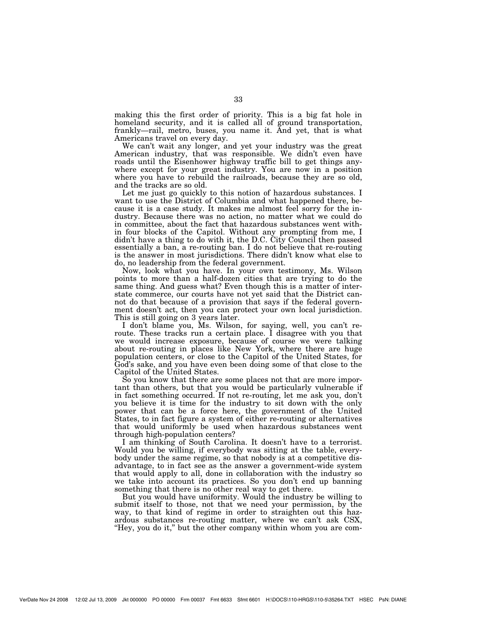making this the first order of priority. This is a big fat hole in homeland security, and it is called all of ground transportation, frankly—rail, metro, buses, you name it. And yet, that is what Americans travel on every day.

We can't wait any longer, and yet your industry was the great American industry, that was responsible. We didn't even have roads until the Eisenhower highway traffic bill to get things anywhere except for your great industry. You are now in a position where you have to rebuild the railroads, because they are so old, and the tracks are so old.

Let me just go quickly to this notion of hazardous substances. I want to use the District of Columbia and what happened there, because it is a case study. It makes me almost feel sorry for the industry. Because there was no action, no matter what we could do in committee, about the fact that hazardous substances went within four blocks of the Capitol. Without any prompting from me, I didn't have a thing to do with it, the D.C. City Council then passed essentially a ban, a re-routing ban. I do not believe that re-routing is the answer in most jurisdictions. There didn't know what else to do, no leadership from the federal government.

Now, look what you have. In your own testimony, Ms. Wilson points to more than a half-dozen cities that are trying to do the same thing. And guess what? Even though this is a matter of interstate commerce, our courts have not yet said that the District cannot do that because of a provision that says if the federal government doesn't act, then you can protect your own local jurisdiction. This is still going on 3 years later.

I don't blame you, Ms. Wilson, for saying, well, you can't reroute. These tracks run a certain place. I disagree with you that we would increase exposure, because of course we were talking about re-routing in places like New York, where there are huge population centers, or close to the Capitol of the United States, for God's sake, and you have even been doing some of that close to the Capitol of the United States.

So you know that there are some places not that are more important than others, but that you would be particularly vulnerable if in fact something occurred. If not re-routing, let me ask you, don't you believe it is time for the industry to sit down with the only power that can be a force here, the government of the United States, to in fact figure a system of either re-routing or alternatives that would uniformly be used when hazardous substances went through high-population centers?

I am thinking of South Carolina. It doesn't have to a terrorist. Would you be willing, if everybody was sitting at the table, everybody under the same regime, so that nobody is at a competitive disadvantage, to in fact see as the answer a government-wide system that would apply to all, done in collaboration with the industry so we take into account its practices. So you don't end up banning something that there is no other real way to get there.

But you would have uniformity. Would the industry be willing to submit itself to those, not that we need your permission, by the way, to that kind of regime in order to straighten out this hazardous substances re-routing matter, where we can't ask CSX, "Hey, you do it," but the other company within whom you are com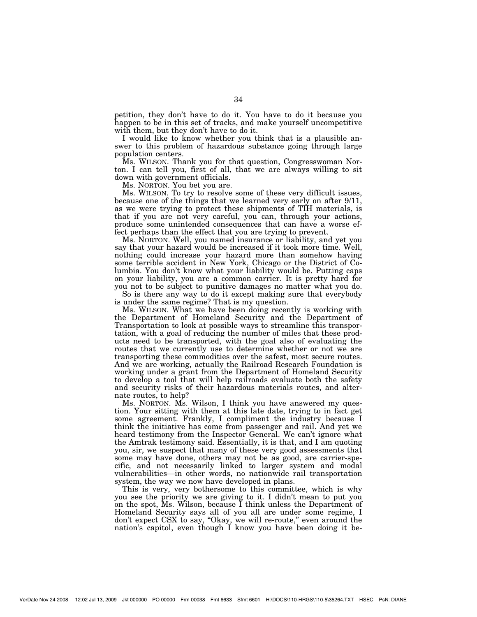petition, they don't have to do it. You have to do it because you happen to be in this set of tracks, and make yourself uncompetitive with them, but they don't have to do it.

I would like to know whether you think that is a plausible answer to this problem of hazardous substance going through large population centers.

Ms. WILSON. Thank you for that question, Congresswoman Norton. I can tell you, first of all, that we are always willing to sit down with government officials.

Ms. NORTON. You bet you are.

Ms. WILSON. To try to resolve some of these very difficult issues, because one of the things that we learned very early on after 9/11, as we were trying to protect these shipments of TIH materials, is that if you are not very careful, you can, through your actions, produce some unintended consequences that can have a worse effect perhaps than the effect that you are trying to prevent.

Ms. NORTON. Well, you named insurance or liability, and yet you say that your hazard would be increased if it took more time. Well, nothing could increase your hazard more than somehow having some terrible accident in New York, Chicago or the District of Columbia. You don't know what your liability would be. Putting caps on your liability, you are a common carrier. It is pretty hard for you not to be subject to punitive damages no matter what you do.

So is there any way to do it except making sure that everybody is under the same regime? That is my question.

Ms. WILSON. What we have been doing recently is working with the Department of Homeland Security and the Department of Transportation to look at possible ways to streamline this transportation, with a goal of reducing the number of miles that these products need to be transported, with the goal also of evaluating the routes that we currently use to determine whether or not we are transporting these commodities over the safest, most secure routes. And we are working, actually the Railroad Research Foundation is working under a grant from the Department of Homeland Security to develop a tool that will help railroads evaluate both the safety and security risks of their hazardous materials routes, and alternate routes, to help?

Ms. NORTON. Ms. Wilson, I think you have answered my question. Your sitting with them at this late date, trying to in fact get some agreement. Frankly, I compliment the industry because I think the initiative has come from passenger and rail. And yet we heard testimony from the Inspector General. We can't ignore what the Amtrak testimony said. Essentially, it is that, and I am quoting you, sir, we suspect that many of these very good assessments that some may have done, others may not be as good, are carrier-specific, and not necessarily linked to larger system and modal vulnerabilities—in other words, no nationwide rail transportation system, the way we now have developed in plans.

This is very, very bothersome to this committee, which is why you see the priority we are giving to it. I didn't mean to put you on the spot, Ms. Wilson, because I think unless the Department of Homeland Security says all of you all are under some regime, I don't expect CSX to say, "Okay, we will re-route," even around the nation's capitol, even though I know you have been doing it be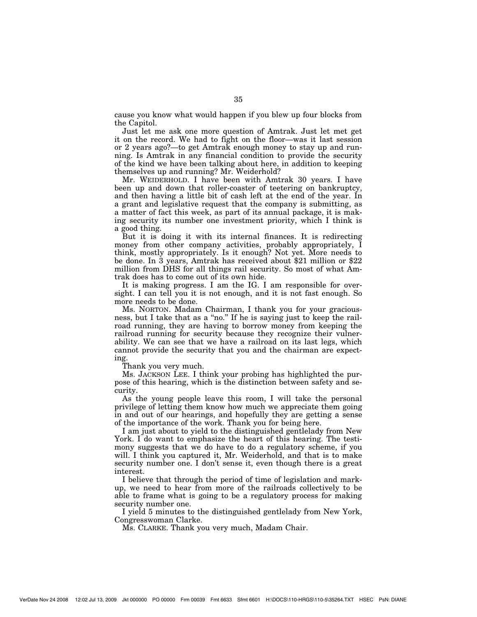cause you know what would happen if you blew up four blocks from the Capitol.

Just let me ask one more question of Amtrak. Just let met get it on the record. We had to fight on the floor—was it last session or 2 years ago?—to get Amtrak enough money to stay up and running. Is Amtrak in any financial condition to provide the security of the kind we have been talking about here, in addition to keeping themselves up and running? Mr. Weiderhold?

Mr. WEIDERHOLD. I have been with Amtrak 30 years. I have been up and down that roller-coaster of teetering on bankruptcy, and then having a little bit of cash left at the end of the year. In a grant and legislative request that the company is submitting, as a matter of fact this week, as part of its annual package, it is making security its number one investment priority, which I think is a good thing.

But it is doing it with its internal finances. It is redirecting money from other company activities, probably appropriately, I think, mostly appropriately. Is it enough? Not yet. More needs to be done. In 3 years, Amtrak has received about \$21 million or \$22 million from DHS for all things rail security. So most of what Amtrak does has to come out of its own hide.

It is making progress. I am the IG. I am responsible for oversight. I can tell you it is not enough, and it is not fast enough. So more needs to be done.

Ms. NORTON. Madam Chairman, I thank you for your graciousness, but I take that as a "no." If he is saying just to keep the railroad running, they are having to borrow money from keeping the railroad running for security because they recognize their vulnerability. We can see that we have a railroad on its last legs, which cannot provide the security that you and the chairman are expecting.

Thank you very much.

Ms. JACKSON LEE. I think your probing has highlighted the purpose of this hearing, which is the distinction between safety and security.

As the young people leave this room, I will take the personal privilege of letting them know how much we appreciate them going in and out of our hearings, and hopefully they are getting a sense of the importance of the work. Thank you for being here.

I am just about to yield to the distinguished gentlelady from New York. I do want to emphasize the heart of this hearing. The testimony suggests that we do have to do a regulatory scheme, if you will. I think you captured it, Mr. Weiderhold, and that is to make security number one. I don't sense it, even though there is a great interest.

I believe that through the period of time of legislation and markup, we need to hear from more of the railroads collectively to be able to frame what is going to be a regulatory process for making security number one.

I yield 5 minutes to the distinguished gentlelady from New York, Congresswoman Clarke.

Ms. CLARKE. Thank you very much, Madam Chair.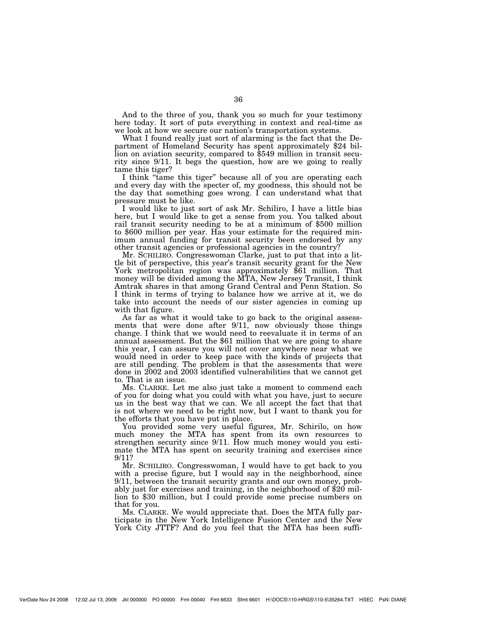And to the three of you, thank you so much for your testimony here today. It sort of puts everything in context and real-time as

we look at how we secure our nation's transportation systems.<br>What I found really just sort of alarming is the fact that the Department of Homeland Security has spent approximately \$24 billion on aviation security, compared to \$549 million in transit security since 9/11. It begs the question, how are we going to really tame this tiger?

I think ''tame this tiger'' because all of you are operating each and every day with the specter of, my goodness, this should not be the day that something goes wrong. I can understand what that pressure must be like.

I would like to just sort of ask Mr. Schiliro, I have a little bias here, but I would like to get a sense from you. You talked about rail transit security needing to be at a minimum of \$500 million to \$600 million per year. Has your estimate for the required minimum annual funding for transit security been endorsed by any other transit agencies or professional agencies in the country?

Mr. SCHILIRO. Congresswoman Clarke, just to put that into a little bit of perspective, this year's transit security grant for the New York metropolitan region was approximately \$61 million. That money will be divided among the MTA, New Jersey Transit, I think Amtrak shares in that among Grand Central and Penn Station. So I think in terms of trying to balance how we arrive at it, we do take into account the needs of our sister agencies in coming up with that figure.

As far as what it would take to go back to the original assessments that were done after 9/11, now obviously those things change. I think that we would need to reevaluate it in terms of an annual assessment. But the \$61 million that we are going to share this year, I can assure you will not cover anywhere near what we would need in order to keep pace with the kinds of projects that are still pending. The problem is that the assessments that were done in 2002 and 2003 identified vulnerabilities that we cannot get to. That is an issue.

Ms. CLARKE. Let me also just take a moment to commend each of you for doing what you could with what you have, just to secure us in the best way that we can. We all accept the fact that that is not where we need to be right now, but I want to thank you for the efforts that you have put in place.

You provided some very useful figures, Mr. Schirilo, on how much money the MTA has spent from its own resources to strengthen security since 9/11. How much money would you estimate the MTA has spent on security training and exercises since 9/11?

Mr. SCHILIRO. Congresswoman, I would have to get back to you with a precise figure, but I would say in the neighborhood, since 9/11, between the transit security grants and our own money, probably just for exercises and training, in the neighborhood of \$20 million to \$30 million, but I could provide some precise numbers on that for you.

Ms. CLARKE. We would appreciate that. Does the MTA fully participate in the New York Intelligence Fusion Center and the New York City JTTF? And do you feel that the MTA has been suffi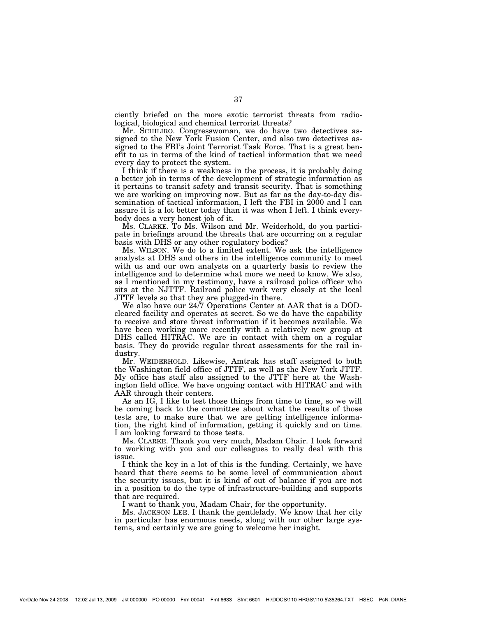ciently briefed on the more exotic terrorist threats from radiological, biological and chemical terrorist threats?

Mr. SCHILIRO. Congresswoman, we do have two detectives assigned to the New York Fusion Center, and also two detectives assigned to the FBI's Joint Terrorist Task Force. That is a great benefit to us in terms of the kind of tactical information that we need every day to protect the system.

I think if there is a weakness in the process, it is probably doing a better job in terms of the development of strategic information as it pertains to transit safety and transit security. That is something we are working on improving now. But as far as the day-to-day dissemination of tactical information, I left the FBI in 2000 and I can assure it is a lot better today than it was when I left. I think everybody does a very honest job of it.

Ms. CLARKE. To Ms. Wilson and Mr. Weiderhold, do you participate in briefings around the threats that are occurring on a regular basis with DHS or any other regulatory bodies?

Ms. WILSON. We do to a limited extent. We ask the intelligence analysts at DHS and others in the intelligence community to meet with us and our own analysts on a quarterly basis to review the intelligence and to determine what more we need to know. We also, as I mentioned in my testimony, have a railroad police officer who sits at the NJTTF. Railroad police work very closely at the local JTTF levels so that they are plugged-in there.

We also have our 24/7 Operations Center at AAR that is a DODcleared facility and operates at secret. So we do have the capability to receive and store threat information if it becomes available. We have been working more recently with a relatively new group at DHS called HITRAC. We are in contact with them on a regular basis. They do provide regular threat assessments for the rail industry.

Mr. WEIDERHOLD. Likewise, Amtrak has staff assigned to both the Washington field office of JTTF, as well as the New York JTTF. My office has staff also assigned to the JTTF here at the Washington field office. We have ongoing contact with HITRAC and with AAR through their centers.

As an IG, I like to test those things from time to time, so we will be coming back to the committee about what the results of those tests are, to make sure that we are getting intelligence information, the right kind of information, getting it quickly and on time. I am looking forward to those tests.

Ms. CLARKE. Thank you very much, Madam Chair. I look forward to working with you and our colleagues to really deal with this issue.

I think the key in a lot of this is the funding. Certainly, we have heard that there seems to be some level of communication about the security issues, but it is kind of out of balance if you are not in a position to do the type of infrastructure-building and supports that are required.

I want to thank you, Madam Chair, for the opportunity.

Ms. JACKSON LEE. I thank the gentlelady. We know that her city in particular has enormous needs, along with our other large systems, and certainly we are going to welcome her insight.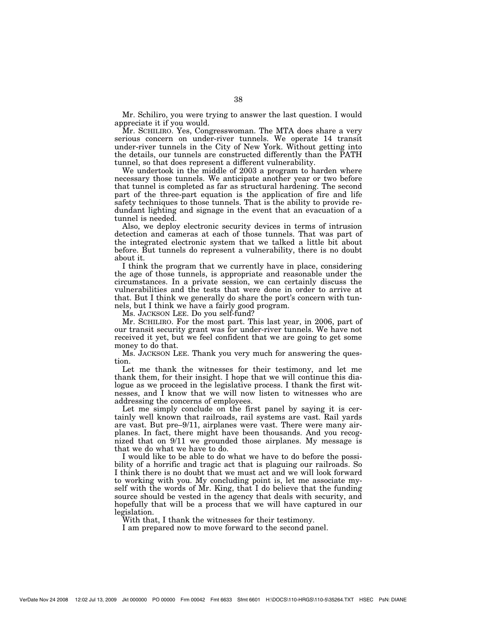Mr. Schiliro, you were trying to answer the last question. I would appreciate it if you would.

Mr. SCHILIRO. Yes, Congresswoman. The MTA does share a very serious concern on under-river tunnels. We operate 14 transit under-river tunnels in the City of New York. Without getting into the details, our tunnels are constructed differently than the PATH tunnel, so that does represent a different vulnerability.

We undertook in the middle of 2003 a program to harden where necessary those tunnels. We anticipate another year or two before that tunnel is completed as far as structural hardening. The second part of the three-part equation is the application of fire and life safety techniques to those tunnels. That is the ability to provide redundant lighting and signage in the event that an evacuation of a tunnel is needed.

Also, we deploy electronic security devices in terms of intrusion detection and cameras at each of those tunnels. That was part of the integrated electronic system that we talked a little bit about before. But tunnels do represent a vulnerability, there is no doubt about it.

I think the program that we currently have in place, considering the age of those tunnels, is appropriate and reasonable under the circumstances. In a private session, we can certainly discuss the vulnerabilities and the tests that were done in order to arrive at that. But I think we generally do share the port's concern with tunnels, but I think we have a fairly good program.

Ms. JACKSON LEE. Do you self-fund?

Mr. SCHILIRO. For the most part. This last year, in 2006, part of our transit security grant was for under-river tunnels. We have not received it yet, but we feel confident that we are going to get some money to do that.

Ms. JACKSON LEE. Thank you very much for answering the question.

Let me thank the witnesses for their testimony, and let me thank them, for their insight. I hope that we will continue this dialogue as we proceed in the legislative process. I thank the first witnesses, and I know that we will now listen to witnesses who are addressing the concerns of employees.

Let me simply conclude on the first panel by saying it is certainly well known that railroads, rail systems are vast. Rail yards are vast. But pre–9/11, airplanes were vast. There were many airplanes. In fact, there might have been thousands. And you recognized that on 9/11 we grounded those airplanes. My message is that we do what we have to do.

I would like to be able to do what we have to do before the possibility of a horrific and tragic act that is plaguing our railroads. So I think there is no doubt that we must act and we will look forward to working with you. My concluding point is, let me associate myself with the words of Mr. King, that I do believe that the funding source should be vested in the agency that deals with security, and hopefully that will be a process that we will have captured in our legislation.

With that, I thank the witnesses for their testimony.

I am prepared now to move forward to the second panel.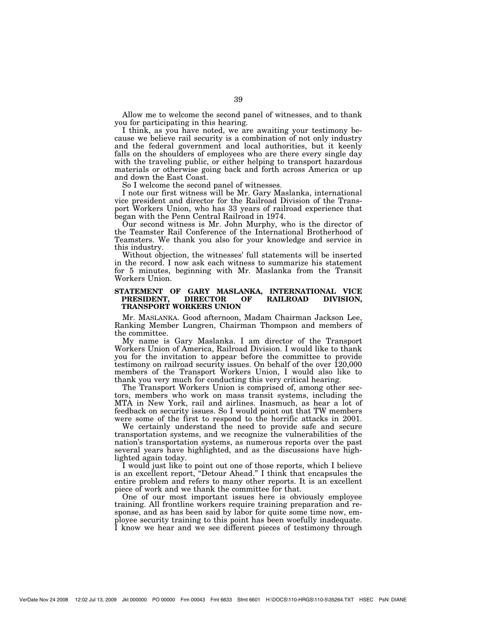Allow me to welcome the second panel of witnesses, and to thank you for participating in this hearing.

I think, as you have noted, we are awaiting your testimony because we believe rail security is a combination of not only industry and the federal government and local authorities, but it keenly falls on the shoulders of employees who are there every single day with the traveling public, or either helping to transport hazardous materials or otherwise going back and forth across America or up and down the East Coast.

So I welcome the second panel of witnesses.

I note our first witness will be Mr. Gary Maslanka, international vice president and director for the Railroad Division of the Transport Workers Union, who has 33 years of railroad experience that began with the Penn Central Railroad in 1974.

Our second witness is Mr. John Murphy, who is the director of the Teamster Rail Conference of the International Brotherhood of Teamsters. We thank you also for your knowledge and service in this industry.

Without objection, the witnesses' full statements will be inserted in the record. I now ask each witness to summarize his statement for 5 minutes, beginning with Mr. Maslanka from the Transit Workers Union.

### **STATEMENT OF GARY MASLANKA, INTERNATIONAL VICE**  PRESIDENT, DIRECTOR OF **TRANSPORT WORKERS UNION**

Mr. MASLANKA. Good afternoon, Madam Chairman Jackson Lee, Ranking Member Lungren, Chairman Thompson and members of the committee.

My name is Gary Maslanka. I am director of the Transport Workers Union of America, Railroad Division. I would like to thank you for the invitation to appear before the committee to provide testimony on railroad security issues. On behalf of the over 120,000 members of the Transport Workers Union, I would also like to thank you very much for conducting this very critical hearing.

The Transport Workers Union is comprised of, among other sectors, members who work on mass transit systems, including the MTA in New York, rail and airlines. Inasmuch, as hear a lot of feedback on security issues. So I would point out that TW members were some of the first to respond to the horrific attacks in 2001.

We certainly understand the need to provide safe and secure transportation systems, and we recognize the vulnerabilities of the nation's transportation systems, as numerous reports over the past several years have highlighted, and as the discussions have highlighted again today.

I would just like to point out one of those reports, which I believe is an excellent report, ''Detour Ahead.'' I think that encapsules the entire problem and refers to many other reports. It is an excellent piece of work and we thank the committee for that.

One of our most important issues here is obviously employee training. All frontline workers require training preparation and response, and as has been said by labor for quite some time now, employee security training to this point has been woefully inadequate. I know we hear and we see different pieces of testimony through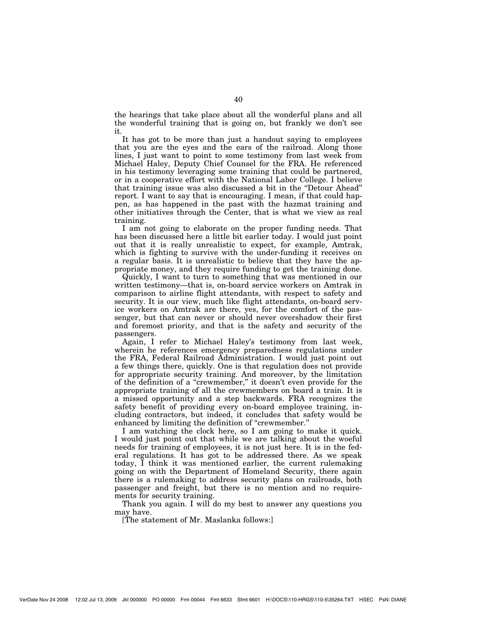the hearings that take place about all the wonderful plans and all the wonderful training that is going on, but frankly we don't see it.

It has got to be more than just a handout saying to employees that you are the eyes and the ears of the railroad. Along those lines, I just want to point to some testimony from last week from Michael Haley, Deputy Chief Counsel for the FRA. He referenced in his testimony leveraging some training that could be partnered, or in a cooperative effort with the National Labor College. I believe that training issue was also discussed a bit in the ''Detour Ahead'' report. I want to say that is encouraging. I mean, if that could happen, as has happened in the past with the hazmat training and other initiatives through the Center, that is what we view as real training.

I am not going to elaborate on the proper funding needs. That has been discussed here a little bit earlier today. I would just point out that it is really unrealistic to expect, for example, Amtrak, which is fighting to survive with the under-funding it receives on a regular basis. It is unrealistic to believe that they have the appropriate money, and they require funding to get the training done.

Quickly, I want to turn to something that was mentioned in our written testimony—that is, on-board service workers on Amtrak in comparison to airline flight attendants, with respect to safety and security. It is our view, much like flight attendants, on-board service workers on Amtrak are there, yes, for the comfort of the passenger, but that can never or should never overshadow their first and foremost priority, and that is the safety and security of the passengers.

Again, I refer to Michael Haley's testimony from last week, wherein he references emergency preparedness regulations under the FRA, Federal Railroad Administration. I would just point out a few things there, quickly. One is that regulation does not provide for appropriate security training. And moreover, by the limitation of the definition of a ''crewmember,'' it doesn't even provide for the appropriate training of all the crewmembers on board a train. It is a missed opportunity and a step backwards. FRA recognizes the safety benefit of providing every on-board employee training, including contractors, but indeed, it concludes that safety would be enhanced by limiting the definition of "crewmember."

I am watching the clock here, so I am going to make it quick. I would just point out that while we are talking about the woeful needs for training of employees, it is not just here. It is in the federal regulations. It has got to be addressed there. As we speak today, I think it was mentioned earlier, the current rulemaking going on with the Department of Homeland Security, there again there is a rulemaking to address security plans on railroads, both passenger and freight, but there is no mention and no requirements for security training.

Thank you again. I will do my best to answer any questions you may have.

[The statement of Mr. Maslanka follows:]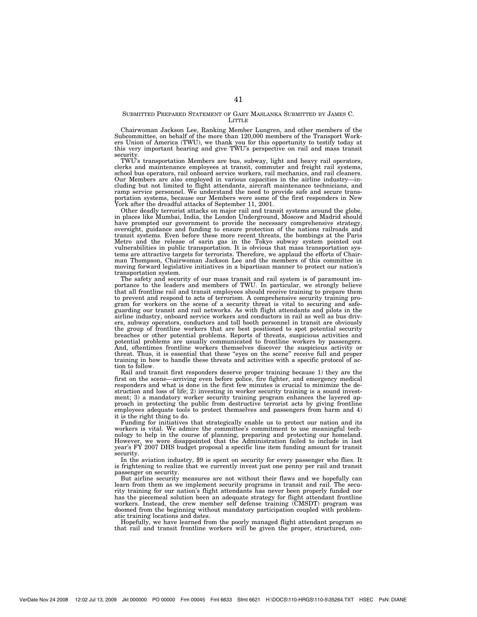#### SUBMITTED PREPARED STATEMENT OF GARY MASLANKA SUBMITTED BY JAMES C. LITTLE

Chairwoman Jackson Lee, Ranking Member Lungren, and other members of the Subcommittee, on behalf of the more than 120,000 members of the Transport Work-ers Union of America (TWU), we thank you for this opportunity to testify today at this very important hearing and give TWU's perspective on rail and mass transit

security. TWU's transportation Members are bus, subway, light and heavy rail operators, clerks and maintenance employees at transit, commuter and freight rail systems, school bus operators, rail onboard service workers, rail mechanics, and rail cleaners. Our Members are also employed in various capacities in the airline industry—including but not limited to flight attendants, aircraft maintenance technicians, and ramp service personnel. We understand the need to provide safe and secure transportation systems, because our Members were some of the first responders in New York after the dreadful attacks of September 11, 2001.

Other deadly terrorist attacks on major rail and transit systems around the globe, in places like Mumbai, India, the London Underground, Moscow and Madrid should have prompted our government to provide the necessary comprehensive strategy, oversight, guidance and funding to ensure protection of the nations railroads and transit systems. Even before these more recent threats, the bombings at the Paris Metro and the release of sarin gas in the Tokyo subway system pointed out vulnerabilities in public transportation. It is obvious that mass transportation systems are attractive targets for terrorists. Therefore, we applaud the efforts of Chairman Thompson, Chairwoman Jackson Lee and the members of this committee in moving forward legislative initiatives in a bipartisan manner to protect our nation's transportation system.

The safety and security of our mass transit and rail system is of paramount importance to the leaders and members of TWU. In particular, we strongly believe that all frontline rail and transit employees should receive training to prepare them to prevent and respond to acts of terrorism. A comprehensive security training program for workers on the scene of a security threat is vital to securing and safeguarding our transit and rail networks. As with flight attendants and pilots in the airline industry, onboard service workers and conductors in rail as well as bus drivers, subway operators, conductors and toll booth personnel in transit are obviously the group of frontline workers that are best positioned to spot potential security breaches or other potential problems. Reports of threats, suspicious activities and potential problems are usually communicated to frontline workers by passengers. And, oftentimes frontline workers themselves discover the suspicious activity or threat. Thus, it is essential that these "eyes on the scene" receive full and proper training in how to handle these threats and activities with a specific protocol of action to follow.

Rail and transit first responders deserve proper training because 1) they are the first on the scene—arriving even before police, fire fighter, and emergency medical responders and what is done in the first few minutes is crucial to minimize the destruction and loss of life; 2) investing in worker security training is a sound investment; 3) a mandatory worker security training program enhances the layered approach in protecting the public from destructive terrorist acts by giving frontline employees adequate tools to protect themselves and passengers from harm and 4) it is the right thing to do.

Funding for initiatives that strategically enable us to protect our nation and its workers is vital. We admire the committee's commitment to use meaningful technology to help in the course of planning, preparing and protecting our homeland. However, we were disappointed that the Administration failed to include in last year's FY 2007 DHS budget proposal a specific line item funding amount for transit security.

In the aviation industry, \$9 is spent on security for every passenger who flies. It is frightening to realize that we currently invest just one penny per rail and transit passenger on security.

But airline security measures are not without their flaws and we hopefully can learn from them as we implement security programs in transit and rail. The security training for our nation's flight attendants has never been properly funded nor has the piecemeal solution been an adequate strategy for flight attendant frontline workers. Instead, the crew member self defense training (CMSDT) program was doomed from the beginning without mandatory participation coupled with problematic training locations and dates.

Hopefully, we have learned from the poorly managed flight attendant program so that rail and transit frontline workers will be given the proper, structured, con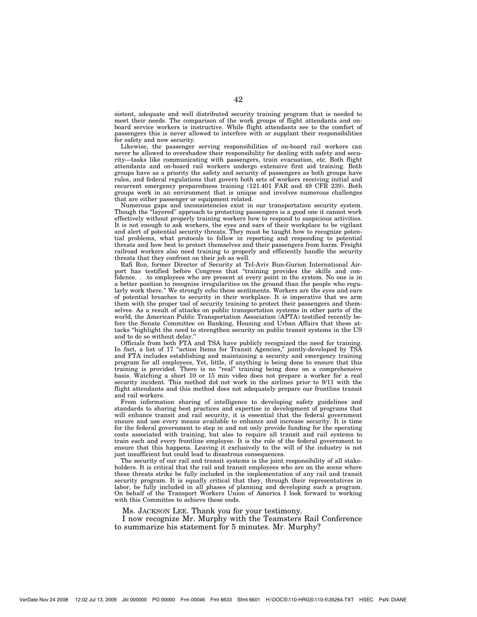sistent, adequate and well distributed security training program that is needed to meet their needs. The comparison of the work groups of flight attendants and onboard service workers is instructive. While flight attendants see to the comfort of passengers this is never allowed to interfere with or supplant their responsibilities for safety and now security.

Likewise, the passenger serving responsibilities of on-board rail workers can never be allowed to overshadow their responsibility for dealing with safety and security—tasks like communicating with passengers, train evacuation, etc. Both flight attendants and on-board rail workers undergo extensive first aid training. Both groups have as a priority the safety and security of passengers as both groups have rules, and federal regulations that govern both sets of workers receiving initial and recurrent emergency preparedness training (121.401 FAR and 49 CFR 239). Both groups work in an environment that is unique and involves numerous challenges that are either passenger or equipment related.

Numerous gaps and inconsistencies exist in our transportation security system. Though the "layered" approach to protecting passengers is a good one it cannot work effectively without properly training workers how to respond to suspicious activities. It is not enough to ask workers, the eyes and ears of their workplace to be vigilant and alert of potential security threats. They must be taught how to recognize potential problems, what protocols to follow in reporting and responding to potential threats and how best to protect themselves and their passengers from harm. Freight railroad workers also need training to properly and efficiently handle the security threats that they confront on their job as well.

Rafi Ron, former Director of Security at Tel-Aviv Bun-Gurion International Airport has testified before Congress that ''training provides the skills and confidence. . .to employees who are present at every point in the system. No one is in a better position to recognize irregularities on the ground than the people who regularly work there.'' We strongly echo these sentiments. Workers are the eyes and ears of potential breaches to security in their workplace. It is imperative that we arm them with the proper tool of security training to protect their passengers and themselves. As a result of attacks on public transportation systems in other parts of the world, the American Public Transportation Association (APTA) testified recently before the Senate Committee on Banking, Housing and Urban Affairs that these attacks ''highlight the need to strengthen security on public transit systems in the US and to do so without delay.''

Officials from both FTA and TSA have publicly recognized the need for training. In fact, a list of 17 "action Items for Transit Agencies," jointly-developed by TSA and FTA includes establishing and maintaining a security and emergency training program for all employees, Yet, little, if anything is being done to ensure that this training is provided. There is no ''real'' training being done on a comprehensive basis. Watching a short 10 or 15 min video does not prepare a worker for a real security incident. This method did not work in the airlines prior to 9/11 with the flight attendants and this method does not adequately prepare our frontline transit and rail workers.

From information sharing of intelligence to developing safety guidelines and standards to sharing best practices and expertise in development of programs that will enhance transit and rail security, it is essential that the federal government ensure and use every means available to enhance and increase security. It is time for the federal government to step in and not only provide funding for the operating costs associated with training, but also to require all transit and rail systems to train each and every frontline employee. It is the role of the federal government to ensure that this happens. Leaving it exclusively to the will of the industry is not just insufficient but could lead to disastrous consequences.

The security of our rail and transit systems is the joint responsibility of all stakeholders. It is critical that the rail and transit employees who are on the scene where these threats strike be fully included in the implementation of any rail and transit security program. It is equally critical that they, through their representatives in labor, be fully included in all phases of planning and developing such a program. On behalf of the Transport Workers Union of America I look forward to working with this Committee to achieve these ends.

Ms. JACKSON LEE. Thank you for your testimony.

I now recognize Mr. Murphy with the Teamsters Rail Conference to summarize his statement for 5 minutes. Mr. Murphy?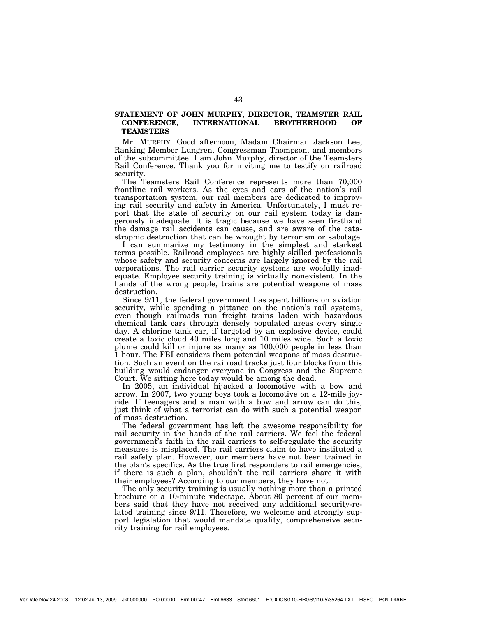# **STATEMENT OF JOHN MURPHY, DIRECTOR, TEAMSTER RAIL CONFERENCE, INTERNATIONAL BROTHERHOOD OF TEAMSTERS**

Mr. MURPHY. Good afternoon, Madam Chairman Jackson Lee, Ranking Member Lungren, Congressman Thompson, and members of the subcommittee. I am John Murphy, director of the Teamsters Rail Conference. Thank you for inviting me to testify on railroad security.

The Teamsters Rail Conference represents more than 70,000 frontline rail workers. As the eyes and ears of the nation's rail transportation system, our rail members are dedicated to improving rail security and safety in America. Unfortunately, I must report that the state of security on our rail system today is dangerously inadequate. It is tragic because we have seen firsthand the damage rail accidents can cause, and are aware of the catastrophic destruction that can be wrought by terrorism or sabotage.

I can summarize my testimony in the simplest and starkest terms possible. Railroad employees are highly skilled professionals whose safety and security concerns are largely ignored by the rail corporations. The rail carrier security systems are woefully inadequate. Employee security training is virtually nonexistent. In the hands of the wrong people, trains are potential weapons of mass destruction.

Since 9/11, the federal government has spent billions on aviation security, while spending a pittance on the nation's rail systems, even though railroads run freight trains laden with hazardous chemical tank cars through densely populated areas every single day. A chlorine tank car, if targeted by an explosive device, could create a toxic cloud 40 miles long and 10 miles wide. Such a toxic plume could kill or injure as many as 100,000 people in less than 1 hour. The FBI considers them potential weapons of mass destruction. Such an event on the railroad tracks just four blocks from this building would endanger everyone in Congress and the Supreme Court. We sitting here today would be among the dead.

In 2005, an individual hijacked a locomotive with a bow and arrow. In 2007, two young boys took a locomotive on a 12-mile joyride. If teenagers and a man with a bow and arrow can do this, just think of what a terrorist can do with such a potential weapon of mass destruction.

The federal government has left the awesome responsibility for rail security in the hands of the rail carriers. We feel the federal government's faith in the rail carriers to self-regulate the security measures is misplaced. The rail carriers claim to have instituted a rail safety plan. However, our members have not been trained in the plan's specifics. As the true first responders to rail emergencies, if there is such a plan, shouldn't the rail carriers share it with their employees? According to our members, they have not.

The only security training is usually nothing more than a printed brochure or a 10-minute videotape. About 80 percent of our members said that they have not received any additional security-related training since 9/11. Therefore, we welcome and strongly support legislation that would mandate quality, comprehensive security training for rail employees.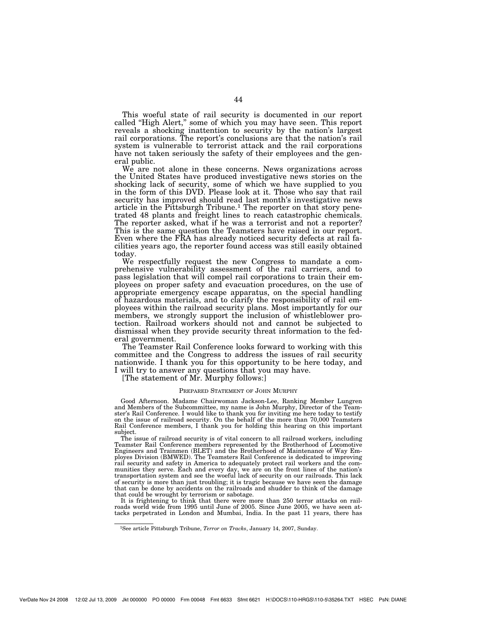This woeful state of rail security is documented in our report called ''High Alert,'' some of which you may have seen. This report reveals a shocking inattention to security by the nation's largest rail corporations. The report's conclusions are that the nation's rail system is vulnerable to terrorist attack and the rail corporations have not taken seriously the safety of their employees and the general public.

We are not alone in these concerns. News organizations across the United States have produced investigative news stories on the shocking lack of security, some of which we have supplied to you in the form of this DVD. Please look at it. Those who say that rail security has improved should read last month's investigative news article in the Pittsburgh Tribune.<sup>1</sup> The reporter on that story penetrated 48 plants and freight lines to reach catastrophic chemicals. The reporter asked, what if he was a terrorist and not a reporter? This is the same question the Teamsters have raised in our report. Even where the FRA has already noticed security defects at rail facilities years ago, the reporter found access was still easily obtained today.

We respectfully request the new Congress to mandate a comprehensive vulnerability assessment of the rail carriers, and to pass legislation that will compel rail corporations to train their employees on proper safety and evacuation procedures, on the use of appropriate emergency escape apparatus, on the special handling of hazardous materials, and to clarify the responsibility of rail employees within the railroad security plans. Most importantly for our members, we strongly support the inclusion of whistleblower protection. Railroad workers should not and cannot be subjected to dismissal when they provide security threat information to the federal government.

The Teamster Rail Conference looks forward to working with this committee and the Congress to address the issues of rail security nationwide. I thank you for this opportunity to be here today, and I will try to answer any questions that you may have.

[The statement of Mr. Murphy follows:]

#### PREPARED STATEMENT OF JOHN MURPHY

Good Afternoon. Madame Chairwoman Jackson-Lee, Ranking Member Lungren and Members of the Subcommittee, my name is John Murphy, Director of the Teamster's Rail Conference. I would like to thank you for inviting me here today to testify on the issue of railroad security. On the behalf of the more than 70,000 Teamsters Rail Conference members, I thank you for holding this hearing on this important subject.

The issue of railroad security is of vital concern to all railroad workers, including Teamster Rail Conference members represented by the Brotherhood of Locomotive Engineers and Trainmen (BLET) and the Brotherhood of Maintenance of Way Employes Division (BMWED). The Teamsters Rail Conference is dedicated to improving rail security and safety in America to adequately protect rail workers and the communities they serve. Each and every day, we are on the front lines of the nation's transportation system and see the woeful lack of security on our railroads. This lack of security is more than just troubling; it is tragic because we have seen the damage that can be done by accidents on the railroads and shudder to think of the damage that could be wrought by terrorism or sabotage.

It is frightening to think that there were more than 250 terror attacks on railroads world wide from 1995 until June of 2005. Since June 2005, we have seen attacks perpetrated in London and Mumbai, India. In the past 11 years, there has

<sup>1</sup>See article Pittsburgh Tribune, *Terror on Tracks*, January 14, 2007, Sunday.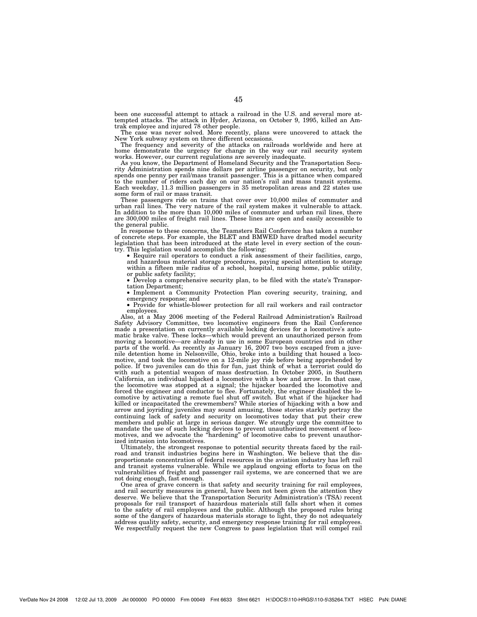been one successful attempt to attack a railroad in the U.S. and several more attempted attacks. The attack in Hyder, Arizona, on October 9, 1995, killed an Amtrak employee and injured 78 other people.

The case was never solved. More recently, plans were uncovered to attack the New York subway system on three different occasions.

The frequency and severity of the attacks on railroads worldwide and here at home demonstrate the urgency for change in the way our rail security system works. However, our current regulations are severely inadequate.

As you know, the Department of Homeland Security and the Transportation Security Administration spends nine dollars per airline passenger on security, but only spends one penny per rail/mass transit passenger. This is a pittance when compared to the number of riders each day on our nation's rail and mass transit systems. Each weekday, 11.3 million passengers in 35 metropolitan areas and 22 states use some form of rail or mass transit.

These passengers ride on trains that cover over 10,000 miles of commuter and urban rail lines. The very nature of the rail system makes it vulnerable to attack. In addition to the more than 10,000 miles of commuter and urban rail lines, there are 300,000 miles of freight rail lines. These lines are open and easily accessible to the general public.

In response to these concerns, the Teamsters Rail Conference has taken a number of concrete steps. For example, the BLET and BMWED have drafted model security legislation that has been introduced at the state level in every section of the coun-<br>try. This legislation would accomplish the following:

try. This legislation would accomplish the following: • Require rail operators to conduct a risk assessment of their facilities, cargo, and hazardous material storage procedures, paying special attention to storage within a fifteen mile radius of a school, hospital, nursing home, public utility, or public safety facility;

• Develop a comprehensive security plan, to be filed with the state's Transportation Department;

• Implement a Community Protection Plan covering security, training, and emergency response; and

• Provide for whistle-blower protection for all rail workers and rail contractor employees.

Also, at a May 2006 meeting of the Federal Railroad Administration's Railroad<br>Safety Advisory Committee, two locomotive engineers from the Rail Conference<br>made a presentation on currently available locking devices for a lo matic brake valve. These locks—which would prevent an unauthorized person from moving a locomotive—are already in use in some European countries and in other<br>parts of the world. As recently as January 16, 2007 two boys escaped from a juve-<br>nile detention home in Nelsonville, Ohio, broke into a buildi police. If two juveniles can do this for fun, just think of what a terrorist could do with such a potential weapon of mass destruction. In October 2005, in Southern California, an individual hijacked a locomotive with a bow and arrow. In that case, the locomotive was stopped at a signal; the hijacker boarded the locomotive and forced the engineer and conductor to flee. Fortunately, the engineer disabled the locomotive by activating a remote fuel shut off switch. But what if the hijacker had killed or incapacitated the crewmembers? While stories of hijacking with a bow and arrow and joyriding juveniles may sound amusing, those stories starkly portray the continuing lack of safety and security on locomotives today that put their crew members and public at large in serious danger. We strongly urge the committee to mandate the use of such locking devices to prevent unauthorized movement of locomotives, and we advocate the ''hardening'' of locomotive cabs to prevent unauthorized intrusion into locomotives.

Ultimately, the strongest response to potential security threats faced by the railroad and transit industries begins here in Washington. We believe that the disproportionate concentration of federal resources in the aviation industry has left rail and transit systems vulnerable. While we applaud ongoing efforts to focus on the vulnerabilities of freight and passenger rail systems, we are concerned that we are not doing enough, fast enough.

One area of grave concern is that safety and security training for rail employees, and rail security measures in general, have been not been given the attention they deserve. We believe that the Transportation Security Administration's (TSA) recent proposals for rail transport of hazardous materials still falls short when it comes to the safety of rail employees and the public. Although the proposed rules bring some of the dangers of hazardous materials storage to light, they do not adequately address quality safety, security, and emergency response training for rail employees. We respectfully request the new Congress to pass legislation that will compel rail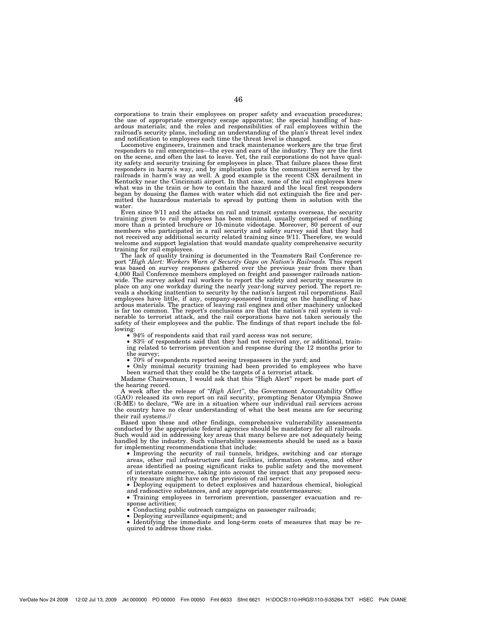corporations to train their employees on proper safety and evacuation procedures; the use of appropriate emergency escape apparatus; the special handling of haz-ardous materials; and the roles and responsibilities of rail employees within the railroad's security plans, including an understanding of the plan's threat level index and notification to employees each time the threat level is changed.

Locomotive engineers, trainmen and track maintenance workers are the true first responders to rail emergencies—the eyes and ears of the industry. They are the first on the scene, and often the last to leave. Yet, the rail corporations do not have quality safety and security training for employees in place. That failure places these first responders in harm's way, and by implication puts the communities served by the railroads in harm's way as well. A good example is the recent CSX derailment in Kentucky near the Cincinnati airport. In that case, none of the rail employees knew what was in the train or how to contain the hazard and the local first responders began by dousing the flames with water which did not extinguish the fire and permitted the hazardous materials to spread by putting them in solution with the water.

Even since 9/11 and the attacks on rail and transit systems overseas, the security training given to rail employees has been minimal, usually comprised of nothing more than a printed brochure or 10-minute videotape. Moreover, 80 percent of our members who participated in a rail security and safety survey said that they had not received any additional security related training since 9/11. Therefore, we would welcome and support legislation that would mandate quality comprehensive security training for rail employees.

The lack of quality training is documented in the Teamsters Rail Conference re-port ''*High Alert: Workers Warn of Security Gaps on Nation's Railroads.* This report was based on survey responses gathered over the previous year from more than 4,000 Rail Conference members employed on freight and passenger railroads nation-wide. The survey asked rail workers to report the safety and security measures in place on any one workday during the nearly year-long survey period. The report reveals a shocking inattention to security by the nation's largest rail corporations. Rail employees have little, if any, company-sponsored tra is far too common. The report's conclusions are that the nation's rail system is vulnerable to terrorist attack, and the rail corporations have not taken seriously the safety of their employees and the public. The findings of that report include the fol-

lowing:<br>• 94% of respondents said that rail yard access was not secure;<br>• 83% of respondents said that they had not received any, or additional, training related to terrorism prevention and response during the 12 months pr the survey;

• 70% of respondents reported seeing trespassers in the yard; and

• Only minimal security training had been provided to employees who have been warned that they could be the targets of a terrorist attack.

Madame Chairwoman, I would ask that this "High Alert" report be made part of the hearing record.

A week after the release of *''High Alert''*, the Government Accountability Office (GAO) released its own report on rail security, prompting Senator Olympia Snowe (R-ME) to declare, ''We are in a situation where our individual rail services across the country have no clear understanding of what the best means are for securing their rail systems.//

Based upon these and other findings, comprehensive vulnerability assessments conducted by the appropriate federal agencies should be mandatory for all railroads. Such would aid in addressing key areas that many believe are not adequately being handled by the industry. Such vulnerability assessments should be used as a basis for implementing recommendations that include:

• Improving the security of rail tunnels, bridges, switching and car storage areas, other rail infrastructure and facilities, information systems, and other areas identified as posing significant risks to public safety and the movement of interstate commerce, taking into account the impact that any proposed security measure might have on the provision of rail service;

• Deploying equipment to detect explosives and hazardous chemical, biological and radioactive substances, and any appropriate countermeasures;

• Training employees in terrorism prevention, passenger evacuation and response activities;

• Conducting public outreach campaigns on passenger railroads;

• Deploying surveillance equipment; and

• Identifying the immediate and long-term costs of measures that may be required to address those risks.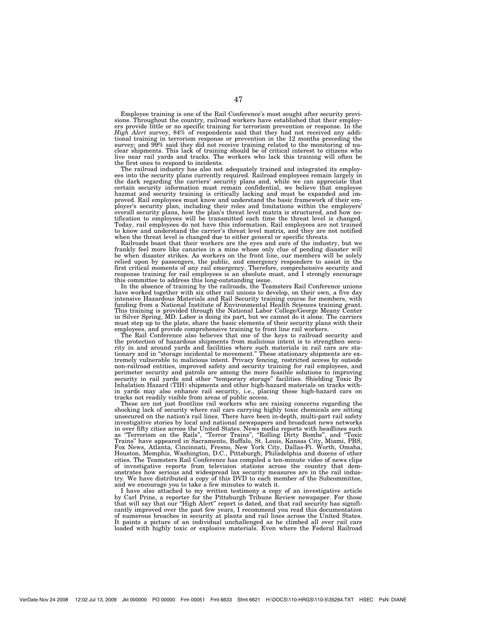Employee training is one of the Rail Conference's most sought after security provisions. Throughout the country, railroad workers have established that their employers provide little or no specific training for terrorism prevention or response. In the *High Alert* survey, 84% of respondents said that they had not received any additional training in terrorism response or prevention in the 12 months preceding the survey; and 99% said they did not receive training related to the monitoring of nuclear shipments. This lack of training should be of criti live near rail yards and tracks. The workers who lack this training will often be the first ones to respond to incidents.

The railroad industry has also not adequately trained and integrated its employees into the security plans currently required. Railroad employees remain largely in the dark regarding the carriers' security plans and, while we can appreciate that certain security information must remain confidential, we believe that employee hazmat and security training is critically lacking and must be expanded and im-proved. Rail employees must know and understand the basic framework of their employer's security plan, including their roles and limitations within the employers' overall security plans, how the plan's threat level matrix is structured, and how notification to employees will be transmitted each time the threat level is changed. Today, rail employees do not have this information. Rail employees are not trained to know and understand the carrier's threat level matrix, and they are not notified when the threat level is changed due to either general or specific threats.

Railroads boast that their workers are the eyes and ears of the industry, but we frankly feel more like canaries in a mine whose only clue of pending disaster will be when disaster strikes. As workers on the front line, our members will be solely relied upon by passengers, the public, and emergency responders to assist in the first critical moments of any rail emergency. Therefore, comprehensive security and response training for rail employees is an absolute must, and I strongly encourage this committee to address this long-outstanding issue.

In the absence of training by the railroads, the Teamsters Rail Conference unions have worked together with six other rail unions to develop, on their own, a five day intensive Hazardous Materials and Rail Security training course for members, with funding from a National Institute of Environmental Health Sciences training grant. This training is provided through the National Labor College/George Meany Center in Silver Spring, MD. Labor is doing its part, but we cannot do it alone. The carriers must step up to the plate, share the basic elements of their security plans with their employees, and provide comprehensive training to front line rail workers.

The Rail Conference also believes that one of the keys to railroad security and the protection of hazardous shipments from malicious intent is to strengthen security in and around yards and facilities where such materials in rail cars are sta-tionary and in ''storage incidental to movement.'' These stationary shipments are extremely vulnerable to malicious intent. Privacy fencing, restricted access by outside non-railroad entities, improved safety and security training for rail employees, and perimeter security and patrols are among the more feasible solutions to improving security in rail yards and other ''temporary storage'' facilities. Shielding Toxic By Inhalation Hazard (TIH) shipments and other high-hazard materials on tracks within yards may also enhance rail security, i.e., placing these high-hazard cars on tracks not readily visible from areas of public access.

These are not just frontline rail workers who are raising concerns regarding the shocking lack of security where rail cars carrying highly toxic chemicals are sitting unsecured on the nation's rail lines. There have been in-depth, multi-part rail safety investigative stories by local and national newspapers and broadcast news networks in over fifty cities across the United States. News media reports with headlines such as ''Terrorism on the Rails'', ''Terror Trains'', ''Rolling Dirty Bombs'', and ''Toxic Trains'' have appeared in Sacramento, Buffalo, St. Louis, Kansas City, Miami, PBS, Fox News, Atlanta, Cincinnati, Fresno, New York City, Dallas-Ft. Worth, Omaha, Houston, Memphis, Washington, D.C., Pittsburgh, Philadelphia and dozens of other cities. The Teamsters Rail Conference has compiled a ten-minute video of news clips of investigative reports from television stations across the country that demonstrates how serious and widespread lax security measures are in the rail industry. We have distributed a copy of this DVD to each member of the Subcommittee, and we encourage you to take a few minutes to watch it.

I have also attached to my written testimony a copy of an investigative article by Carl Prine, a reporter for the Pittsburgh Tribune Review newspaper. For those that will say that our "High Alert" report is dated, and that rail security has significantly improved over the past few years, I recommend you read this documentation of numerous breaches in security at plants and rail lines across the United States. It paints a picture of an individual unchallenged as he climbed all over rail cars loaded with highly toxic or explosive materials. Even where the Federal Railroad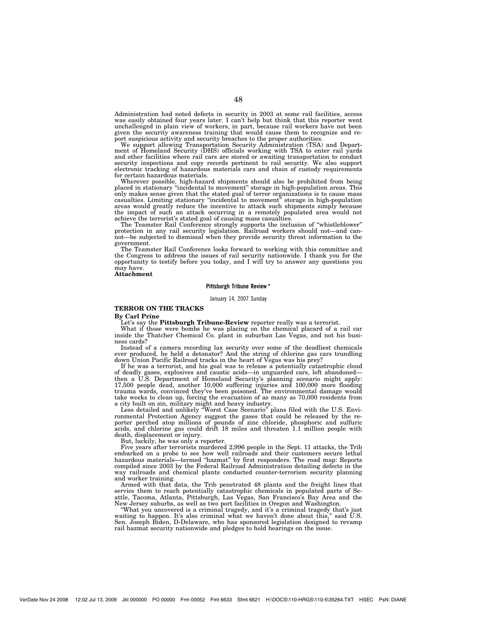Administration had noted defects in security in 2003 at some rail facilities, access was easily obtained four years later. I can't help but think that this reporter went unchallenged in plain view of workers, in part, because rail workers have not been given the security awareness training that would cause them to recognize and re-

port suspicious activity and security breaches to the proper authorities.<br>We support allowing Transportation Security Administration (TSA) and Department of Homeland Security (DHS) officials working with TSA to enter rail and other facilities where rail cars are stored or awaiting transportation to conduct security inspections and copy records pertinent to rail security. We also support electronic tracking of hazardous materials cars and chain of custody requirements for certain hazardous materials.

Wherever possible, high-hazard shipments should also be prohibited from being placed in stationary ''incidental to movement'' storage in high-population areas. This only makes sense given that the stated goal of terror organizations is to cause mass casualties. Limiting stationary ''incidental to movement'' storage in high-population areas would greatly reduce the incentive to attack such shipments simply because the impact of such an attack occurring in a remotely populated area would not

achieve the terrorist's stated goal of causing mass casualties. The Teamster Rail Conference strongly supports the inclusion of ''whistleblower'' protection in any rail security legislation. Railroad workers should not—and can-not—be subjected to dismissal when they provide security threat information to the government.

The Teamster Rail Conference looks forward to working with this committee and the Congress to address the issues of rail security nationwide. I thank you for the opportunity to testify before you today, and I will try to answer any questions you may have.

**Attachment** 

#### **Pittsburgh Tribune Review \***

January 14, 2007 Sunday

### **TERROR ON THE TRACKS**

**By Carl Prine** 

Let's say the **Pittsburgh Tribune-Review** reporter really was a terrorist.

What if those were bombs he was placing on the chemical placard of a rail car inside the Thatcher Chemical Co. plant in suburban Las Vegas, and not his business cards?

Instead of a camera recording lax security over some of the deadliest chemicals ever produced, he held a detonator? And the string of chlorine gas cars trundling down Union Pacific Railroad tracks in the heart of Vegas was his prey?

If he was a terrorist, and his goal was to release a potentially catastrophic cloud of deadly gases, explosives and caustic acids—in unguarded cars, left abandoned then a U.S. Department of Homeland Security's planning scenario might apply: 17,500 people dead, another 10,000 suffering injuries and 100,000 more flooding trauma wards, convinced they've been poisoned. The environmental damage would take weeks to clean up, forcing the evacuation of as many as 70,000 residents from a city built on sin, military might and heavy industry.

Less detailed and unlikely ''Worst Case Scenario'' plans filed with the U.S. Environmental Protection Agency suggest the gases that could be released by the reporter perched atop millions of pounds of zinc chloride, phosphoric and sulfuric acids, and chlorine gas could drift 18 miles and threaten 1.1 million people with death, displacement or injury.

But, luckily, he was only a reporter.

Five years after terrorists murdered 2,996 people in the Sept. 11 attacks, the Trib embarked on a probe to see how well railroads and their customers secure lethal hazardous materials—termed ''hazmat'' by first responders. The road map: Reports compiled since 2003 by the Federal Railroad Administration detailing defects in the way railroads and chemical plants conducted counter-terrorism security planning and worker training.

Armed with that data, the Trib penetrated 48 plants and the freight lines that service them to reach potentially catastrophic chemicals in populated parts of Seattle, Tacoma, Atlanta, Pittsburgh, Las Vegas, San Francisco's Bay Area and the New Jersey suburbs, as well as two port facilities in Oregon and Washington.

''What you uncovered is a criminal tragedy, and it's a criminal tragedy that's just waiting to happen. It's also criminal what we haven't done about this,'' said U.S. Sen. Joseph Biden, D-Delaware, who has sponsored legislation designed to revamp rail hazmat security nationwide and pledges to hold hearings on the issue.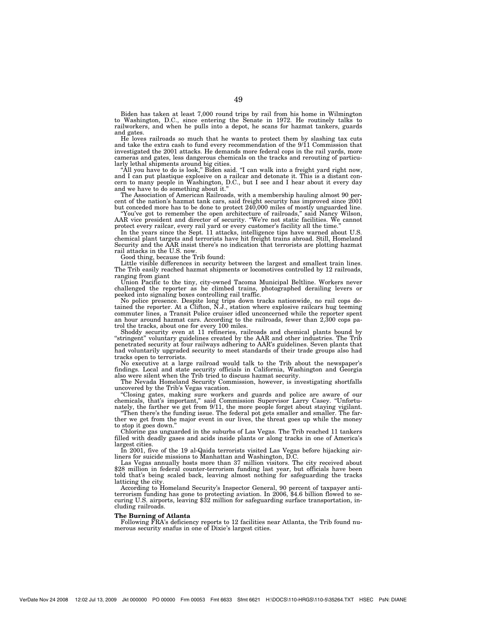Biden has taken at least 7,000 round trips by rail from his home in Wilmington to Washington, D.C., since entering the Senate in 1972. He routinely talks to railworkers, and when he pulls into a depot, he scans for hazmat tankers, guards and gates.

He loves railroads so much that he wants to protect them by slashing tax cuts and take the extra cash to fund every recommendation of the 9/11 Commission that investigated the 2001 attacks. He demands more federal cops in the rail yards, more cameras and gates, less dangerous chemicals on the tracks and rerouting of particularly lethal shipments around big cities.

"All you have to do is look," Biden said. "I can walk into a freight yard right now, and I can put plastique explosive on a railcar and detonate it. This is a distant concern to many people in Washington, D.C., but I see and I hear about it every day and we have to do something about it.''

The Association of American Railroads, with a membership hauling almost 90 percent of the nation's hazmat tank cars, said freight security has improved since 2001 but conceded more has to be done to protect 240,000 miles of mostly unguarded line.

"You've got to remember the open architecture of railroads," said Nancy Wilson, AAR vice president and director of security. ''We're not static facilities. We cannot protect every railcar, every rail yard or every customer's facility all the time.''

In the years since the Sept. 11 attacks, intelligence tips have warned about U.S. chemical plant targets and terrorists have hit freight trains abroad. Still, Homeland Security and the AAR insist there's no indication that terrorists are plotting hazmat rail attacks in the U.S. now.

Good thing, because the Trib found:

Little visible differences in security between the largest and smallest train lines. The Trib easily reached hazmat shipments or locomotives controlled by 12 railroads, ranging from giant

Union Pacific to the tiny, city-owned Tacoma Municipal Beltline. Workers never challenged the reporter as he climbed trains, photographed derailing levers or peeked into signaling boxes controlling rail traffic.

No police presence. Despite long trips down tracks nationwide, no rail cops detained the reporter. At a Clifton, N.J., station where explosive railcars hug teeming commuter lines, a Transit Police cruiser idled unconcerned while the reporter spent an hour around hazmat cars. According to the railroads, fewer than 2,300 cops patrol the tracks, about one for every 100 miles.

Shoddy security even at 11 refineries, railroads and chemical plants bound by ''stringent'' voluntary guidelines created by the AAR and other industries. The Trib penetrated security at four railways adhering to AAR's guidelines. Seven plants that had voluntarily upgraded security to meet standards of their trade groups also had tracks open to terrorists.

No executive at a large railroad would talk to the Trib about the newspaper's findings. Local and state security officials in California, Washington and Georgia also were silent when the Trib tried to discuss hazmat security.

The Nevada Homeland Security Commission, however, is investigating shortfalls uncovered by the Trib's Vegas vacation.

''Closing gates, making sure workers and guards and police are aware of our chemicals, that's important,'' said Commission Supervisor Larry Casey. ''Unfortunately, the farther we get from 9/11, the more people forget about staying vigilant.

''Then there's the funding issue. The federal pot gets smaller and smaller. The farther we get from the major event in our lives, the threat goes up while the money to stop it goes down.''

Chlorine gas unguarded in the suburbs of Las Vegas. The Trib reached 11 tankers filled with deadly gases and acids inside plants or along tracks in one of America's largest cities.

In 2001, five of the 19 al-Qaida terrorists visited Las Vegas before hijacking airliners for suicide missions to Manhattan and Washington, D.C.

Las Vegas annually hosts more than 37 million visitors. The city received about \$28 million in federal counter-terrorism funding last year, but officials have been told that's being scaled back, leaving almost nothing for safeguarding the tracks latticing the city.

According to Homeland Security's Inspector General, 90 percent of taxpayer antiterrorism funding has gone to protecting aviation. In 2006, \$4.6 billion flowed to securing U.S. airports, leaving \$32 million for safeguarding surface transportation, including railroads.

#### **The Burning of Atlanta**

Following FRA's deficiency reports to 12 facilities near Atlanta, the Trib found numerous security snafus in one of Dixie's largest cities.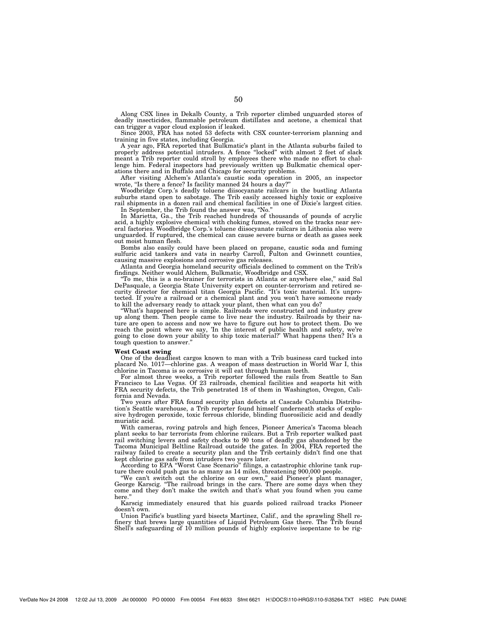Along CSX lines in Dekalb County, a Trib reporter climbed unguarded stores of deadly insecticides, flammable petroleum distillates and acetone, a chemical that can trigger a vapor cloud explosion if leaked.

Since 2003, FRA has noted 53 defects with CSX counter-terrorism planning and training in five states, including Georgia.

A year ago, FRA reported that Bulkmatic's plant in the Atlanta suburbs failed to properly address potential intruders. A fence ''locked'' with almost 2 feet of slack meant a Trib reporter could stroll by employees there who made no effort to challenge him. Federal inspectors had previously written up Bulkmatic chemical operations there and in Buffalo and Chicago for security problems.

After visiting Alchem's Atlanta's caustic soda operation in 2005, an inspector wrote, ''Is there a fence? Is facility manned 24 hours a day?''

Woodbridge Corp.'s deadly toluene diisocyanate railcars in the bustling Atlanta suburbs stand open to sabotage. The Trib easily accessed highly toxic or explosive rail shipments in a dozen rail and chemical facilities in one of Dixie's largest cities. In September, the Trib found the answer was, ''No.''

In Marietta, Ga., the Trib reached hundreds of thousands of pounds of acrylic acid, a highly explosive chemical with choking fumes, stowed on the tracks near several factories. Woodbridge Corp.'s toluene diisocyanate railcars in Lithonia also were unguarded. If ruptured, the chemical can cause severe burns or death as gases seek out moist human flesh.

Bombs also easily could have been placed on propane, caustic soda and fuming sulfuric acid tankers and vats in nearby Carroll, Fulton and Gwinnett counties, causing massive explosions and corrosive gas releases.

Atlanta and Georgia homeland security officials declined to comment on the Trib's findings. Neither would Alchem, Bulkmatic, Woodbridge and CSX.

''To me, this is a no-brainer for terrorists in Atlanta or anywhere else,'' said Sal DePasquale, a Georgia State University expert on counter-terrorism and retired security director for chemical titan Georgia Pacific. ''It's toxic material. It's unprotected. If you're a railroad or a chemical plant and you won't have someone ready to kill the adversary ready to attack your plant, then what can you do?

''What's happened here is simple. Railroads were constructed and industry grew up along them. Then people came to live near the industry. Railroads by their nature are open to access and now we have to figure out how to protect them. Do we reach the point where we say, 'In the interest of public health and safety, we're going to close down your ability to ship toxic material?' What happens then? It's a tough question to answer.''

#### **West Coast swing**

One of the deadliest cargos known to man with a Trib business card tucked into placard No. 1017—chlorine gas. A weapon of mass destruction in World War I, this chlorine in Tacoma is so corrosive it will eat through human teeth.

For almost three weeks, a Trib reporter followed the rails from Seattle to San Francisco to Las Vegas. Of 23 railroads, chemical facilities and seaports hit with FRA security defects, the Trib penetrated 18 of them in Washington, Oregon, California and Nevada.

Two years after FRA found security plan defects at Cascade Columbia Distribution's Seattle warehouse, a Trib reporter found himself underneath stacks of explosive hydrogen peroxide, toxic ferrous chloride, blinding fluorosilicic acid and deadly muriatic acid.

With cameras, roving patrols and high fences, Pioneer America's Tacoma bleach plant seeks to bar terrorists from chlorine railcars. But a Trib reporter walked past rail switching levers and safety chocks to 90 tons of deadly gas abandoned by the Tacoma Municipal Beltline Railroad outside the gates. In 2004, FRA reported the railway failed to create a security plan and the Trib certainly didn't find one that kept chlorine gas safe from intruders two years later.

According to EPA ''Worst Case Scenario'' filings, a catastrophic chlorine tank rupture there could push gas to as many as 14 miles, threatening 900,000 people.

''We can't switch out the chlorine on our own,'' said Pioneer's plant manager, George Karscig. ''The railroad brings in the cars. There are some days when they come and they don't make the switch and that's what you found when you came here.

Karscig immediately ensured that his guards policed railroad tracks Pioneer doesn't own.

Union Pacific's bustling yard bisects Martinez, Calif., and the sprawling Shell refinery that brews large quantities of Liquid Petroleum Gas there. The Trib found Shell's safeguarding of 10 million pounds of highly explosive isopentane to be rig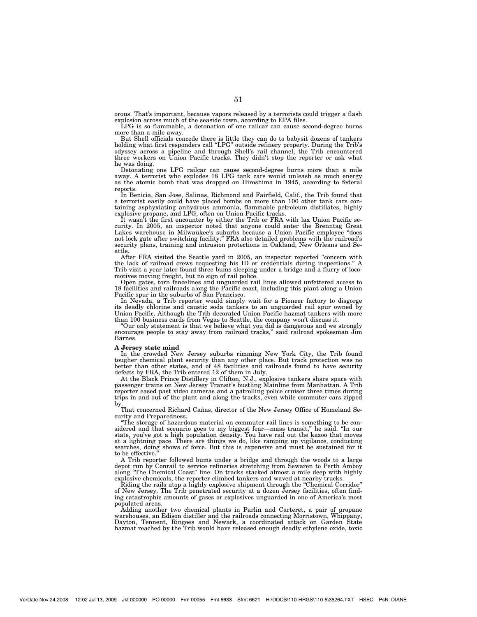orous. That's important, because vapors released by a terrorists could trigger a flash explosion across much of the seaside town, according to EPA files.

LPG is so flammable, a detonation of one railcar can cause second-degree burns more than a mile away.

But Shell officials concede there is little they can do to babysit dozens of tankers holding what first responders call ''LPG'' outside refinery property. During the Trib's odyssey across a pipeline and through Shell's rail channel, the Trib encountered three workers on Union Pacific tracks. They didn't stop the reporter or ask what he was doing.

Detonating one LPG railcar can cause second-degree burns more than a mile away. A terrorist who explodes 18 LPG tank cars would unleash as much energy as the atomic bomb that was dropped on Hiroshima in 1945, according to federal reports.

In Benicia, San Jose, Salinas, Richmond and Fairfield, Calif., the Trib found that a terrorist easily could have placed bombs on more than 100 other tank cars containing asphyxiating anhydrous ammonia, flammable petroleum distillates, highly explosive propane, and LPG, often on Union Pacific tracks.

It wasn't the first encounter by either the Trib or FRA with lax Union Pacific security. In 2005, an inspector noted that anyone could enter the Brenntag Great Lakes warehouse in Milwaukee's suburbs because a Union Pacific employee ''does not lock gate after switching facility.'' FRA also detailed problems with the railroad's security plans, training and intrusion protections in Oakland, New Orleans and Seattle.

After FRA visited the Seattle yard in 2005, an inspector reported ''concern with the lack of railroad crews requesting his ID or credentials during inspections.'' A Trib visit a year later found three bums sleeping under a bridge and a flurry of locomotives moving freight, but no sign of rail police.

Open gates, torn fencelines and unguarded rail lines allowed unfettered access to 18 facilities and railroads along the Pacific coast, including this plant along a Union Pacific spur in the suburbs of San Francisco.

In Nevada, a Trib reporter would simply wait for a Pioneer factory to disgorge its deadly chlorine and caustic soda tankers to an unguarded rail spur owned by Union Pacific. Although the Trib decorated Union Pacific hazmat tankers with more than 100 business cards from Vegas to Seattle, the company won't discuss it.

''Our only statement is that we believe what you did is dangerous and we strongly encourage people to stay away from railroad tracks,'' said railroad spokesman Jim Barnes.

#### **A Jersey state mind**

In the crowded New Jersey suburbs rimming New York City, the Trib found tougher chemical plant security than any other place. But track protection was no better than other states, and of 48 facilities and railroads found to have security defects by FRA, the Trib entered 12 of them in July.

At the Black Prince Distillery in Clifton, N.J., explosive tankers share space with passenger trains on New Jersey Transit's bustling Mainline from Manhattan. A Trib reporter eased past video cameras and a patrolling police cruiser three times during trips in and out of the plant and along the tracks, even while commuter cars zipped

by.<br>That concerned Richard Cañas, director of the New Jersey Office of Homeland Security and Preparedness.

''The storage of hazardous material on commuter rail lines is something to be considered and that scenario goes to my biggest fear—mass transit,'' he said. ''In our state, you've got a high population density. You have rail out the kazoo that moves at a lightning pace. There are things we do, like ramping up vigilance, conducting searches, doing shows of force. But this is expensive and must be sustained for it to be effective.

A Trib reporter followed bums under a bridge and through the woods to a large depot run by Conrail to service refineries stretching from Sewaren to Perth Amboy along ''The Chemical Coast'' line. On tracks stacked almost a mile deep with highly explosive chemicals, the reporter climbed tankers and waved at nearby trucks.

Riding the rails atop a highly explosive shipment through the ''Chemical Corridor'' of New Jersey. The Trib penetrated security at a dozen Jersey facilities, often finding catastrophic amounts of gases or explosives unguarded in one of America's most populated areas.

Adding another two chemical plants in Parlin and Carteret, a pair of propane warehouses, an Edison distiller and the railroads connecting Morristown, Whippany, Dayton, Tennent, Ringoes and Newark, a coordinated attack on Garden hazmat reached by the Trib would have released enough deadly ethylene oxide, toxic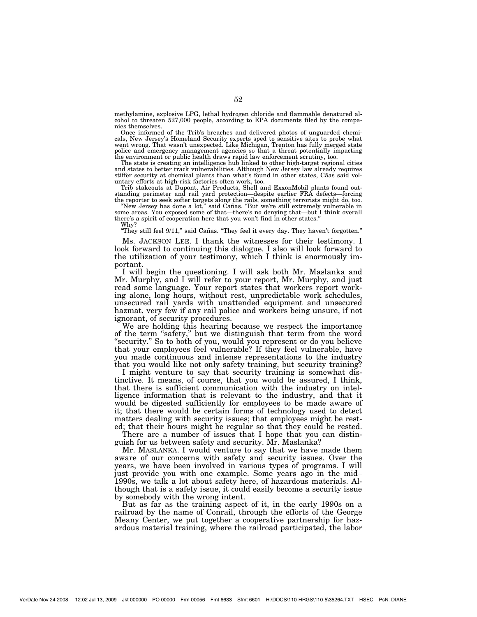methylamine, explosive LPG, lethal hydrogen chloride and flammable denatured alcohol to threaten 527,000 people, according to EPA documents filed by the companies themselves.

Once informed of the Trib's breaches and delivered photos of unguarded chemicals, New Jersey's Homeland Security experts sped to sensitive sites to probe what went wrong. That wasn't unexpected. Like Michigan, Trenton has fully merged state police and emergency management agencies so that a threat potentially impacting the environment or public health draws rapid law enforcement scrutiny, too.

The state is creating an intelligence hub linked to other high-target regional cities and states to better track vulnerabilities. Although New Jersey law already requires stiffer security at chemical plants than what's found in other states, Cãas said voluntary efforts at high-risk factories often work, too. Trib stakeouts at Dupont, Air Products, Shell and ExxonMobil plants found out-

standing perimeter and rail yard protection—despite earlier FRA defects—forcing the reporter to seek softer targets along the rails, something terrorists might do, too.

''New Jersey has done a lot,'' said Can˜ as. ''But we're still extremely vulnerable in some areas. You exposed some of that—there's no denying that—but I think overall there's a spirit of cooperation here that you won't find in other states.'' Why?

"They still feel 9/11," said Cañas. "They feel it every day. They haven't forgotten."

Ms. JACKSON LEE. I thank the witnesses for their testimony. I look forward to continuing this dialogue. I also will look forward to the utilization of your testimony, which I think is enormously important.

I will begin the questioning. I will ask both Mr. Maslanka and Mr. Murphy, and I will refer to your report, Mr. Murphy, and just read some language. Your report states that workers report working alone, long hours, without rest, unpredictable work schedules, unsecured rail yards with unattended equipment and unsecured hazmat, very few if any rail police and workers being unsure, if not ignorant, of security procedures.

We are holding this hearing because we respect the importance of the term "safety," but we distinguish that term from the word "security." So to both of you, would you represent or do you believe that your employees feel vulnerable? If they feel vulnerable, have you made continuous and intense representations to the industry that you would like not only safety training, but security training?

I might venture to say that security training is somewhat distinctive. It means, of course, that you would be assured, I think, that there is sufficient communication with the industry on intelligence information that is relevant to the industry, and that it would be digested sufficiently for employees to be made aware of it; that there would be certain forms of technology used to detect matters dealing with security issues; that employees might be rested; that their hours might be regular so that they could be rested.

There are a number of issues that I hope that you can distinguish for us between safety and security. Mr. Maslanka?

Mr. MASLANKA. I would venture to say that we have made them aware of our concerns with safety and security issues. Over the years, we have been involved in various types of programs. I will just provide you with one example. Some years ago in the mid– 1990s, we talk a lot about safety here, of hazardous materials. Although that is a safety issue, it could easily become a security issue by somebody with the wrong intent.

But as far as the training aspect of it, in the early 1990s on a railroad by the name of Conrail, through the efforts of the George Meany Center, we put together a cooperative partnership for hazardous material training, where the railroad participated, the labor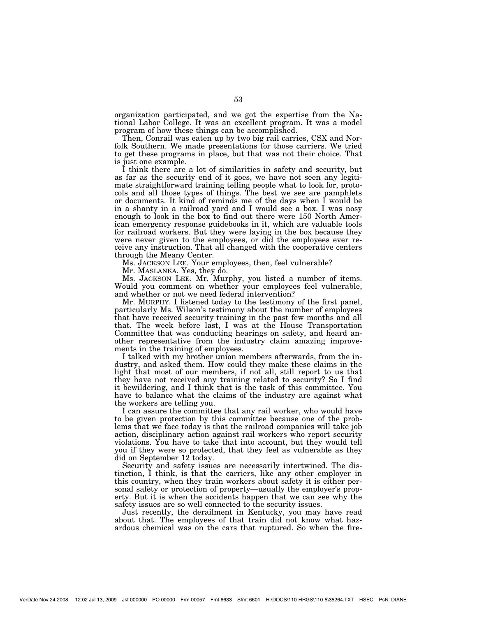organization participated, and we got the expertise from the National Labor College. It was an excellent program. It was a model program of how these things can be accomplished.

Then, Conrail was eaten up by two big rail carries, CSX and Norfolk Southern. We made presentations for those carriers. We tried to get these programs in place, but that was not their choice. That is just one example.

I think there are a lot of similarities in safety and security, but as far as the security end of it goes, we have not seen any legitimate straightforward training telling people what to look for, protocols and all those types of things. The best we see are pamphlets or documents. It kind of reminds me of the days when I would be in a shanty in a railroad yard and I would see a box. I was nosy enough to look in the box to find out there were 150 North American emergency response guidebooks in it, which are valuable tools for railroad workers. But they were laying in the box because they were never given to the employees, or did the employees ever receive any instruction. That all changed with the cooperative centers through the Meany Center.

Ms. JACKSON LEE. Your employees, then, feel vulnerable?

Mr. MASLANKA. Yes, they do.

Ms. JACKSON LEE. Mr. Murphy, you listed a number of items. Would you comment on whether your employees feel vulnerable, and whether or not we need federal intervention?

Mr. MURPHY. I listened today to the testimony of the first panel, particularly Ms. Wilson's testimony about the number of employees that have received security training in the past few months and all that. The week before last, I was at the House Transportation Committee that was conducting hearings on safety, and heard another representative from the industry claim amazing improvements in the training of employees.

I talked with my brother union members afterwards, from the industry, and asked them. How could they make these claims in the light that most of our members, if not all, still report to us that they have not received any training related to security? So I find it bewildering, and I think that is the task of this committee. You have to balance what the claims of the industry are against what the workers are telling you.

I can assure the committee that any rail worker, who would have to be given protection by this committee because one of the problems that we face today is that the railroad companies will take job action, disciplinary action against rail workers who report security violations. You have to take that into account, but they would tell you if they were so protected, that they feel as vulnerable as they did on September 12 today.

Security and safety issues are necessarily intertwined. The distinction, I think, is that the carriers, like any other employer in this country, when they train workers about safety it is either personal safety or protection of property—usually the employer's property. But it is when the accidents happen that we can see why the safety issues are so well connected to the security issues.

Just recently, the derailment in Kentucky, you may have read about that. The employees of that train did not know what hazardous chemical was on the cars that ruptured. So when the fire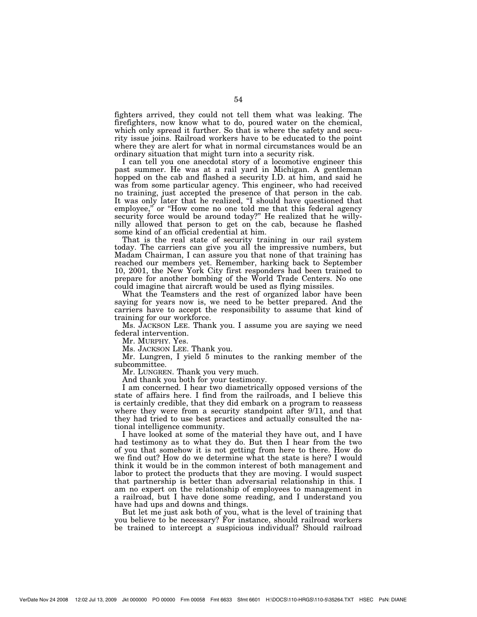fighters arrived, they could not tell them what was leaking. The firefighters, now know what to do, poured water on the chemical, which only spread it further. So that is where the safety and security issue joins. Railroad workers have to be educated to the point where they are alert for what in normal circumstances would be an ordinary situation that might turn into a security risk.

I can tell you one anecdotal story of a locomotive engineer this past summer. He was at a rail yard in Michigan. A gentleman hopped on the cab and flashed a security I.D. at him, and said he was from some particular agency. This engineer, who had received no training, just accepted the presence of that person in the cab. It was only later that he realized, "I should have questioned that employee," or "How come no one told me that this federal agency security force would be around today?'' He realized that he willynilly allowed that person to get on the cab, because he flashed some kind of an official credential at him.

That is the real state of security training in our rail system today. The carriers can give you all the impressive numbers, but Madam Chairman, I can assure you that none of that training has reached our members yet. Remember, harking back to September 10, 2001, the New York City first responders had been trained to prepare for another bombing of the World Trade Centers. No one could imagine that aircraft would be used as flying missiles.

What the Teamsters and the rest of organized labor have been saying for years now is, we need to be better prepared. And the carriers have to accept the responsibility to assume that kind of training for our workforce.

Ms. JACKSON LEE. Thank you. I assume you are saying we need federal intervention.

Mr. MURPHY. Yes.

Ms. JACKSON LEE. Thank you.

Mr. Lungren, I yield 5 minutes to the ranking member of the subcommittee.

Mr. LUNGREN. Thank you very much.

And thank you both for your testimony.

I am concerned. I hear two diametrically opposed versions of the state of affairs here. I find from the railroads, and I believe this is certainly credible, that they did embark on a program to reassess where they were from a security standpoint after 9/11, and that they had tried to use best practices and actually consulted the national intelligence community.

I have looked at some of the material they have out, and I have had testimony as to what they do. But then I hear from the two of you that somehow it is not getting from here to there. How do we find out? How do we determine what the state is here? I would think it would be in the common interest of both management and labor to protect the products that they are moving. I would suspect that partnership is better than adversarial relationship in this. I am no expert on the relationship of employees to management in a railroad, but I have done some reading, and I understand you have had ups and downs and things.

But let me just ask both of you, what is the level of training that you believe to be necessary? For instance, should railroad workers be trained to intercept a suspicious individual? Should railroad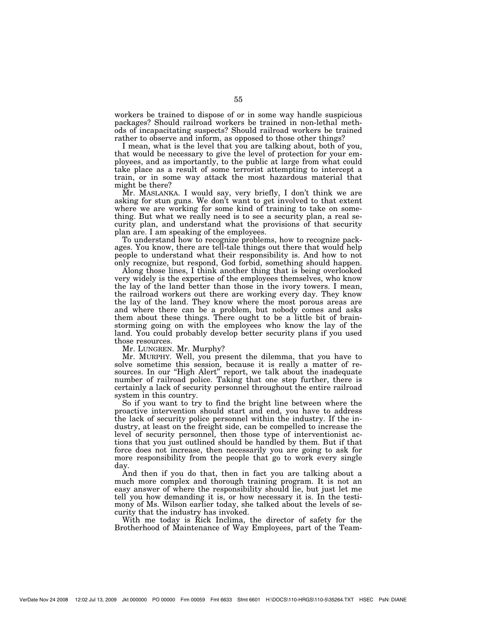workers be trained to dispose of or in some way handle suspicious packages? Should railroad workers be trained in non-lethal methods of incapacitating suspects? Should railroad workers be trained rather to observe and inform, as opposed to those other things?

I mean, what is the level that you are talking about, both of you, that would be necessary to give the level of protection for your employees, and as importantly, to the public at large from what could take place as a result of some terrorist attempting to intercept a train, or in some way attack the most hazardous material that might be there?

Mr. MASLANKA. I would say, very briefly, I don't think we are asking for stun guns. We don't want to get involved to that extent where we are working for some kind of training to take on something. But what we really need is to see a security plan, a real security plan, and understand what the provisions of that security plan are. I am speaking of the employees.

To understand how to recognize problems, how to recognize packages. You know, there are tell-tale things out there that would help people to understand what their responsibility is. And how to not only recognize, but respond, God forbid, something should happen.

Along those lines, I think another thing that is being overlooked very widely is the expertise of the employees themselves, who know the lay of the land better than those in the ivory towers. I mean, the railroad workers out there are working every day. They know the lay of the land. They know where the most porous areas are and where there can be a problem, but nobody comes and asks them about these things. There ought to be a little bit of brainstorming going on with the employees who know the lay of the land. You could probably develop better security plans if you used those resources.

Mr. LUNGREN. Mr. Murphy?

Mr. MURPHY. Well, you present the dilemma, that you have to solve sometime this session, because it is really a matter of resources. In our "High Alert" report, we talk about the inadequate number of railroad police. Taking that one step further, there is certainly a lack of security personnel throughout the entire railroad system in this country.

So if you want to try to find the bright line between where the proactive intervention should start and end, you have to address the lack of security police personnel within the industry. If the industry, at least on the freight side, can be compelled to increase the level of security personnel, then those type of interventionist actions that you just outlined should be handled by them. But if that force does not increase, then necessarily you are going to ask for more responsibility from the people that go to work every single day.

And then if you do that, then in fact you are talking about a much more complex and thorough training program. It is not an easy answer of where the responsibility should lie, but just let me tell you how demanding it is, or how necessary it is. In the testimony of Ms. Wilson earlier today, she talked about the levels of security that the industry has invoked.

With me today is Rick Inclima, the director of safety for the Brotherhood of Maintenance of Way Employees, part of the Team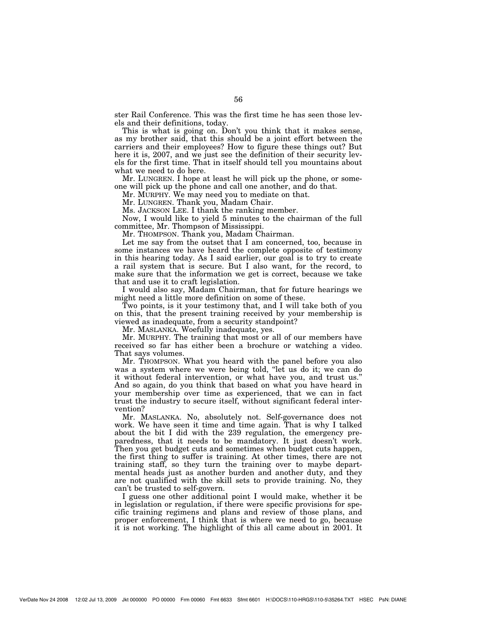ster Rail Conference. This was the first time he has seen those levels and their definitions, today.

This is what is going on. Don't you think that it makes sense, as my brother said, that this should be a joint effort between the carriers and their employees? How to figure these things out? But here it is, 2007, and we just see the definition of their security levels for the first time. That in itself should tell you mountains about what we need to do here.

Mr. LUNGREN. I hope at least he will pick up the phone, or someone will pick up the phone and call one another, and do that.

Mr. MURPHY. We may need you to mediate on that.

Mr. LUNGREN. Thank you, Madam Chair.

Ms. JACKSON LEE. I thank the ranking member.

Now, I would like to yield 5 minutes to the chairman of the full committee, Mr. Thompson of Mississippi.

Mr. THOMPSON. Thank you, Madam Chairman.

Let me say from the outset that I am concerned, too, because in some instances we have heard the complete opposite of testimony in this hearing today. As I said earlier, our goal is to try to create a rail system that is secure. But I also want, for the record, to make sure that the information we get is correct, because we take that and use it to craft legislation.

I would also say, Madam Chairman, that for future hearings we might need a little more definition on some of these.

Two points, is it your testimony that, and I will take both of you on this, that the present training received by your membership is viewed as inadequate, from a security standpoint?

Mr. MASLANKA. Woefully inadequate, yes.

Mr. MURPHY. The training that most or all of our members have received so far has either been a brochure or watching a video. That says volumes.

Mr. THOMPSON. What you heard with the panel before you also was a system where we were being told, "let us do it; we can do it without federal intervention, or what have you, and trust us.'' And so again, do you think that based on what you have heard in your membership over time as experienced, that we can in fact trust the industry to secure itself, without significant federal intervention?

Mr. MASLANKA. No, absolutely not. Self-governance does not work. We have seen it time and time again. That is why I talked about the bit I did with the 239 regulation, the emergency preparedness, that it needs to be mandatory. It just doesn't work. Then you get budget cuts and sometimes when budget cuts happen, the first thing to suffer is training. At other times, there are not training staff, so they turn the training over to maybe departmental heads just as another burden and another duty, and they are not qualified with the skill sets to provide training. No, they can't be trusted to self-govern.

I guess one other additional point I would make, whether it be in legislation or regulation, if there were specific provisions for specific training regimens and plans and review of those plans, and proper enforcement, I think that is where we need to go, because it is not working. The highlight of this all came about in 2001. It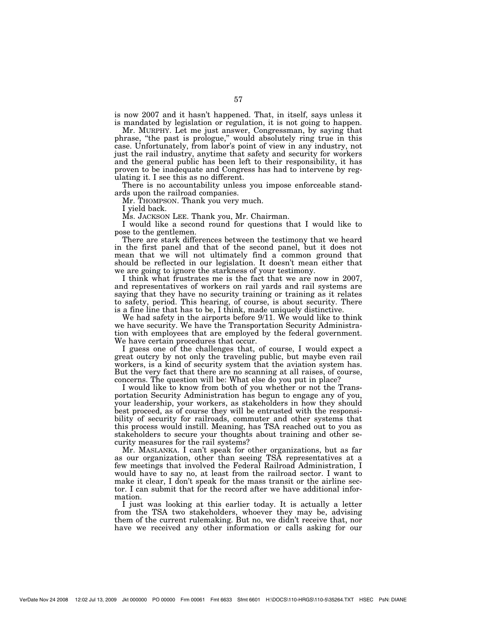is now 2007 and it hasn't happened. That, in itself, says unless it is mandated by legislation or regulation, it is not going to happen.

Mr. MURPHY. Let me just answer, Congressman, by saying that phrase, "the past is prologue," would absolutely ring true in this case. Unfortunately, from labor's point of view in any industry, not just the rail industry, anytime that safety and security for workers and the general public has been left to their responsibility, it has proven to be inadequate and Congress has had to intervene by regulating it. I see this as no different.

There is no accountability unless you impose enforceable standards upon the railroad companies.

Mr. THOMPSON. Thank you very much.

I yield back.

Ms. JACKSON LEE. Thank you, Mr. Chairman.

I would like a second round for questions that I would like to pose to the gentlemen.

There are stark differences between the testimony that we heard in the first panel and that of the second panel, but it does not mean that we will not ultimately find a common ground that should be reflected in our legislation. It doesn't mean either that we are going to ignore the starkness of your testimony.

I think what frustrates me is the fact that we are now in 2007, and representatives of workers on rail yards and rail systems are saying that they have no security training or training as it relates to safety, period. This hearing, of course, is about security. There is a fine line that has to be, I think, made uniquely distinctive.

We had safety in the airports before 9/11. We would like to think we have security. We have the Transportation Security Administration with employees that are employed by the federal government. We have certain procedures that occur.

I guess one of the challenges that, of course, I would expect a great outcry by not only the traveling public, but maybe even rail workers, is a kind of security system that the aviation system has. But the very fact that there are no scanning at all raises, of course, concerns. The question will be: What else do you put in place?

I would like to know from both of you whether or not the Transportation Security Administration has begun to engage any of you, your leadership, your workers, as stakeholders in how they should best proceed, as of course they will be entrusted with the responsibility of security for railroads, commuter and other systems that this process would instill. Meaning, has TSA reached out to you as stakeholders to secure your thoughts about training and other security measures for the rail systems?

Mr. MASLANKA. I can't speak for other organizations, but as far as our organization, other than seeing TSA representatives at a few meetings that involved the Federal Railroad Administration, I would have to say no, at least from the railroad sector. I want to make it clear, I don't speak for the mass transit or the airline sector. I can submit that for the record after we have additional information.

I just was looking at this earlier today. It is actually a letter from the TSA two stakeholders, whoever they may be, advising them of the current rulemaking. But no, we didn't receive that, nor have we received any other information or calls asking for our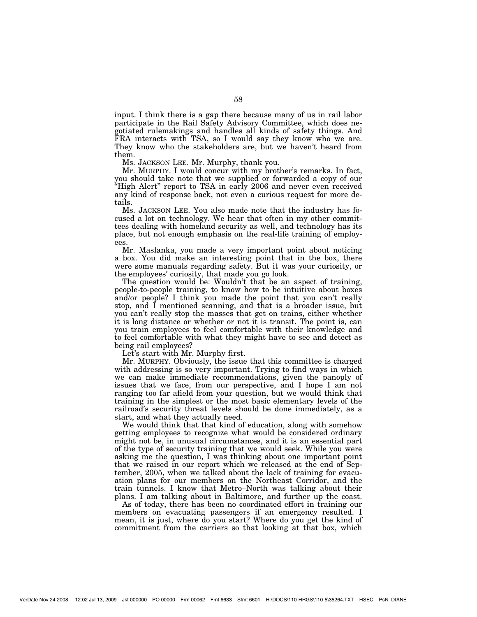input. I think there is a gap there because many of us in rail labor participate in the Rail Safety Advisory Committee, which does negotiated rulemakings and handles all kinds of safety things. And FRA interacts with TSA, so I would say they know who we are. They know who the stakeholders are, but we haven't heard from them.

Ms. JACKSON LEE. Mr. Murphy, thank you.

Mr. MURPHY. I would concur with my brother's remarks. In fact, you should take note that we supplied or forwarded a copy of our "High Alert" report to TSA in early 2006 and never even received any kind of response back, not even a curious request for more details.

Ms. JACKSON LEE. You also made note that the industry has focused a lot on technology. We hear that often in my other committees dealing with homeland security as well, and technology has its place, but not enough emphasis on the real-life training of employees.

Mr. Maslanka, you made a very important point about noticing a box. You did make an interesting point that in the box, there were some manuals regarding safety. But it was your curiosity, or the employees' curiosity, that made you go look.

The question would be: Wouldn't that be an aspect of training, people-to-people training, to know how to be intuitive about boxes and/or people? I think you made the point that you can't really stop, and I mentioned scanning, and that is a broader issue, but you can't really stop the masses that get on trains, either whether it is long distance or whether or not it is transit. The point is, can you train employees to feel comfortable with their knowledge and to feel comfortable with what they might have to see and detect as being rail employees?

Let's start with Mr. Murphy first.

Mr. MURPHY. Obviously, the issue that this committee is charged with addressing is so very important. Trying to find ways in which we can make immediate recommendations, given the panoply of issues that we face, from our perspective, and I hope I am not ranging too far afield from your question, but we would think that training in the simplest or the most basic elementary levels of the railroad's security threat levels should be done immediately, as a start, and what they actually need.

We would think that that kind of education, along with somehow getting employees to recognize what would be considered ordinary might not be, in unusual circumstances, and it is an essential part of the type of security training that we would seek. While you were asking me the question, I was thinking about one important point that we raised in our report which we released at the end of September, 2005, when we talked about the lack of training for evacuation plans for our members on the Northeast Corridor, and the train tunnels. I know that Metro–North was talking about their plans. I am talking about in Baltimore, and further up the coast.

As of today, there has been no coordinated effort in training our members on evacuating passengers if an emergency resulted. I mean, it is just, where do you start? Where do you get the kind of commitment from the carriers so that looking at that box, which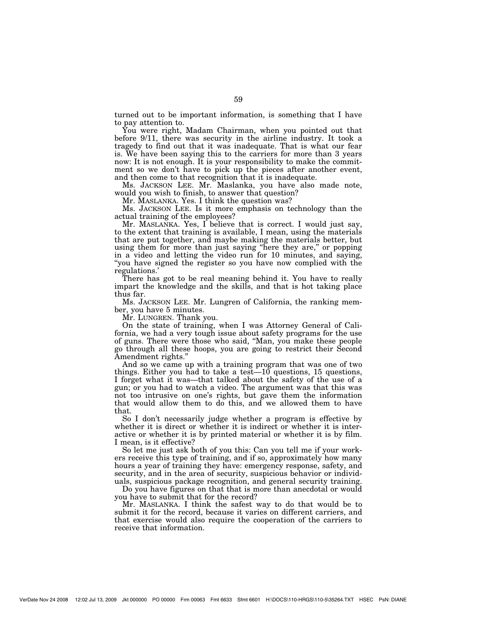turned out to be important information, is something that I have to pay attention to.

You were right, Madam Chairman, when you pointed out that before 9/11, there was security in the airline industry. It took a tragedy to find out that it was inadequate. That is what our fear is. We have been saying this to the carriers for more than 3 years now: It is not enough. It is your responsibility to make the commitment so we don't have to pick up the pieces after another event, and then come to that recognition that it is inadequate.

Ms. JACKSON LEE. Mr. Maslanka, you have also made note, would you wish to finish, to answer that question?

Mr. MASLANKA. Yes. I think the question was?

Ms. JACKSON LEE. Is it more emphasis on technology than the actual training of the employees?

Mr. MASLANKA. Yes, I believe that is correct. I would just say, to the extent that training is available, I mean, using the materials that are put together, and maybe making the materials better, but using them for more than just saying ''here they are,'' or popping in a video and letting the video run for 10 minutes, and saying, ''you have signed the register so you have now complied with the regulations.'

There has got to be real meaning behind it. You have to really impart the knowledge and the skills, and that is hot taking place thus far.

Ms. JACKSON LEE. Mr. Lungren of California, the ranking member, you have 5 minutes.

Mr. LUNGREN. Thank you.

On the state of training, when I was Attorney General of California, we had a very tough issue about safety programs for the use of guns. There were those who said, ''Man, you make these people go through all these hoops, you are going to restrict their Second Amendment rights.''

And so we came up with a training program that was one of two things. Either you had to take a test $\overline{-10}$  questions, 15 questions, I forget what it was—that talked about the safety of the use of a gun; or you had to watch a video. The argument was that this was not too intrusive on one's rights, but gave them the information that would allow them to do this, and we allowed them to have that.

So I don't necessarily judge whether a program is effective by whether it is direct or whether it is indirect or whether it is interactive or whether it is by printed material or whether it is by film. I mean, is it effective?

So let me just ask both of you this: Can you tell me if your workers receive this type of training, and if so, approximately how many hours a year of training they have: emergency response, safety, and security, and in the area of security, suspicious behavior or individuals, suspicious package recognition, and general security training.

Do you have figures on that that is more than anecdotal or would you have to submit that for the record?

Mr. MASLANKA. I think the safest way to do that would be to submit it for the record, because it varies on different carriers, and that exercise would also require the cooperation of the carriers to receive that information.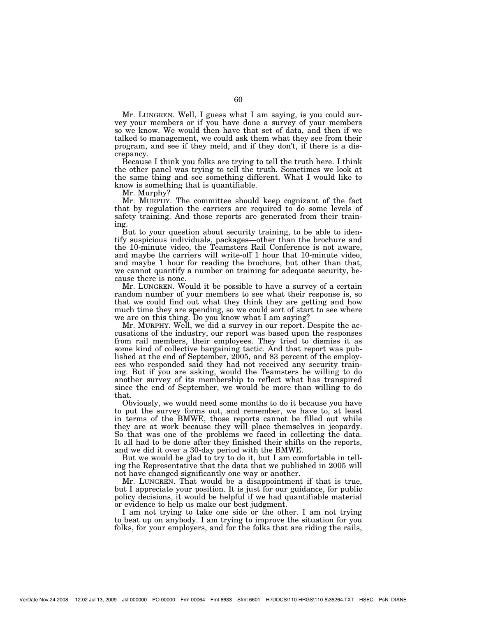Mr. LUNGREN. Well, I guess what I am saying, is you could survey your members or if you have done a survey of your members so we know. We would then have that set of data, and then if we talked to management, we could ask them what they see from their program, and see if they meld, and if they don't, if there is a discrepancy.

Because I think you folks are trying to tell the truth here. I think the other panel was trying to tell the truth. Sometimes we look at the same thing and see something different. What I would like to know is something that is quantifiable.

Mr. Murphy?

Mr. MURPHY. The committee should keep cognizant of the fact that by regulation the carriers are required to do some levels of safety training. And those reports are generated from their training.

But to your question about security training, to be able to identify suspicious individuals, packages—other than the brochure and the 10-minute video, the Teamsters Rail Conference is not aware, and maybe the carriers will write-off 1 hour that 10-minute video, and maybe 1 hour for reading the brochure, but other than that, we cannot quantify a number on training for adequate security, because there is none.

Mr. LUNGREN. Would it be possible to have a survey of a certain random number of your members to see what their response is, so that we could find out what they think they are getting and how much time they are spending, so we could sort of start to see where we are on this thing. Do you know what I am saying?

Mr. MURPHY. Well, we did a survey in our report. Despite the accusations of the industry, our report was based upon the responses from rail members, their employees. They tried to dismiss it as some kind of collective bargaining tactic. And that report was published at the end of September, 2005, and 83 percent of the employees who responded said they had not received any security training. But if you are asking, would the Teamsters be willing to do another survey of its membership to reflect what has transpired since the end of September, we would be more than willing to do that.

Obviously, we would need some months to do it because you have to put the survey forms out, and remember, we have to, at least in terms of the BMWE, those reports cannot be filled out while they are at work because they will place themselves in jeopardy. So that was one of the problems we faced in collecting the data. It all had to be done after they finished their shifts on the reports, and we did it over a 30-day period with the BMWE.

But we would be glad to try to do it, but I am comfortable in telling the Representative that the data that we published in 2005 will not have changed significantly one way or another.

Mr. LUNGREN. That would be a disappointment if that is true, but I appreciate your position. It is just for our guidance, for public policy decisions, it would be helpful if we had quantifiable material or evidence to help us make our best judgment.

I am not trying to take one side or the other. I am not trying to beat up on anybody. I am trying to improve the situation for you folks, for your employers, and for the folks that are riding the rails,